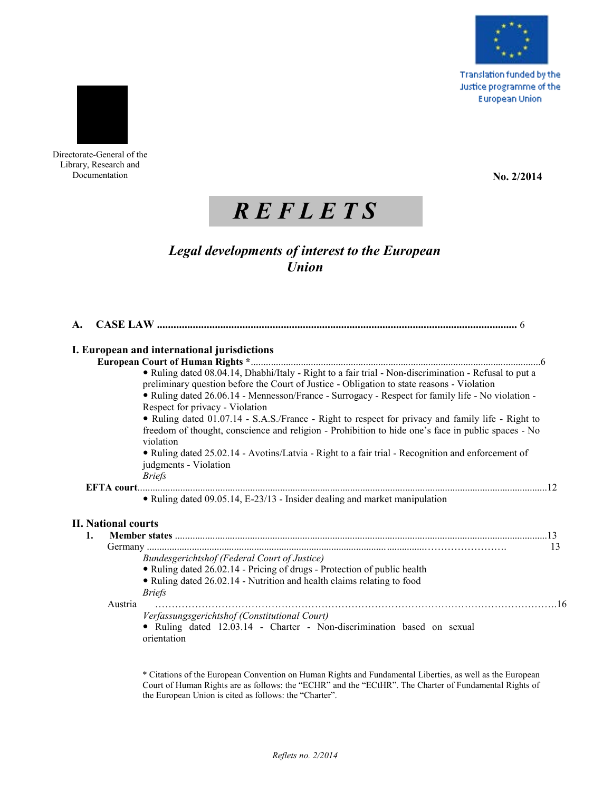

**Translation funded by the** Justice programme of the **European Union** 



Directorate-General of the Library, Research and Documentation

**No. 2/2014**

# *R E F L E T S*

# *Legal developments of interest to the European Union*

| A. |                            |                                                                                                                                                                                                                                                                                                                                                                                                                                                                                                                                                        |    |
|----|----------------------------|--------------------------------------------------------------------------------------------------------------------------------------------------------------------------------------------------------------------------------------------------------------------------------------------------------------------------------------------------------------------------------------------------------------------------------------------------------------------------------------------------------------------------------------------------------|----|
|    |                            | I. European and international jurisdictions                                                                                                                                                                                                                                                                                                                                                                                                                                                                                                            |    |
|    |                            |                                                                                                                                                                                                                                                                                                                                                                                                                                                                                                                                                        |    |
|    |                            | • Ruling dated 08.04.14, Dhabhi/Italy - Right to a fair trial - Non-discrimination - Refusal to put a<br>preliminary question before the Court of Justice - Obligation to state reasons - Violation<br>• Ruling dated 26.06.14 - Mennesson/France - Surrogacy - Respect for family life - No violation -<br>Respect for privacy - Violation<br>• Ruling dated 01.07.14 - S.A.S./France - Right to respect for privacy and family life - Right to<br>freedom of thought, conscience and religion - Prohibition to hide one's face in public spaces - No |    |
|    |                            | violation<br>• Ruling dated 25.02.14 - Avotins/Latvia - Right to a fair trial - Recognition and enforcement of<br>judgments - Violation<br><b>Briefs</b>                                                                                                                                                                                                                                                                                                                                                                                               |    |
|    |                            |                                                                                                                                                                                                                                                                                                                                                                                                                                                                                                                                                        |    |
|    |                            | • Ruling dated 09.05.14, E-23/13 - Insider dealing and market manipulation                                                                                                                                                                                                                                                                                                                                                                                                                                                                             |    |
|    | <b>II. National courts</b> |                                                                                                                                                                                                                                                                                                                                                                                                                                                                                                                                                        |    |
|    | 1.                         |                                                                                                                                                                                                                                                                                                                                                                                                                                                                                                                                                        |    |
|    |                            | <b>Bundesgerichtshof (Federal Court of Justice)</b><br>• Ruling dated 26.02.14 - Pricing of drugs - Protection of public health<br>• Ruling dated 26.02.14 - Nutrition and health claims relating to food<br><i>Briefs</i>                                                                                                                                                                                                                                                                                                                             | 13 |
|    | Austria                    |                                                                                                                                                                                                                                                                                                                                                                                                                                                                                                                                                        |    |
|    |                            | Verfassungsgerichtshof (Constitutional Court)<br>· Ruling dated 12.03.14 - Charter - Non-discrimination based on sexual<br>orientation                                                                                                                                                                                                                                                                                                                                                                                                                 |    |

\* Citations of the European Convention on Human Rights and Fundamental Liberties, as well as the European Court of Human Rights are as follows: the "ECHR" and the "ECtHR". The Charter of Fundamental Rights of the European Union is cited as follows: the "Charter".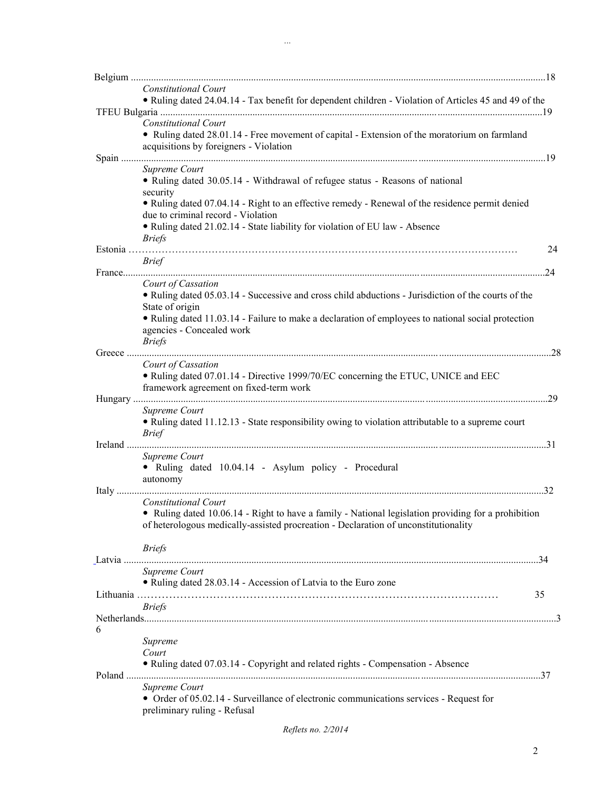|   | <b>Constitutional Court</b><br>• Ruling dated 24.04.14 - Tax benefit for dependent children - Violation of Articles 45 and 49 of the                                                                                                              |    |
|---|---------------------------------------------------------------------------------------------------------------------------------------------------------------------------------------------------------------------------------------------------|----|
|   |                                                                                                                                                                                                                                                   |    |
|   | <b>Constitutional Court</b><br>• Ruling dated 28.01.14 - Free movement of capital - Extension of the moratorium on farmland<br>acquisitions by foreigners - Violation                                                                             |    |
|   | Supreme Court<br>• Ruling dated 30.05.14 - Withdrawal of refugee status - Reasons of national                                                                                                                                                     |    |
|   | security<br>• Ruling dated 07.04.14 - Right to an effective remedy - Renewal of the residence permit denied<br>due to criminal record - Violation<br>• Ruling dated 21.02.14 - State liability for violation of EU law - Absence<br><b>Briefs</b> |    |
|   | <b>Brief</b>                                                                                                                                                                                                                                      | 24 |
|   |                                                                                                                                                                                                                                                   |    |
|   | Court of Cassation<br>• Ruling dated 05.03.14 - Successive and cross child abductions - Jurisdiction of the courts of the<br>State of origin                                                                                                      |    |
|   | • Ruling dated 11.03.14 - Failure to make a declaration of employees to national social protection<br>agencies - Concealed work<br><b>Briefs</b>                                                                                                  |    |
|   |                                                                                                                                                                                                                                                   |    |
|   | Court of Cassation<br>• Ruling dated 07.01.14 - Directive 1999/70/EC concerning the ETUC, UNICE and EEC<br>framework agreement on fixed-term work                                                                                                 |    |
|   | Supreme Court<br>• Ruling dated 11.12.13 - State responsibility owing to violation attributable to a supreme court<br><i>Brief</i>                                                                                                                |    |
|   | Supreme Court<br>• Ruling dated 10.04.14 - Asylum policy - Procedural<br>autonomy                                                                                                                                                                 |    |
|   | <b>Constitutional Court</b><br>• Ruling dated 10.06.14 - Right to have a family - National legislation providing for a prohibition<br>of heterologous medically-assisted procreation - Declaration of unconstitutionality                         |    |
|   | <b>Briefs</b>                                                                                                                                                                                                                                     |    |
|   | Supreme Court<br>• Ruling dated 28.03.14 - Accession of Latvia to the Euro zone<br>35                                                                                                                                                             |    |
|   | <b>Briefs</b>                                                                                                                                                                                                                                     |    |
| 6 |                                                                                                                                                                                                                                                   |    |
|   | Supreme<br>Court<br>• Ruling dated 07.03.14 - Copyright and related rights - Compensation - Absence                                                                                                                                               |    |
|   | Supreme Court<br>• Order of 05.02.14 - Surveillance of electronic communications services - Request for<br>preliminary ruling - Refusal                                                                                                           |    |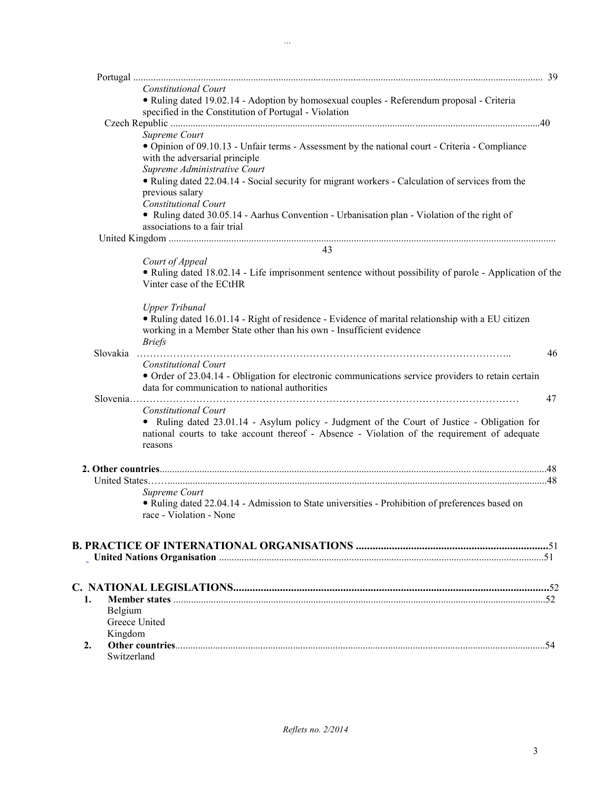|               | <b>Constitutional Court</b>                                                                                                                                                                                                    |    |
|---------------|--------------------------------------------------------------------------------------------------------------------------------------------------------------------------------------------------------------------------------|----|
|               | • Ruling dated 19.02.14 - Adoption by homosexual couples - Referendum proposal - Criteria<br>specified in the Constitution of Portugal - Violation                                                                             |    |
|               |                                                                                                                                                                                                                                |    |
|               | Supreme Court                                                                                                                                                                                                                  |    |
|               | • Opinion of 09.10.13 - Unfair terms - Assessment by the national court - Criteria - Compliance<br>with the adversarial principle                                                                                              |    |
|               | Supreme Administrative Court                                                                                                                                                                                                   |    |
|               | • Ruling dated 22.04.14 - Social security for migrant workers - Calculation of services from the<br>previous salary<br><b>Constitutional Court</b>                                                                             |    |
|               | • Ruling dated 30.05.14 - Aarhus Convention - Urbanisation plan - Violation of the right of<br>associations to a fair trial                                                                                                    |    |
|               |                                                                                                                                                                                                                                |    |
|               | 43                                                                                                                                                                                                                             |    |
|               | Court of Appeal                                                                                                                                                                                                                |    |
|               | • Ruling dated 18.02.14 - Life imprisonment sentence without possibility of parole - Application of the<br>Vinter case of the ECtHR                                                                                            |    |
|               | <b>Upper Tribunal</b>                                                                                                                                                                                                          |    |
|               | • Ruling dated 16.01.14 - Right of residence - Evidence of marital relationship with a EU citizen                                                                                                                              |    |
|               | working in a Member State other than his own - Insufficient evidence<br><b>Briefs</b>                                                                                                                                          |    |
| Slovakia      |                                                                                                                                                                                                                                | 46 |
|               | <b>Constitutional Court</b>                                                                                                                                                                                                    |    |
|               | • Order of 23.04.14 - Obligation for electronic communications service providers to retain certain                                                                                                                             |    |
|               | data for communication to national authorities                                                                                                                                                                                 |    |
|               |                                                                                                                                                                                                                                | 47 |
|               | Constitutional Court<br>• Ruling dated 23.01.14 - Asylum policy - Judgment of the Court of Justice - Obligation for<br>national courts to take account thereof - Absence - Violation of the requirement of adequate<br>reasons |    |
|               |                                                                                                                                                                                                                                |    |
|               |                                                                                                                                                                                                                                |    |
|               | Supreme Court                                                                                                                                                                                                                  |    |
|               | · Ruling dated 22.04.14 - Admission to State universities - Prohibition of preferences based on<br>race - Violation - None                                                                                                     |    |
|               |                                                                                                                                                                                                                                |    |
|               |                                                                                                                                                                                                                                |    |
|               |                                                                                                                                                                                                                                |    |
|               |                                                                                                                                                                                                                                |    |
|               |                                                                                                                                                                                                                                |    |
|               |                                                                                                                                                                                                                                |    |
| Belgium       |                                                                                                                                                                                                                                |    |
| Greece United |                                                                                                                                                                                                                                |    |
| Kingdom       |                                                                                                                                                                                                                                |    |
|               |                                                                                                                                                                                                                                |    |
| Switzerland   |                                                                                                                                                                                                                                |    |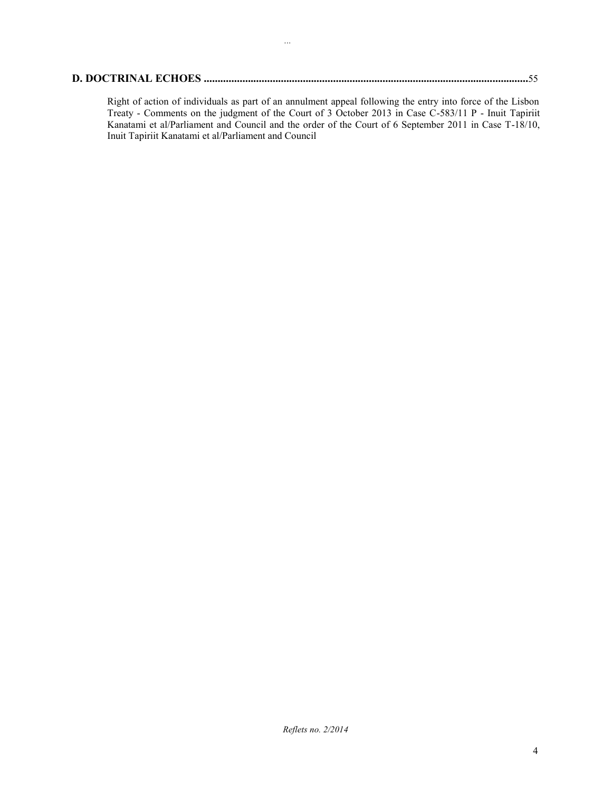*...*

Right of action of individuals as part of an annulment appeal following the entry into force of the Lisbon Treaty - Comments on the judgment of the Court of 3 October 2013 in Case C-583/11 P - Inuit Tapiriit Kanatami et al/Parliament and Council and the order of the Court of 6 September 2011 in Case T-18/10, Inuit Tapiriit Kanatami et al/Parliament and Council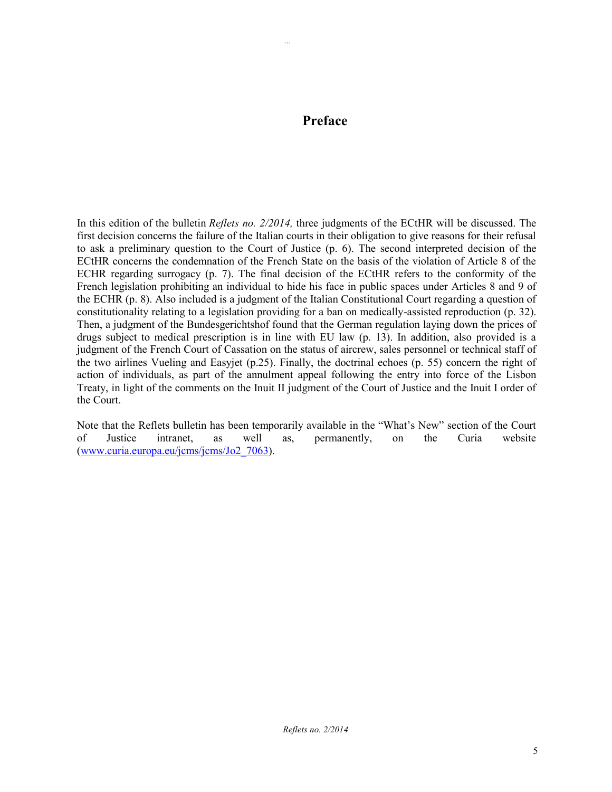## **Preface**

*...*

In this edition of the bulletin *Reflets no. 2/2014,* three judgments of the ECtHR will be discussed. The first decision concerns the failure of the Italian courts in their obligation to give reasons for their refusal to ask a preliminary question to the Court of Justice (p. 6). The second interpreted decision of the ECtHR concerns the condemnation of the French State on the basis of the violation of Article 8 of the ECHR regarding surrogacy (p. 7). The final decision of the ECtHR refers to the conformity of the French legislation prohibiting an individual to hide his face in public spaces under Articles 8 and 9 of the ECHR (p. 8). Also included is a judgment of the Italian Constitutional Court regarding a question of constitutionality relating to a legislation providing for a ban on medically-assisted reproduction (p. 32). Then, a judgment of the Bundesgerichtshof found that the German regulation laying down the prices of drugs subject to medical prescription is in line with EU law (p. 13). In addition, also provided is a judgment of the French Court of Cassation on the status of aircrew, sales personnel or technical staff of the two airlines Vueling and Easyjet (p.25). Finally, the doctrinal echoes (p. 55) concern the right of action of individuals, as part of the annulment appeal following the entry into force of the Lisbon Treaty, in light of the comments on the Inuit II judgment of the Court of Justice and the Inuit I order of the Court.

Note that the Reflets bulletin has been temporarily available in the "What's New" section of the Court of Justice intranet, as well as, permanently, on the Curia website [\(www.curia.europa.eu/jcms/jcms/Jo2\\_7063\)](http://www.curia.europa.eu/jcms/jcms/Jo2_7063).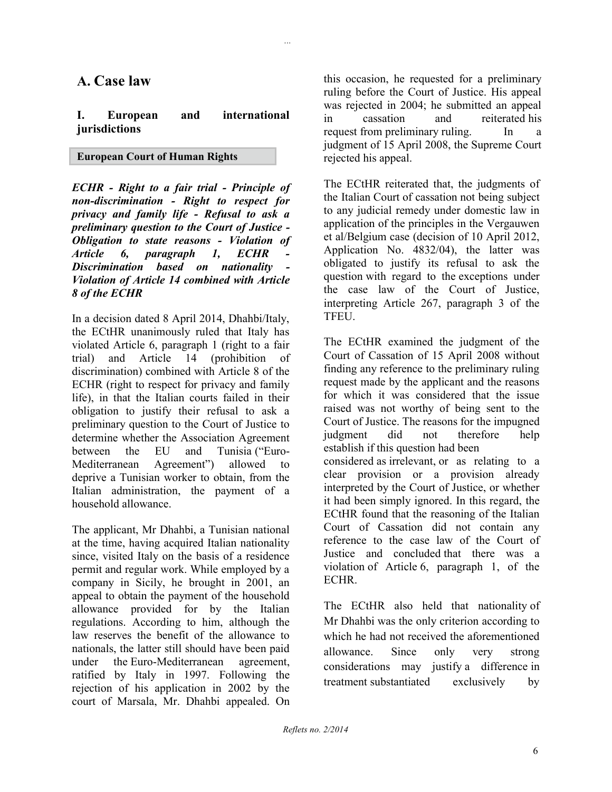### **A. Case law**

#### **I. European and international jurisdictions**

#### **European Court of Human Rights**

*ECHR - Right to a fair trial - Principle of non-discrimination - Right to respect for privacy and family life - Refusal to ask a preliminary question to the Court of Justice - Obligation to state reasons - Violation of Article 6, paragraph 1, ECHR - Discrimination based on nationality - Violation of Article 14 combined with Article 8 of the ECHR*

In a decision dated 8 April 2014, Dhahbi/Italy, the ECtHR unanimously ruled that Italy has violated Article 6, paragraph 1 (right to a fair trial) and Article 14 (prohibition of discrimination) combined with Article 8 of the ECHR (right to respect for privacy and family life), in that the Italian courts failed in their obligation to justify their refusal to ask a preliminary question to the Court of Justice to determine whether the Association Agreement between the EU and Tunisia ("Euro-Mediterranean Agreement") allowed to deprive a Tunisian worker to obtain, from the Italian administration, the payment of a household allowance.

The applicant, Mr Dhahbi, a Tunisian national at the time, having acquired Italian nationality since, visited Italy on the basis of a residence permit and regular work. While employed by a company in Sicily, he brought in 2001, an appeal to obtain the payment of the household allowance provided for by the Italian regulations. According to him, although the law reserves the benefit of the allowance to nationals, the latter still should have been paid under the Euro-Mediterranean agreement, ratified by Italy in 1997. Following the rejection of his application in 2002 by the court of Marsala, Mr. Dhahbi appealed. On

this occasion, he requested for a preliminary ruling before the Court of Justice. His appeal was rejected in 2004; he submitted an appeal in cassation and reiterated his request from preliminary ruling. In judgment of 15 April 2008, the Supreme Court rejected his appeal.

The ECtHR reiterated that, the judgments of the Italian Court of cassation not being subject to any judicial remedy under domestic law in application of the principles in the Vergauwen et al/Belgium case (decision of 10 April 2012, Application No. 4832/04), the latter was obligated to justify its refusal to ask the question with regard to the exceptions under the case law of the Court of Justice, interpreting Article 267, paragraph 3 of the TFEU.

The ECtHR examined the judgment of the Court of Cassation of 15 April 2008 without finding any reference to the preliminary ruling request made by the applicant and the reasons for which it was considered that the issue raised was not worthy of being sent to the Court of Justice. The reasons for the impugned judgment did not therefore help establish if this question had been considered as irrelevant, or as relating to a clear provision or a provision already interpreted by the Court of Justice, or whether it had been simply ignored. In this regard, the ECtHR found that the reasoning of the Italian Court of Cassation did not contain any reference to the case law of the Court of Justice and concluded that there was a violation of Article 6, paragraph 1, of the ECHR.

The ECtHR also held that nationality of Mr Dhahbi was the only criterion according to which he had not received the aforementioned allowance. Since only very strong considerations may justify a difference in treatment substantiated exclusively by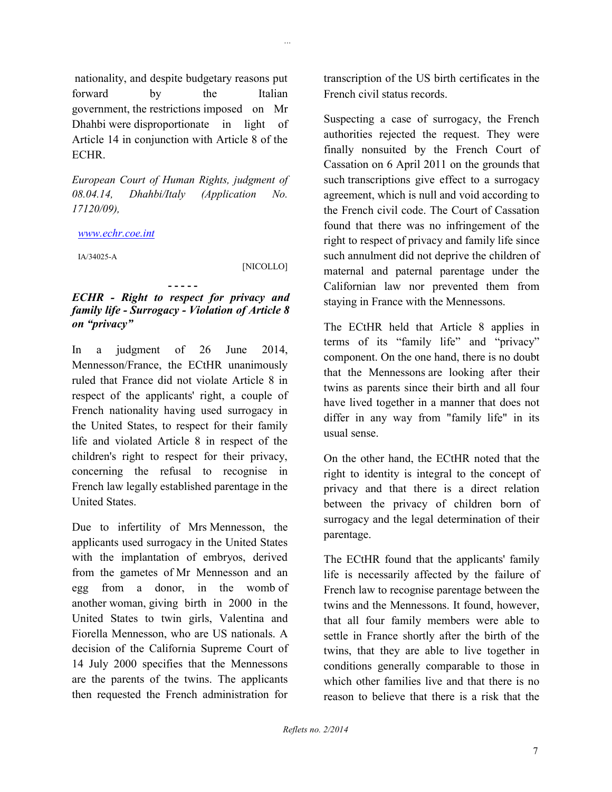nationality, and despite budgetary reasons put forward by the Italian government, the restrictions imposed on Mr Dhahbi were disproportionate in light of Article 14 in conjunction with Article 8 of the ECHR.

*European Court of Human Rights, judgment of 08.04.14, Dhahbi/Italy (Application No. 17120/09),*

#### *[www.echr.coe.int](http://www.echr.coe.int/)*

IA/34025-A

[NICOLLO]

*...*

#### **- - - - -** *ECHR - Right to respect for privacy and family life - Surrogacy - Violation of Article 8 on "privacy"*

In a judgment of 26 June 2014, Mennesson/France, the ECtHR unanimously ruled that France did not violate Article 8 in respect of the applicants' right, a couple of French nationality having used surrogacy in the United States, to respect for their family life and violated Article 8 in respect of the children's right to respect for their privacy, concerning the refusal to recognise in French law legally established parentage in the United States.

Due to infertility of Mrs Mennesson, the applicants used surrogacy in the United States with the implantation of embryos, derived from the gametes of Mr Mennesson and an egg from a donor, in the womb of another woman, giving birth in 2000 in the United States to twin girls, Valentina and Fiorella Mennesson, who are US nationals. A decision of the California Supreme Court of 14 July 2000 specifies that the Mennessons are the parents of the twins. The applicants then requested the French administration for

transcription of the US birth certificates in the French civil status records.

Suspecting a case of surrogacy, the French authorities rejected the request. They were finally nonsuited by the French Court of Cassation on 6 April 2011 on the grounds that such transcriptions give effect to a surrogacy agreement, which is null and void according to the French civil code. The Court of Cassation found that there was no infringement of the right to respect of privacy and family life since such annulment did not deprive the children of maternal and paternal parentage under the Californian law nor prevented them from staying in France with the Mennessons.

The ECtHR held that Article 8 applies in terms of its "family life" and "privacy" component. On the one hand, there is no doubt that the Mennessons are looking after their twins as parents since their birth and all four have lived together in a manner that does not differ in any way from "family life" in its usual sense.

On the other hand, the ECtHR noted that the right to identity is integral to the concept of privacy and that there is a direct relation between the privacy of children born of surrogacy and the legal determination of their parentage.

The ECtHR found that the applicants' family life is necessarily affected by the failure of French law to recognise parentage between the twins and the Mennessons. It found, however, that all four family members were able to settle in France shortly after the birth of the twins, that they are able to live together in conditions generally comparable to those in which other families live and that there is no reason to believe that there is a risk that the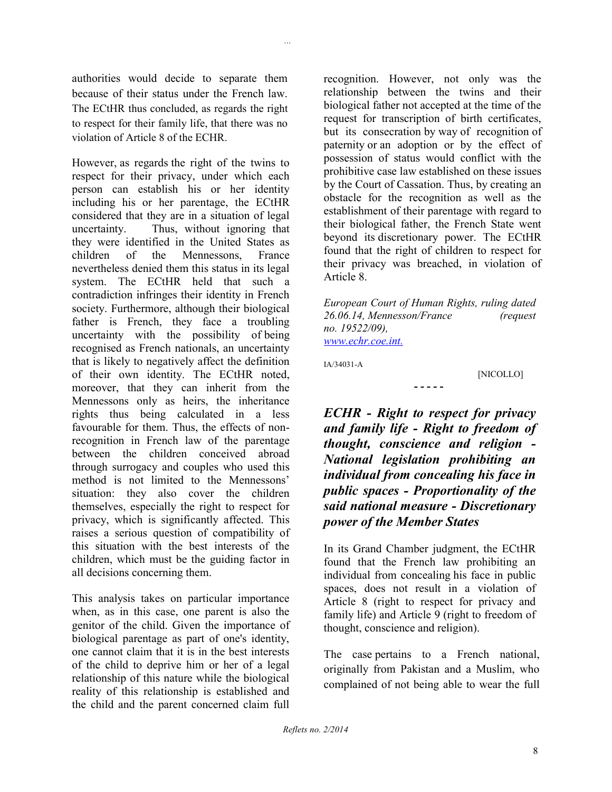authorities would decide to separate them because of their status under the French law. The ECtHR thus concluded, as regards the right to respect for their family life, that there was no violation of Article 8 of the ECHR.

*...*

However, as regards the right of the twins to respect for their privacy, under which each person can establish his or her identity including his or her parentage, the ECtHR considered that they are in a situation of legal uncertainty. Thus, without ignoring that they were identified in the United States as children of the Mennessons, France nevertheless denied them this status in its legal system. The ECtHR held that such a contradiction infringes their identity in French society. Furthermore, although their biological father is French, they face a troubling uncertainty with the possibility of being recognised as French nationals, an uncertainty that is likely to negatively affect the definition of their own identity. The ECtHR noted, moreover, that they can inherit from the Mennessons only as heirs, the inheritance rights thus being calculated in a less favourable for them. Thus, the effects of nonrecognition in French law of the parentage between the children conceived abroad through surrogacy and couples who used this method is not limited to the Mennessons' situation: they also cover the children themselves, especially the right to respect for privacy, which is significantly affected. This raises a serious question of compatibility of this situation with the best interests of the children, which must be the guiding factor in all decisions concerning them.

This analysis takes on particular importance when, as in this case, one parent is also the genitor of the child. Given the importance of biological parentage as part of one's identity, one cannot claim that it is in the best interests of the child to deprive him or her of a legal relationship of this nature while the biological reality of this relationship is established and the child and the parent concerned claim full

recognition. However, not only was the relationship between the twins and their biological father not accepted at the time of the request for transcription of birth certificates, but its consecration by way of recognition of paternity or an adoption or by the effect of possession of status would conflict with the prohibitive case law established on these issues by the Court of Cassation. Thus, by creating an obstacle for the recognition as well as the establishment of their parentage with regard to their biological father, the French State went beyond its discretionary power. The ECtHR found that the right of children to respect for their privacy was breached, in violation of Article 8.

*European Court of Human Rights, ruling dated 26.06.14, Mennesson/France (request no. 19522/09), [www.echr.coe.int.](http://www.echr.coe.int./)*

**- - - - -**

IA/34031-A

[NICOLLO]

*ECHR - Right to respect for privacy and family life - Right to freedom of thought, conscience and religion - National legislation prohibiting an individual from concealing his face in public spaces - Proportionality of the said national measure - Discretionary power of the Member States*

In its Grand Chamber judgment, the ECtHR found that the French law prohibiting an individual from concealing his face in public spaces, does not result in a violation of Article 8 (right to respect for privacy and family life) and Article 9 (right to freedom of thought, conscience and religion).

The case pertains to a French national, originally from Pakistan and a Muslim, who complained of not being able to wear the full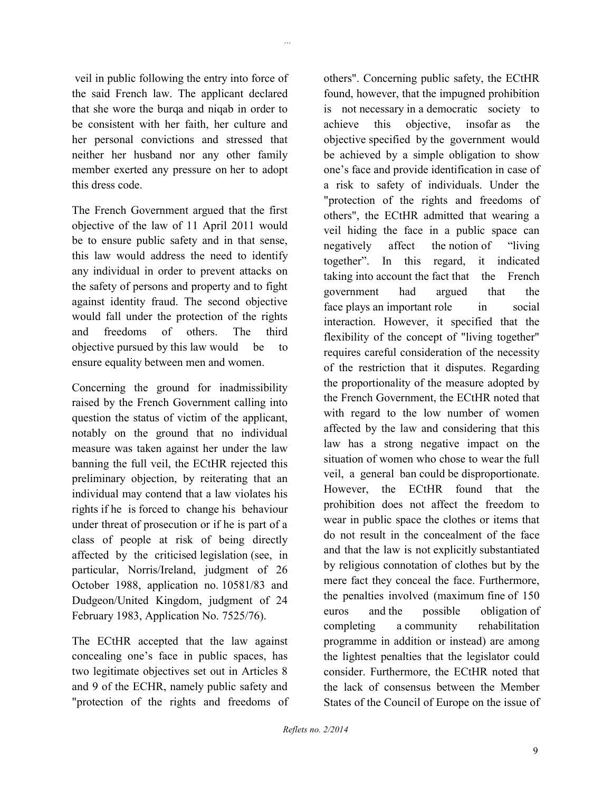veil in public following the entry into force of the said French law. The applicant declared that she wore the burqa and niqab in order to be consistent with her faith, her culture and her personal convictions and stressed that neither her husband nor any other family member exerted any pressure on her to adopt this dress code.

The French Government argued that the first objective of the law of 11 April 2011 would be to ensure public safety and in that sense, this law would address the need to identify any individual in order to prevent attacks on the safety of persons and property and to fight against identity fraud. The second objective would fall under the protection of the rights and freedoms of others. The third objective pursued by this law would be to ensure equality between men and women.

Concerning the ground for inadmissibility raised by the French Government calling into question the status of victim of the applicant, notably on the ground that no individual measure was taken against her under the law banning the full veil, the ECtHR rejected this preliminary objection, by reiterating that an individual may contend that a law violates his rights if he is forced to change his behaviour under threat of prosecution or if he is part of a class of people at risk of being directly affected by the criticised legislation (see, in particular, Norris/Ireland, judgment of 26 October 1988, application no. 10581/83 and Dudgeon/United Kingdom, judgment of 24 February 1983, Application No. 7525/76).

The ECtHR accepted that the law against concealing one's face in public spaces, has two legitimate objectives set out in Articles 8 and 9 of the ECHR, namely public safety and "protection of the rights and freedoms of others". Concerning public safety, the ECtHR found, however, that the impugned prohibition is not necessary in a democratic society to achieve this objective, insofar as the objective specified by the government would be achieved by a simple obligation to show one's face and provide identification in case of a risk to safety of individuals. Under the "protection of the rights and freedoms of others", the ECtHR admitted that wearing a veil hiding the face in a public space can negatively affect the notion of "living together". In this regard, it indicated taking into account the fact that the French government had argued that the face plays an important role in social interaction. However, it specified that the flexibility of the concept of "living together" requires careful consideration of the necessity of the restriction that it disputes. Regarding the proportionality of the measure adopted by the French Government, the ECtHR noted that with regard to the low number of women affected by the law and considering that this law has a strong negative impact on the situation of women who chose to wear the full veil, a general ban could be disproportionate. However, the ECtHR found that the prohibition does not affect the freedom to wear in public space the clothes or items that do not result in the concealment of the face and that the law is not explicitly substantiated by religious connotation of clothes but by the mere fact they conceal the face. Furthermore, the penalties involved (maximum fine of 150 euros and the possible obligation of completing a community rehabilitation programme in addition or instead) are among the lightest penalties that the legislator could consider. Furthermore, the ECtHR noted that the lack of consensus between the Member States of the Council of Europe on the issue of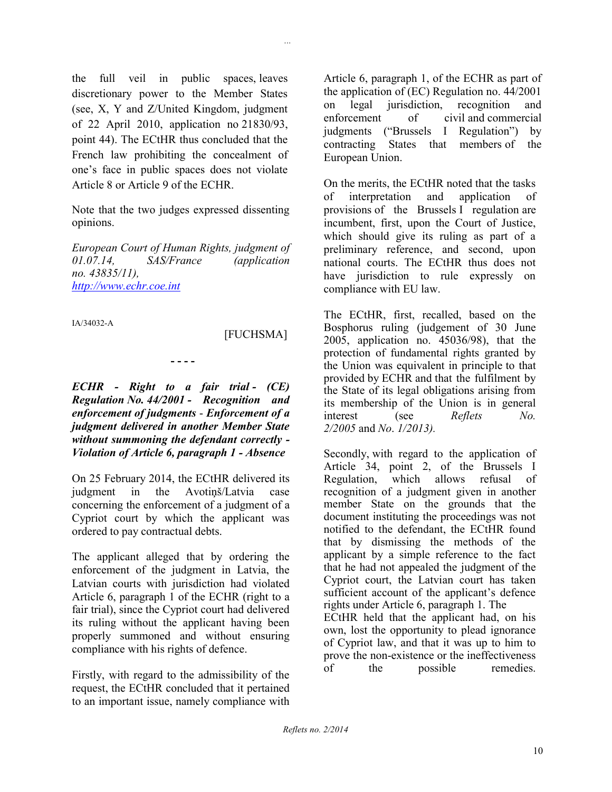the full veil in public spaces, leaves discretionary power to the Member States (see, X, Y and Z/United Kingdom, judgment of 22 April 2010, application no 21830/93, point 44). The ECtHR thus concluded that the French law prohibiting the concealment of one's face in public spaces does not violate Article 8 or Article 9 of the ECHR.

Note that the two judges expressed dissenting opinions.

*European Court of Human Rights, judgment of 01.07.14, SAS/France (application no. 43835/11), [http://www.echr.coe.int](http://www.echr.coe.int/)*

IA/34032-A

### [FUCHSMA]

*...*

#### **- - - -**

*ECHR - Right to a fair trial - (CE) Regulation No. 44/2001 - Recognition and enforcement of judgments* - *Enforcement of a judgment delivered in another Member State without summoning the defendant correctly - Violation of Article 6, paragraph 1 - Absence*

On 25 February 2014, the ECtHR delivered its judgment in the Avotiņš/Latvia case concerning the enforcement of a judgment of a Cypriot court by which the applicant was ordered to pay contractual debts.

The applicant alleged that by ordering the enforcement of the judgment in Latvia, the Latvian courts with jurisdiction had violated Article 6, paragraph 1 of the ECHR (right to a fair trial), since the Cypriot court had delivered its ruling without the applicant having been properly summoned and without ensuring compliance with his rights of defence.

Firstly, with regard to the admissibility of the request, the ECtHR concluded that it pertained to an important issue, namely compliance with

Article 6, paragraph 1, of the ECHR as part of the application of (EC) Regulation no. 44/2001 on legal jurisdiction, recognition and enforcement of civil and commercial judgments ("Brussels I Regulation") by contracting States that members of the European Union.

On the merits, the ECtHR noted that the tasks of interpretation and application of provisions of the Brussels I regulation are incumbent, first, upon the Court of Justice, which should give its ruling as part of a preliminary reference, and second, upon national courts. The ECtHR thus does not have jurisdiction to rule expressly on compliance with EU law.

The ECtHR, first, recalled, based on the Bosphorus ruling (judgement of 30 June 2005, application no. 45036/98), that the protection of fundamental rights granted by the Union was equivalent in principle to that provided by ECHR and that the fulfilment by the State of its legal obligations arising from its membership of the Union is in general interest (see *Reflets No. 2/2005* and *No*. *1/2013).*

Secondly, with regard to the application of Article 34, point 2, of the Brussels I Regulation, which allows refusal of recognition of a judgment given in another member State on the grounds that the document instituting the proceedings was not notified to the defendant, the ECtHR found that by dismissing the methods of the applicant by a simple reference to the fact that he had not appealed the judgment of the Cypriot court, the Latvian court has taken sufficient account of the applicant's defence rights under Article 6, paragraph 1. The ECtHR held that the applicant had, on his

own, lost the opportunity to plead ignorance of Cypriot law, and that it was up to him to prove the non-existence or the ineffectiveness of the possible remedies.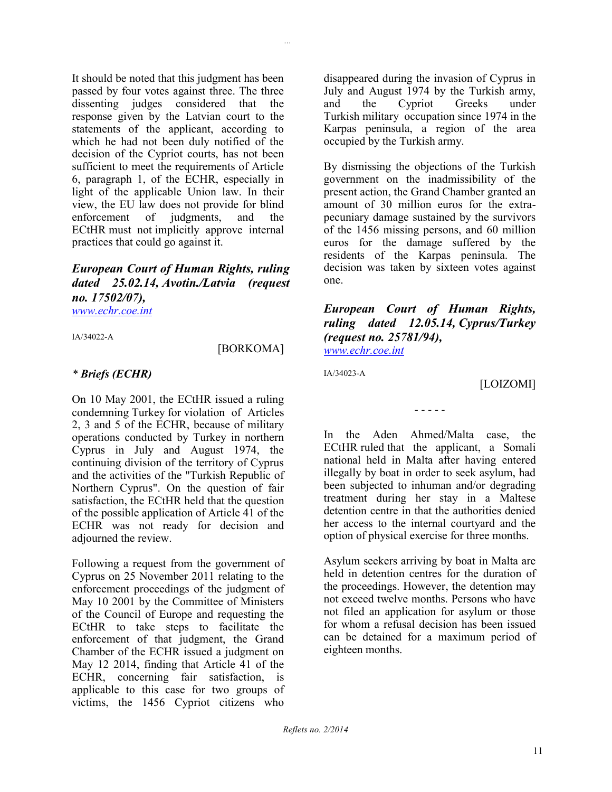It should be noted that this judgment has been passed by four votes against three. The three dissenting judges considered that the response given by the Latvian court to the statements of the applicant, according to which he had not been duly notified of the decision of the Cypriot courts, has not been sufficient to meet the requirements of Article 6, paragraph 1, of the ECHR, especially in light of the applicable Union law. In their view, the EU law does not provide for blind enforcement of judgments, and the ECtHR must not implicitly approve internal practices that could go against it.

### *European Court of Human Rights, ruling dated 25.02.14, Avotin./Latvia (request no. 17502/07), [www.echr.coe.int](http://www.echr.coe.int/)*

IA/34022-A

### [BORKOMA]

*...*

### *\* Briefs (ECHR)*

On 10 May 2001, the ECtHR issued a ruling condemning Turkey for violation of Articles 2, 3 and 5 of the ECHR, because of military operations conducted by Turkey in northern Cyprus in July and August 1974, the continuing division of the territory of Cyprus and the activities of the "Turkish Republic of Northern Cyprus". On the question of fair satisfaction, the ECtHR held that the question of the possible application of Article 41 of the ECHR was not ready for decision and adjourned the review.

Following a request from the government of Cyprus on 25 November 2011 relating to the enforcement proceedings of the judgment of May 10 2001 by the Committee of Ministers of the Council of Europe and requesting the ECtHR to take steps to facilitate the enforcement of that judgment, the Grand Chamber of the ECHR issued a judgment on May 12 2014, finding that Article 41 of the ECHR, concerning fair satisfaction, is applicable to this case for two groups of victims, the 1456 Cypriot citizens who

disappeared during the invasion of Cyprus in July and August 1974 by the Turkish army, and the Cypriot Greeks under Turkish military occupation since 1974 in the Karpas peninsula, a region of the area occupied by the Turkish army.

By dismissing the objections of the Turkish government on the inadmissibility of the present action, the Grand Chamber granted an amount of 30 million euros for the extrapecuniary damage sustained by the survivors of the 1456 missing persons, and 60 million euros for the damage suffered by the residents of the Karpas peninsula. The decision was taken by sixteen votes against one.

*European Court of Human Rights, ruling dated 12.05.14, Cyprus/Turkey (request no. 25781/94), [www.echr.coe.int](http://www.echr.coe.int/)*

IA/34023-A

[LOIZOMI]

In the Aden Ahmed/Malta case, the ECtHR ruled that the applicant, a Somali national held in Malta after having entered illegally by boat in order to seek asylum, had been subjected to inhuman and/or degrading treatment during her stay in a Maltese detention centre in that the authorities denied her access to the internal courtyard and the option of physical exercise for three months.

- - - - -

Asylum seekers arriving by boat in Malta are held in detention centres for the duration of the proceedings. However, the detention may not exceed twelve months. Persons who have not filed an application for asylum or those for whom a refusal decision has been issued can be detained for a maximum period of eighteen months.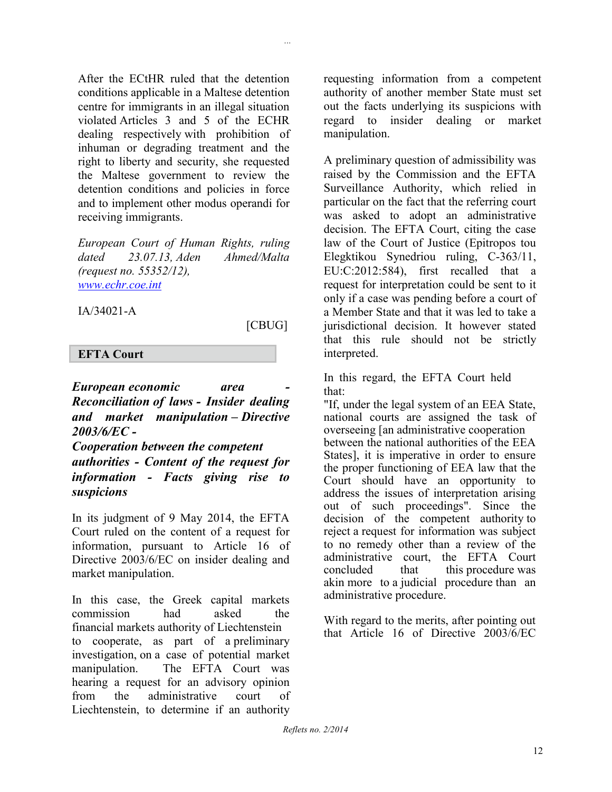After the ECtHR ruled that the detention conditions applicable in a Maltese detention centre for immigrants in an illegal situation violated Articles 3 and 5 of the ECHR dealing respectively with prohibition of inhuman or degrading treatment and the right to liberty and security, she requested the Maltese government to review the detention conditions and policies in force and to implement other modus operandi for receiving immigrants.

*European Court of Human Rights, ruling dated 23.07.13, Aden Ahmed/Malta (request no. 55352/12), [www.echr.coe.int](http://www.echr.coe.int/)*

IA/34021-A

### [CBUG]

*...*

### **EFTA Court**

*European economic area - Reconciliation of laws - Insider dealing and market manipulation – Directive 2003/6/EC - Cooperation between the competent* 

*authorities - Content of the request for information - Facts giving rise to suspicions*

In its judgment of 9 May 2014, the EFTA Court ruled on the content of a request for information, pursuant to Article 16 of Directive 2003/6/EC on insider dealing and market manipulation.

In this case, the Greek capital markets commission had asked the financial markets authority of Liechtenstein to cooperate, as part of a preliminary investigation, on a case of potential market manipulation. The EFTA Court was hearing a request for an advisory opinion from the administrative court of Liechtenstein, to determine if an authority

requesting information from a competent authority of another member State must set out the facts underlying its suspicions with regard to insider dealing or market manipulation.

A preliminary question of admissibility was raised by the Commission and the EFTA Surveillance Authority, which relied in particular on the fact that the referring court was asked to adopt an administrative decision. The EFTA Court, citing the case law of the Court of Justice (Epitropos tou Elegktikou Synedriou ruling, C-363/11, EU:C:2012:584), first recalled that a request for interpretation could be sent to it only if a case was pending before a court of a Member State and that it was led to take a jurisdictional decision. It however stated that this rule should not be strictly interpreted.

In this regard, the EFTA Court held that:

"If, under the legal system of an EEA State, national courts are assigned the task of overseeing [an administrative cooperation between the national authorities of the EEA States], it is imperative in order to ensure the proper functioning of EEA law that the Court should have an opportunity to address the issues of interpretation arising out of such proceedings". Since the decision of the competent authority to reject a request for information was subject to no remedy other than a review of the administrative court, the EFTA Court concluded that this procedure was akin more to a judicial procedure than an administrative procedure.

With regard to the merits, after pointing out that Article 16 of Directive 2003/6/EC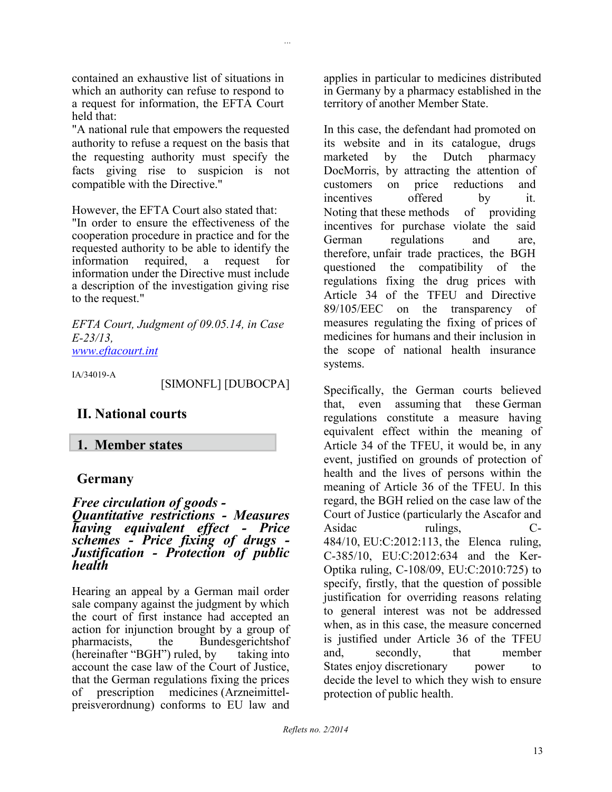contained an exhaustive list of situations in which an authority can refuse to respond to a request for information, the EFTA Court held that:

*...*

"A national rule that empowers the requested authority to refuse a request on the basis that the requesting authority must specify the facts giving rise to suspicion is not compatible with the Directive."

However, the EFTA Court also stated that: "In order to ensure the effectiveness of the cooperation procedure in practice and for the requested authority to be able to identify the information required, a request for information under the Directive must include a description of the investigation giving rise to the request."

*EFTA Court, Judgment of 09.05.14, in Case E-23/13, [www.eftacourt.int](http://www.eftacourt.int/)*

IA/34019-A

[SIMONFL] [DUBOCPA]

## **II. National courts**

### **1. Member states**

### **Germany**

### *Free circulation of goods - Quantitative restrictions - Measures having equivalent effect - Price schemes - Price fixing of drugs - Justification - Protection of public health*

Hearing an appeal by a German mail order sale company against the judgment by which the court of first instance had accepted an action for injunction brought by a group of pharmacists, the Bundesgerichtshof (hereinafter "BGH") ruled, by taking into account the case law of the Court of Justice, that the German regulations fixing the prices of prescription medicines (Arzneimittelpreisverordnung) conforms to EU law and

applies in particular to medicines distributed in Germany by a pharmacy established in the territory of another Member State.

In this case, the defendant had promoted on its website and in its catalogue, drugs marketed by the Dutch pharmacy DocMorris, by attracting the attention of customers on price reductions and incentives offered by it. Noting that these methods of providing incentives for purchase violate the said German regulations and are, therefore, unfair trade practices, the BGH questioned the compatibility of the regulations fixing the drug prices with Article 34 of the TFEU and Directive 89/105/EEC on the transparency of measures regulating the fixing of prices of medicines for humans and their inclusion in the scope of national health insurance systems.

Specifically, the German courts believed that, even assuming that these German regulations constitute a measure having equivalent effect within the meaning of Article 34 of the TFEU, it would be, in any event, justified on grounds of protection of health and the lives of persons within the meaning of Article 36 of the TFEU. In this regard, the BGH relied on the case law of the Court of Justice (particularly the Ascafor and Asidac rulings, C-484/10, EU:C:2012:113, the Elenca ruling, C-385/10, EU:C:2012:634 and the Ker-Optika ruling, C-108/09, EU:C:2010:725) to specify, firstly, that the question of possible justification for overriding reasons relating to general interest was not be addressed when, as in this case, the measure concerned is justified under Article 36 of the TFEU and, secondly, that member States enjoy discretionary power to decide the level to which they wish to ensure protection of public health.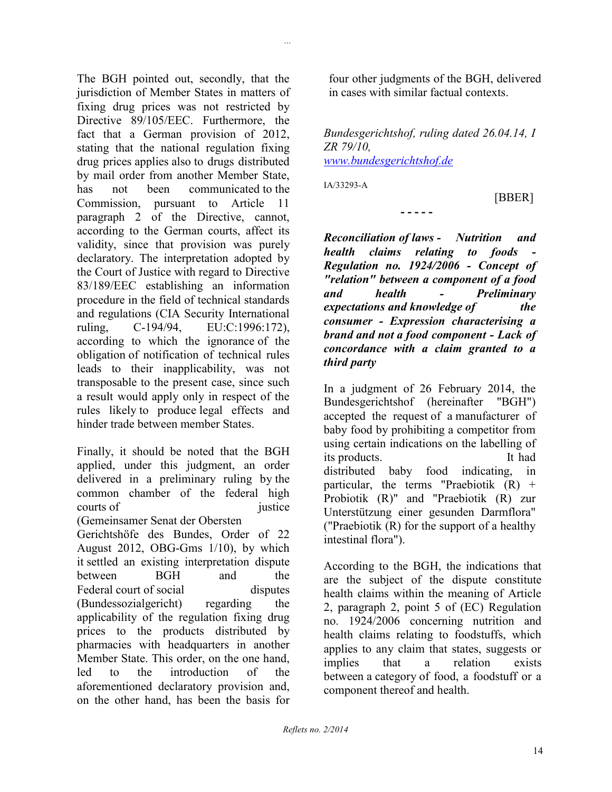The BGH pointed out, secondly, that the jurisdiction of Member States in matters of fixing drug prices was not restricted by Directive 89/105/EEC. Furthermore, the fact that a German provision of 2012, stating that the national regulation fixing drug prices applies also to drugs distributed by mail order from another Member State, has not been communicated to the Commission, pursuant to Article 11 paragraph 2 of the Directive, cannot, according to the German courts, affect its validity, since that provision was purely declaratory. The interpretation adopted by the Court of Justice with regard to Directive 83/189/EEC establishing an information procedure in the field of technical standards and regulations (CIA Security International ruling, C-194/94, EU:C:1996:172), according to which the ignorance of the obligation of notification of technical rules leads to their inapplicability, was not transposable to the present case, since such a result would apply only in respect of the rules likely to produce legal effects and hinder trade between member States.

Finally, it should be noted that the BGH applied, under this judgment, an order delivered in a preliminary ruling by the common chamber of the federal high courts of iustice (Gemeinsamer Senat der Obersten Gerichtshöfe des Bundes, Order of 22 August 2012, OBG-Gms 1/10), by which it settled an existing interpretation dispute between BGH and the Federal court of social disputes (Bundessozialgericht) regarding the applicability of the regulation fixing drug prices to the products distributed by pharmacies with headquarters in another Member State. This order, on the one hand, led to the introduction of the aforementioned declaratory provision and, on the other hand, has been the basis for

four other judgments of the BGH, delivered in cases with similar factual contexts.

*Bundesgerichtshof, ruling dated 26.04.14, I ZR 79/10, [www.bundesgerichtshof.de](http://www.bundesgerichtshof.de/)*

**- - - - -**

IA/33293-A

*...*

[BBER]

*Reconciliation of laws - Nutrition and health claims relating to foods - Regulation no. 1924/2006 - Concept of "relation" between a component of a food and health - Preliminary expectations and knowledge of the consumer - Expression characterising a brand and not a food component - Lack of concordance with a claim granted to a third party*

In a judgment of 26 February 2014, the Bundesgerichtshof (hereinafter "BGH") accepted the request of a manufacturer of baby food by prohibiting a competitor from using certain indications on the labelling of its products. It had distributed baby food indicating, in particular, the terms "Praebiotik  $(R)$  + Probiotik (R)" and "Praebiotik (R) zur Unterstützung einer gesunden Darmflora" ("Praebiotik (R) for the support of a healthy intestinal flora").

According to the BGH, the indications that are the subject of the dispute constitute health claims within the meaning of Article 2, paragraph 2, point 5 of (EC) Regulation no. 1924/2006 concerning nutrition and health claims relating to foodstuffs, which applies to any claim that states, suggests or implies that a relation exists between a category of food, a foodstuff or a component thereof and health.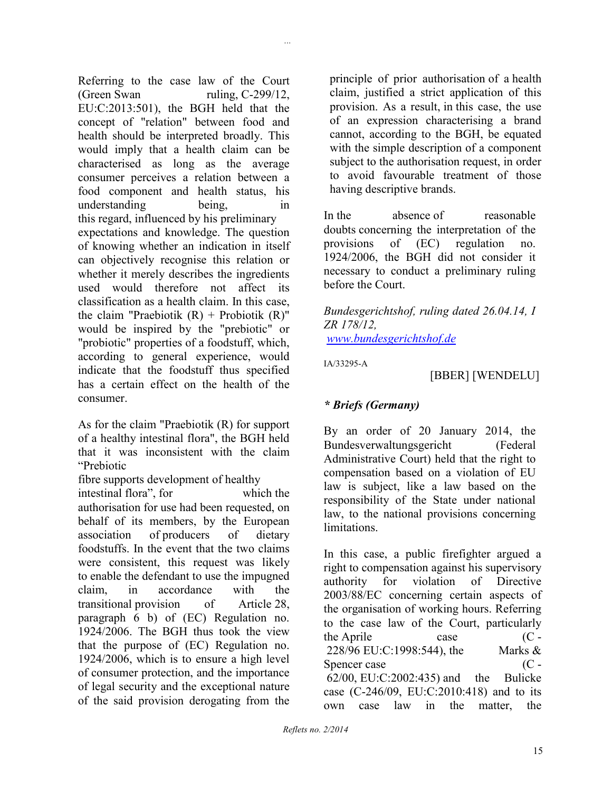Referring to the case law of the Court (Green Swan ruling, C-299/12, EU:C:2013:501), the BGH held that the concept of "relation" between food and health should be interpreted broadly. This would imply that a health claim can be characterised as long as the average consumer perceives a relation between a food component and health status, his understanding being, in this regard, influenced by his preliminary expectations and knowledge. The question of knowing whether an indication in itself can objectively recognise this relation or whether it merely describes the ingredients used would therefore not affect its classification as a health claim. In this case, the claim "Praebiotik  $(R)$  + Probiotik  $(R)$ " would be inspired by the "prebiotic" or "probiotic" properties of a foodstuff, which, according to general experience, would indicate that the foodstuff thus specified has a certain effect on the health of the consumer.

As for the claim "Praebiotik (R) for support of a healthy intestinal flora", the BGH held that it was inconsistent with the claim "Prebiotic

fibre supports development of healthy intestinal flora", for which the authorisation for use had been requested, on behalf of its members, by the European association of producers of dietary foodstuffs. In the event that the two claims were consistent, this request was likely to enable the defendant to use the impugned claim, in accordance with the transitional provision of Article 28, paragraph 6 b) of (EC) Regulation no. 1924/2006. The BGH thus took the view that the purpose of (EC) Regulation no. 1924/2006, which is to ensure a high level of consumer protection, and the importance of legal security and the exceptional nature of the said provision derogating from the

principle of prior authorisation of a health claim, justified a strict application of this provision. As a result, in this case, the use of an expression characterising a brand cannot, according to the BGH, be equated with the simple description of a component subject to the authorisation request, in order to avoid favourable treatment of those having descriptive brands.

In the absence of reasonable doubts concerning the interpretation of the provisions of (EC) regulation no. 1924/2006, the BGH did not consider it necessary to conduct a preliminary ruling before the Court.

*Bundesgerichtshof, ruling dated 26.04.14, I ZR 178/12,*

*[www.bundesgerichtshof.de](http://www.bundesgerichtshof.de/)*

IA/33295-A

*...*

[BBER] [WENDELU]

### *\* Briefs (Germany)*

By an order of 20 January 2014, the Bundesverwaltungsgericht (Federal Administrative Court) held that the right to compensation based on a violation of EU law is subject, like a law based on the responsibility of the State under national law, to the national provisions concerning limitations.

In this case, a public firefighter argued a right to compensation against his supervisory authority for violation of Directive 2003/88/EC concerning certain aspects of the organisation of working hours. Referring to the case law of the Court, particularly the Aprile case  $(C -$ 228/96 EU:C:1998:544), the Marks & Spencer case  $(C -$ 62/00, EU:C:2002:435) and the Bulicke case (C-246/09, EU:C:2010:418) and to its own case law in the matter, the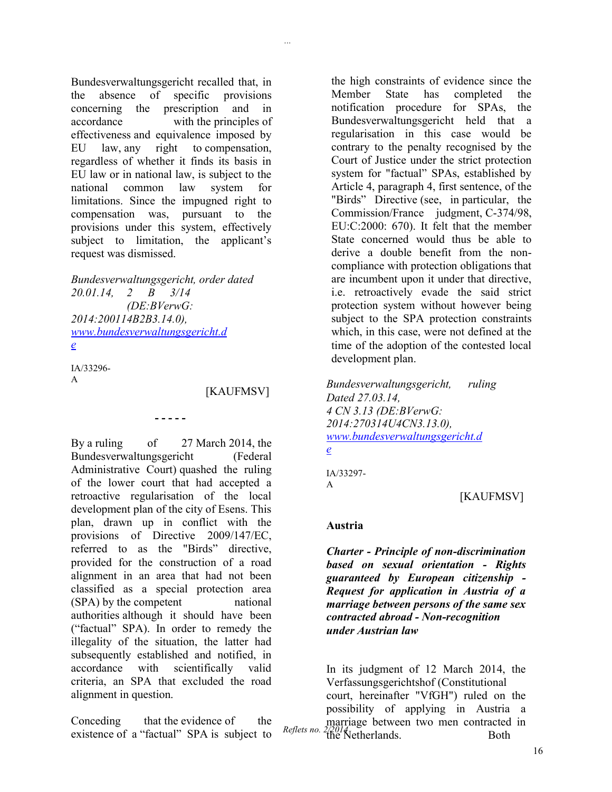Bundesverwaltungsgericht recalled that, in the absence of specific provisions concerning the prescription and in accordance with the principles of effectiveness and equivalence imposed by EU law, any right to compensation, regardless of whether it finds its basis in EU law or in national law, is subject to the national common law system for limitations. Since the impugned right to compensation was, pursuant to the provisions under this system, effectively subject to limitation, the applicant's request was dismissed.

*Bundesverwaltungsgericht, order dated 20.01.14, 2 B 3/14 (DE:BVerwG: 2014:200114B2B3.14.0), [www.bundesverwaltungsgericht.d](http://www.bundesverwaltungsgericht.de/) [e](http://www.bundesverwaltungsgericht.de/)*

**- - - - -**

IA/33296- A

[KAUFMSV]

*...*

By a ruling of 27 March 2014, the Bundesverwaltungsgericht (Federal Administrative Court) quashed the ruling of the lower court that had accepted a retroactive regularisation of the local development plan of the city of Esens. This plan, drawn up in conflict with the provisions of Directive 2009/147/EC, referred to as the "Birds" directive, provided for the construction of a road alignment in an area that had not been classified as a special protection area (SPA) by the competent national authorities although it should have been ("factual" SPA). In order to remedy the illegality of the situation, the latter had subsequently established and notified, in accordance with scientifically valid criteria, an SPA that excluded the road alignment in question.

Conceding that the evidence of the existence of a "factual" SPA is subject to

the high constraints of evidence since the Member State has completed the notification procedure for SPAs, the Bundesverwaltungsgericht held that a regularisation in this case would be contrary to the penalty recognised by the Court of Justice under the strict protection system for "factual" SPAs, established by Article 4, paragraph 4, first sentence, of the "Birds" Directive (see, in particular, the Commission/France judgment, C-374/98, EU:C:2000: 670). It felt that the member State concerned would thus be able to derive a double benefit from the noncompliance with protection obligations that are incumbent upon it under that directive, i.e. retroactively evade the said strict protection system without however being subject to the SPA protection constraints which, in this case, were not defined at the time of the adoption of the contested local development plan.

*Bundesverwaltungsgericht, ruling Dated 27.03.14, 4 CN 3.13 (DE:BVerwG: 2014:270314U4CN3.13.0), [www.bundesverwaltungsgericht.d](http://www.bundesverwaltungsgericht.de/) [e](http://www.bundesverwaltungsgericht.de/)*

IA/33297- A

### [KAUFMSV]

#### **Austria**

*Charter - Principle of non-discrimination based on sexual orientation - Rights guaranteed by European citizenship - Request for application in Austria of a marriage between persons of the same sex contracted abroad - Non-recognition under Austrian law*

 $Reflets$  no. In its judgment of 12 March 2014, the Verfassungsgerichtshof (Constitutional court, hereinafter "VfGH") ruled on the possibility of applying in Austria a marriage between two men contracted in the Netherlands. Both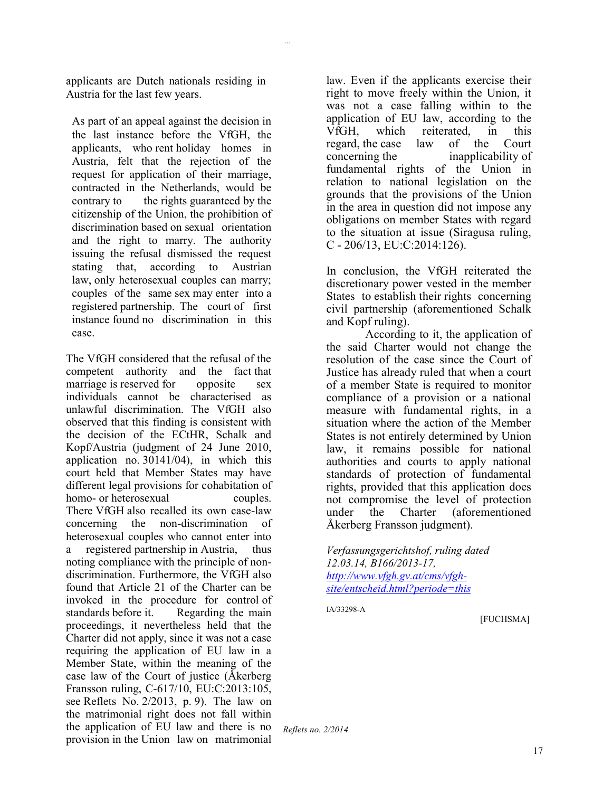applicants are Dutch nationals residing in Austria for the last few years.

*...*

As part of an appeal against the decision in the last instance before the VfGH, the applicants, who rent holiday homes in Austria, felt that the rejection of the request for application of their marriage, contracted in the Netherlands, would be contrary to the rights guaranteed by the citizenship of the Union, the prohibition of discrimination based on sexual orientation and the right to marry. The authority issuing the refusal dismissed the request stating that, according to Austrian law, only heterosexual couples can marry; couples of the same sex may enter into a registered partnership. The court of first instance found no discrimination in this case.

The VfGH considered that the refusal of the competent authority and the fact that marriage is reserved for opposite sex individuals cannot be characterised as unlawful discrimination. The VfGH also observed that this finding is consistent with the decision of the ECtHR, Schalk and Kopf/Austria (judgment of 24 June 2010, application no. 30141/04), in which this court held that Member States may have different legal provisions for cohabitation of homo- or heterosexual couples. There VfGH also recalled its own case-law concerning the non-discrimination of heterosexual couples who cannot enter into a registered partnership in Austria, thus noting compliance with the principle of nondiscrimination. Furthermore, the VfGH also found that Article 21 of the Charter can be invoked in the procedure for control of standards before it. Regarding the main proceedings, it nevertheless held that the Charter did not apply, since it was not a case requiring the application of EU law in a Member State, within the meaning of the case law of the Court of justice (Åkerberg Fransson ruling, C-617/10, EU:C:2013:105, see Reflets No. 2/2013, p. 9). The law on the matrimonial right does not fall within the application of EU law and there is no provision in the Union law on matrimonial

law. Even if the applicants exercise their right to move freely within the Union, it was not a case falling within to the application of EU law, according to the VfGH, which reiterated, in this regard, the case law of the Court concerning the inapplicability of fundamental rights of the Union in relation to national legislation on the grounds that the provisions of the Union in the area in question did not impose any obligations on member States with regard to the situation at issue (Siragusa ruling, C - 206/13, EU:C:2014:126).

In conclusion, the VfGH reiterated the discretionary power vested in the member States to establish their rights concerning civil partnership (aforementioned Schalk and Kopf ruling).

According to it, the application of the said Charter would not change the resolution of the case since the Court of Justice has already ruled that when a court of a member State is required to monitor compliance of a provision or a national measure with fundamental rights, in a situation where the action of the Member States is not entirely determined by Union law, it remains possible for national authorities and courts to apply national standards of protection of fundamental rights, provided that this application does not compromise the level of protection under the Charter (aforementioned Åkerberg Fransson judgment).

*Verfassungsgerichtshof, ruling dated 12.03.14, B166/2013-17, [http://www.vfgh.gv.at/cms/vfgh](http://www.vfgh.gv.at/cms/vfgh-site/entscheid.html?periode=this)[site/entscheid.html?periode=this](http://www.vfgh.gv.at/cms/vfgh-site/entscheid.html?periode=this)*

IA/33298-A

[FUCHSMA]

*Reflets no. 2/2014*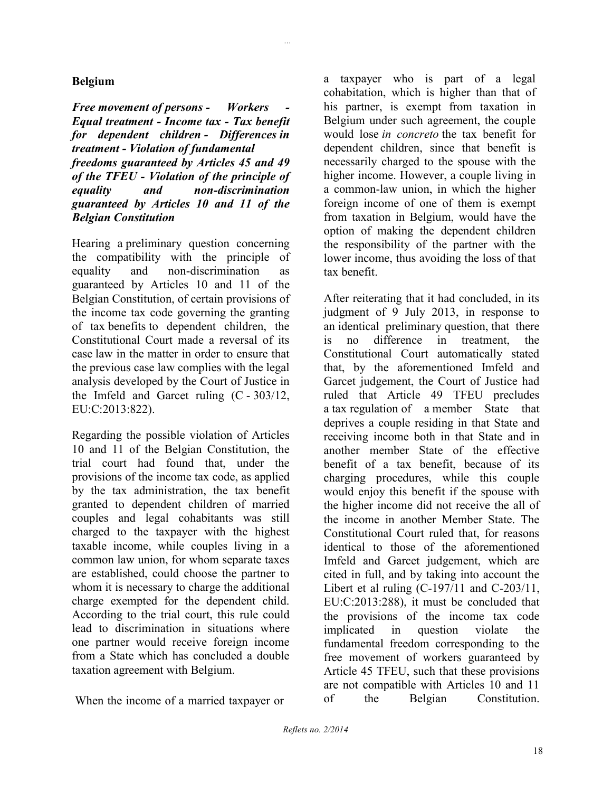### **Belgium**

*Free movement of persons - Workers - Equal treatment - Income tax - Tax benefit for dependent children - Differences in treatment - Violation of fundamental freedoms guaranteed by Articles 45 and 49 of the TFEU - Violation of the principle of equality and non-discrimination guaranteed by Articles 10 and 11 of the Belgian Constitution*

*...*

Hearing a preliminary question concerning the compatibility with the principle of equality and non-discrimination as guaranteed by Articles 10 and 11 of the Belgian Constitution, of certain provisions of the income tax code governing the granting of tax benefits to dependent children, the Constitutional Court made a reversal of its case law in the matter in order to ensure that the previous case law complies with the legal analysis developed by the Court of Justice in the Imfeld and Garcet ruling  $(C - 303/12)$ , EU:C:2013:822).

Regarding the possible violation of Articles 10 and 11 of the Belgian Constitution, the trial court had found that, under the provisions of the income tax code, as applied by the tax administration, the tax benefit granted to dependent children of married couples and legal cohabitants was still charged to the taxpayer with the highest taxable income, while couples living in a common law union, for whom separate taxes are established, could choose the partner to whom it is necessary to charge the additional charge exempted for the dependent child. According to the trial court, this rule could lead to discrimination in situations where one partner would receive foreign income from a State which has concluded a double taxation agreement with Belgium.

When the income of a married taxpayer or

a taxpayer who is part of a legal cohabitation, which is higher than that of his partner, is exempt from taxation in Belgium under such agreement, the couple would lose *in concreto* the tax benefit for dependent children, since that benefit is necessarily charged to the spouse with the higher income. However, a couple living in a common-law union, in which the higher foreign income of one of them is exempt from taxation in Belgium, would have the option of making the dependent children the responsibility of the partner with the lower income, thus avoiding the loss of that tax benefit.

After reiterating that it had concluded, in its judgment of 9 July 2013, in response to an identical preliminary question, that there is no difference in treatment, the Constitutional Court automatically stated that, by the aforementioned Imfeld and Garcet judgement, the Court of Justice had ruled that Article 49 TFEU precludes a tax regulation of a member State that deprives a couple residing in that State and receiving income both in that State and in another member State of the effective benefit of a tax benefit, because of its charging procedures, while this couple would enjoy this benefit if the spouse with the higher income did not receive the all of the income in another Member State. The Constitutional Court ruled that, for reasons identical to those of the aforementioned Imfeld and Garcet judgement, which are cited in full, and by taking into account the Libert et al ruling  $(C-197/11$  and  $C-203/11$ , EU:C:2013:288), it must be concluded that the provisions of the income tax code implicated in question violate the fundamental freedom corresponding to the free movement of workers guaranteed by Article 45 TFEU, such that these provisions are not compatible with Articles 10 and 11 of the Belgian Constitution.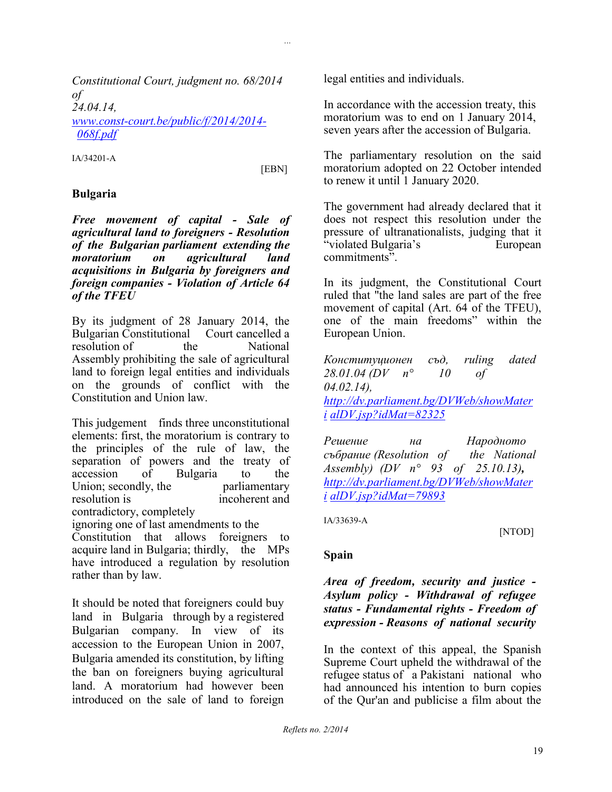*Constitutional Court, judgment no. 68/2014 of 24.04.14, [www.const-court.be/public/f/2014/2014-](http://www.const-court.be/public/f/2014/2014-068f.pdf) [068f.pdf](http://www.const-court.be/public/f/2014/2014-068f.pdf)*

IA/34201-A

[EBN]

*...*

#### **Bulgaria**

*Free movement of capital - Sale of agricultural land to foreigners - Resolution of the Bulgarian parliament extending the moratorium on agricultural land acquisitions in Bulgaria by foreigners and foreign companies - Violation of Article 64 of the TFEU*

By its judgment of 28 January 2014, the Bulgarian Constitutional Court cancelled a resolution of the National Assembly prohibiting the sale of agricultural land to foreign legal entities and individuals on the grounds of conflict with the Constitution and Union law.

This judgement finds three unconstitutional elements: first, the moratorium is contrary to the principles of the rule of law, the separation of powers and the treaty of accession of Bulgaria to the Union; secondly, the parliamentary resolution is incoherent and contradictory, completely

ignoring one of last amendments to the

Constitution that allows foreigners to acquire land in Bulgaria; thirdly, the MPs have introduced a regulation by resolution rather than by law.

It should be noted that foreigners could buy land in Bulgaria through by a registered Bulgarian company. In view of its accession to the European Union in 2007, Bulgaria amended its constitution, by lifting the ban on foreigners buying agricultural land. A moratorium had however been introduced on the sale of land to foreign

legal entities and individuals.

In accordance with the accession treaty, this moratorium was to end on 1 January 2014, seven years after the accession of Bulgaria.

The parliamentary resolution on the said moratorium adopted on 22 October intended to renew it until 1 January 2020.

The government had already declared that it does not respect this resolution under the pressure of ultranationalists, judging that it "violated Bulgaria's European commitments".

In its judgment, the Constitutional Court ruled that "the land sales are part of the free movement of capital (Art. 64 of the TFEU), one of the main freedoms" within the European Union.

*Конституционен съд, ruling dated 28.01.04 (DV n° 10 of 04.02.14), [http://dv.parliament.bg/DVWeb/showMater](http://dv.parliament.bg/DVWeb/showMaterialDV.jsp?idMat=82325) [i](http://dv.parliament.bg/DVWeb/showMaterialDV.jsp?idMat=82325) [alDV.jsp?idMat=82325](http://dv.parliament.bg/DVWeb/showMaterialDV.jsp?idMat=82325)*

*Решение на Народното събрание (Resolution of the National Assembly) (DV n° 93 of 25.10.13), [http://dv.parliament.bg/DVWeb/showMater](http://dv.parliament.bg/DVWeb/showMaterialDV.jsp?idMat=79893) [i](http://dv.parliament.bg/DVWeb/showMaterialDV.jsp?idMat=79893) [alDV.jsp?idMat=79893](http://dv.parliament.bg/DVWeb/showMaterialDV.jsp?idMat=79893)*

IA/33639-A

[NTOD]

### **Spain**

*Area of freedom, security and justice - Asylum policy - Withdrawal of refugee status - Fundamental rights - Freedom of expression - Reasons of national security*

In the context of this appeal, the Spanish Supreme Court upheld the withdrawal of the refugee status of a Pakistani national who had announced his intention to burn copies of the Qur'an and publicise a film about the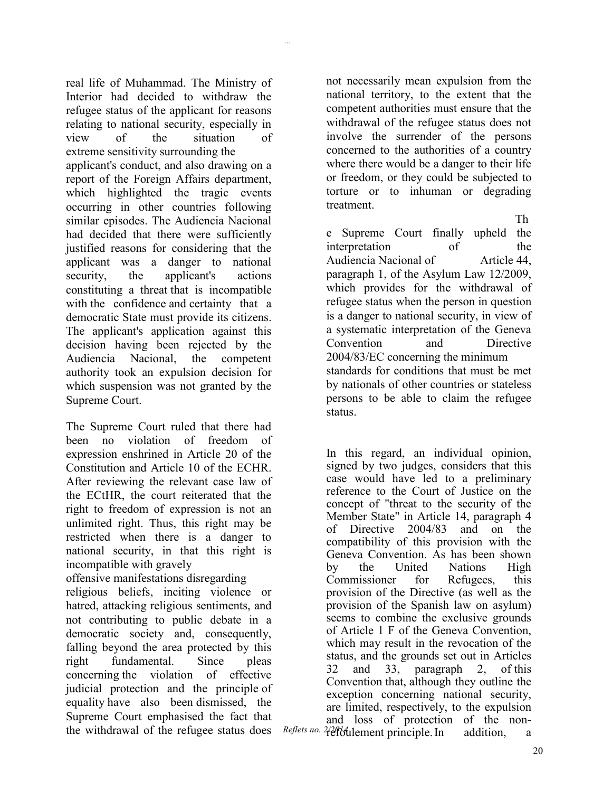real life of Muhammad. The Ministry of Interior had decided to withdraw the refugee status of the applicant for reasons relating to national security, especially in view of the situation of extreme sensitivity surrounding the applicant's conduct, and also drawing on a report of the Foreign Affairs department, which highlighted the tragic events occurring in other countries following

*...*

similar episodes. The Audiencia Nacional had decided that there were sufficiently justified reasons for considering that the applicant was a danger to national security, the applicant's actions constituting a threat that is incompatible with the confidence and certainty that a democratic State must provide its citizens. The applicant's application against this decision having been rejected by the Audiencia Nacional, the competent authority took an expulsion decision for which suspension was not granted by the Supreme Court.

The Supreme Court ruled that there had been no violation of freedom of expression enshrined in Article 20 of the Constitution and Article 10 of the ECHR. After reviewing the relevant case law of the ECtHR, the court reiterated that the right to freedom of expression is not an unlimited right. Thus, this right may be restricted when there is a danger to national security, in that this right is incompatible with gravely

offensive manifestations disregarding religious beliefs, inciting violence or hatred, attacking religious sentiments, and not contributing to public debate in a democratic society and, consequently, falling beyond the area protected by this right fundamental. Since pleas concerning the violation of effective judicial protection and the principle of equality have also been dismissed, the Supreme Court emphasised the fact that the withdrawal of the refugee status does not necessarily mean expulsion from the national territory, to the extent that the competent authorities must ensure that the withdrawal of the refugee status does not involve the surrender of the persons concerned to the authorities of a country where there would be a danger to their life or freedom, or they could be subjected to torture or to inhuman or degrading treatment.

Th e Supreme Court finally upheld the interpretation of the Audiencia Nacional of Article 44. paragraph 1, of the Asylum Law 12/2009, which provides for the withdrawal of refugee status when the person in question is a danger to national security, in view of a systematic interpretation of the Geneva Convention and Directive 2004/83/EC concerning the minimum standards for conditions that must be met by nationals of other countries or stateless persons to be able to claim the refugee status.

Reflets no. 2<sup>2</sup> effbulement principle. In addition, a In this regard, an individual opinion, signed by two judges, considers that this case would have led to a preliminary reference to the Court of Justice on the concept of "threat to the security of the Member State" in Article 14, paragraph 4 of Directive 2004/83 and on the compatibility of this provision with the Geneva Convention. As has been shown by the United Nations High Commissioner for Refugees, this provision of the Directive (as well as the provision of the Spanish law on asylum) seems to combine the exclusive grounds of Article 1 F of the Geneva Convention, which may result in the revocation of the status, and the grounds set out in Articles 32 and 33, paragraph 2, of this Convention that, although they outline the exception concerning national security, are limited, respectively, to the expulsion and loss of protection of the non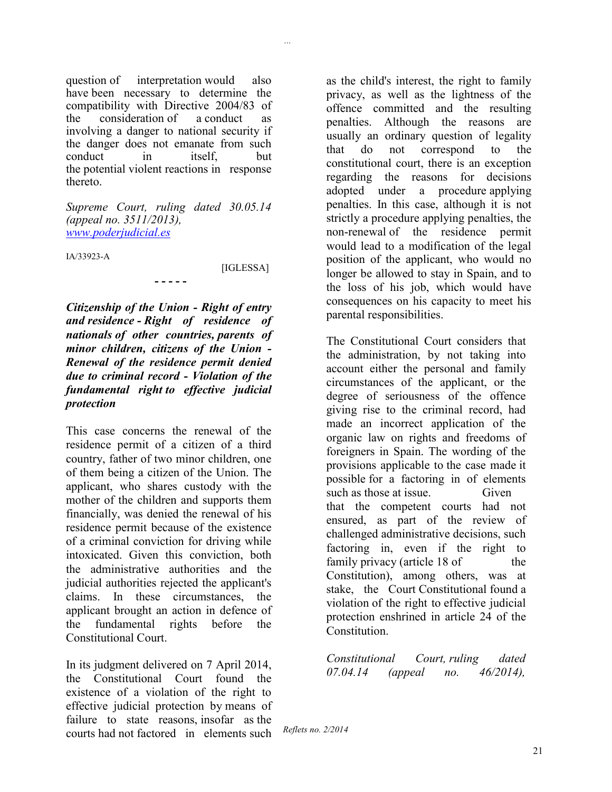question of interpretation would also have been necessary to determine the compatibility with Directive 2004/83 of the consideration of a conduct as involving a danger to national security if the danger does not emanate from such conduct in itself but the potential violent reactions in response thereto.

*Supreme Court, ruling dated 30.05.14 (appeal no. 3511/2013), [www.poderjudicial.es](http://www.poderjudicial.es/)*

**- - - - -**

IA/33923-A

[IGLESSA]

*...*

*Citizenship of the Union - Right of entry and residence - Right of residence of nationals of other countries, parents of minor children, citizens of the Union - Renewal of the residence permit denied due to criminal record - Violation of the fundamental right to effective judicial protection*

This case concerns the renewal of the residence permit of a citizen of a third country, father of two minor children, one of them being a citizen of the Union. The applicant, who shares custody with the mother of the children and supports them financially, was denied the renewal of his residence permit because of the existence of a criminal conviction for driving while intoxicated. Given this conviction, both the administrative authorities and the judicial authorities rejected the applicant's claims. In these circumstances, the applicant brought an action in defence of the fundamental rights before the Constitutional Court.

In its judgment delivered on 7 April 2014, the Constitutional Court found the existence of a violation of the right to effective judicial protection by means of failure to state reasons, insofar as the courts had not factored in elements such as the child's interest, the right to family privacy, as well as the lightness of the offence committed and the resulting penalties. Although the reasons are usually an ordinary question of legality that do not correspond to the constitutional court, there is an exception regarding the reasons for decisions adopted under a procedure applying penalties. In this case, although it is not strictly a procedure applying penalties, the non-renewal of the residence permit would lead to a modification of the legal position of the applicant, who would no longer be allowed to stay in Spain, and to the loss of his job, which would have consequences on his capacity to meet his parental responsibilities.

The Constitutional Court considers that the administration, by not taking into account either the personal and family circumstances of the applicant, or the degree of seriousness of the offence giving rise to the criminal record, had made an incorrect application of the organic law on rights and freedoms of foreigners in Spain. The wording of the provisions applicable to the case made it possible for a factoring in of elements such as those at issue. Given that the competent courts had not ensured, as part of the review of challenged administrative decisions, such factoring in, even if the right to family privacy (article 18 of the Constitution), among others, was at stake, the Court Constitutional found a violation of the right to effective judicial protection enshrined in article 24 of the **Constitution** 

*Constitutional Court, ruling dated 07.04.14 (appeal no. 46/2014),*

*Reflets no. 2/2014*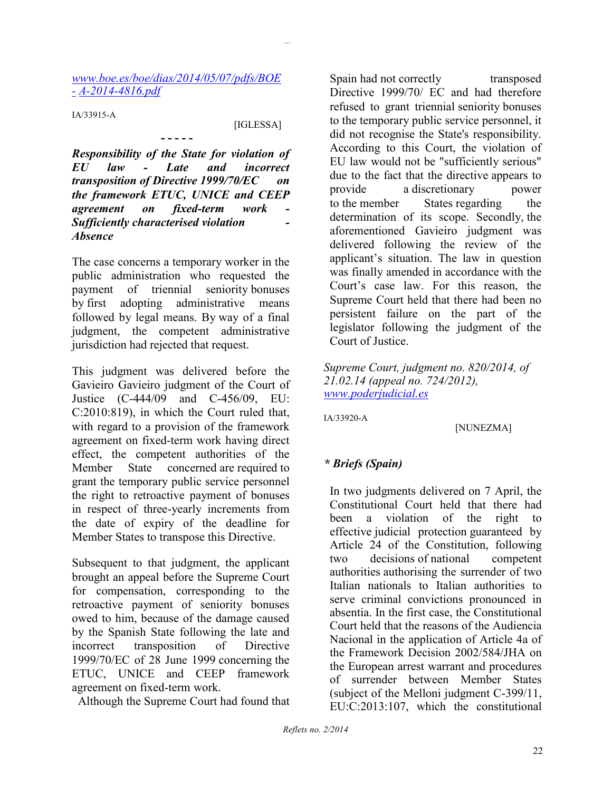#### *[www.boe.es/boe/dias/2014/05/07/pdfs/BOE](http://www.boe.es/boe/dias/2014/05/07/pdfs/BOE-A-2014-4816.pdf) [-](http://www.boe.es/boe/dias/2014/05/07/pdfs/BOE-A-2014-4816.pdf) [A-2014-4816.pdf](http://www.boe.es/boe/dias/2014/05/07/pdfs/BOE-A-2014-4816.pdf)*

**- - - - -**

IA/33915-A

#### [IGLESSA]

*...*

*Responsibility of the State for violation of EU law - Late and incorrect transposition of Directive 1999/70/EC on the framework ETUC, UNICE and CEEP agreement on fixed-term work Sufficiently characterised violation - Absence*

The case concerns a temporary worker in the public administration who requested the payment of triennial seniority bonuses by first adopting administrative means followed by legal means. By way of a final judgment, the competent administrative jurisdiction had rejected that request.

This judgment was delivered before the Gavieiro Gavieiro judgment of the Court of Justice (C-444/09 and C-456/09, EU: C:2010:819), in which the Court ruled that, with regard to a provision of the framework agreement on fixed-term work having direct effect, the competent authorities of the Member State concerned are required to grant the temporary public service personnel the right to retroactive payment of bonuses in respect of three-yearly increments from the date of expiry of the deadline for Member States to transpose this Directive.

Subsequent to that judgment, the applicant brought an appeal before the Supreme Court for compensation, corresponding to the retroactive payment of seniority bonuses owed to him, because of the damage caused by the Spanish State following the late and incorrect transposition of Directive 1999/70/EC of 28 June 1999 concerning the ETUC, UNICE and CEEP framework agreement on fixed-term work.

Although the Supreme Court had found that

Spain had not correctly transposed Directive 1999/70/ EC and had therefore refused to grant triennial seniority bonuses to the temporary public service personnel, it did not recognise the State's responsibility. According to this Court, the violation of EU law would not be "sufficiently serious" due to the fact that the directive appears to provide a discretionary power to the member States regarding the determination of its scope. Secondly, the aforementioned Gavieiro judgment was delivered following the review of the applicant's situation. The law in question was finally amended in accordance with the Court's case law. For this reason, the Supreme Court held that there had been no persistent failure on the part of the legislator following the judgment of the Court of Justice.

*Supreme Court, judgment no. 820/2014, of 21.02.14 (appeal no. 724/2012), [www.poderjudicial.es](http://www.poderjudicial.es/)*

IA/33920-A

[NUNEZMA]

### *\* Briefs (Spain)*

In two judgments delivered on 7 April, the Constitutional Court held that there had been a violation of the right to effective judicial protection guaranteed by Article 24 of the Constitution, following two decisions of national competent authorities authorising the surrender of two Italian nationals to Italian authorities to serve criminal convictions pronounced in absentia. In the first case, the Constitutional Court held that the reasons of the Audiencia Nacional in the application of Article 4a of the Framework Decision 2002/584/JHA on the European arrest warrant and procedures of surrender between Member States (subject of the Melloni judgment C-399/11, EU:C:2013:107, which the constitutional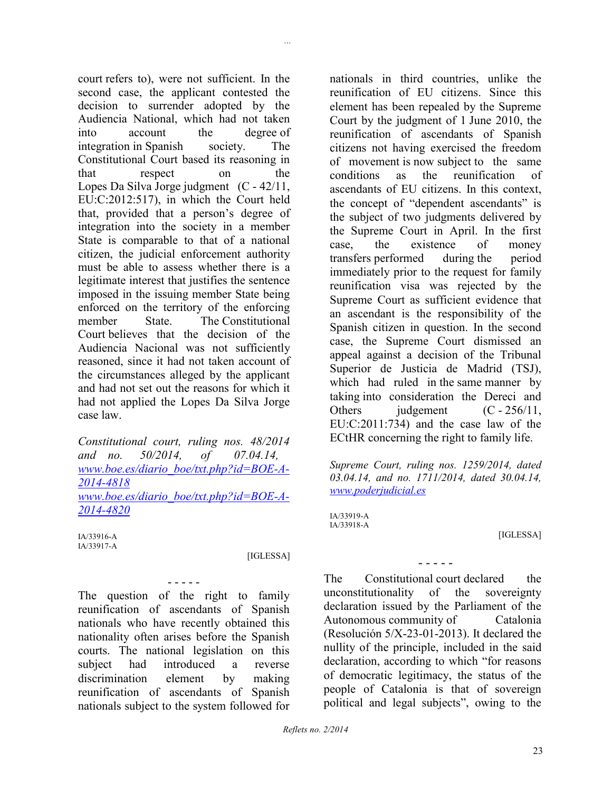court refers to), were not sufficient. In the second case, the applicant contested the decision to surrender adopted by the Audiencia National, which had not taken into account the degree of integration in Spanish society. The Constitutional Court based its reasoning in that respect on the Lopes Da Silva Jorge judgment  $(C - 42/11)$ , EU:C:2012:517), in which the Court held that, provided that a person's degree of integration into the society in a member State is comparable to that of a national citizen, the judicial enforcement authority must be able to assess whether there is a legitimate interest that justifies the sentence imposed in the issuing member State being enforced on the territory of the enforcing member State. The Constitutional Court believes that the decision of the Audiencia Nacional was not sufficiently reasoned, since it had not taken account of the circumstances alleged by the applicant and had not set out the reasons for which it had not applied the Lopes Da Silva Jorge case law.

*Constitutional court, ruling nos. 48/2014 and no. 50/2014, of 07.04.14, [www.boe.es/diario\\_boe/txt.php?id=BOE-A-](http://www.boe.es/diario_boe/txt.php?id=BOE-A-2014-4818)[2014-4818](http://www.boe.es/diario_boe/txt.php?id=BOE-A-2014-4818) [www.boe.es/diario\\_boe/txt.php?id=BOE-A-](http://www.boe.es/diario_boe/txt.php?id=BOE-A-2014-4820)[2014-4820](http://www.boe.es/diario_boe/txt.php?id=BOE-A-2014-4820)*

IA/33916-A IA/33917-A

#### [IGLESSA]

*...*

The question of the right to family reunification of ascendants of Spanish nationals who have recently obtained this nationality often arises before the Spanish courts. The national legislation on this subject had introduced a reverse discrimination element by making reunification of ascendants of Spanish nationals subject to the system followed for

- - - - -

nationals in third countries, unlike the reunification of EU citizens. Since this element has been repealed by the Supreme Court by the judgment of 1 June 2010, the reunification of ascendants of Spanish citizens not having exercised the freedom of movement is now subject to the same conditions as the reunification of ascendants of EU citizens. In this context, the concept of "dependent ascendants" is the subject of two judgments delivered by the Supreme Court in April. In the first case, the existence of money transfers performed during the period immediately prior to the request for family reunification visa was rejected by the Supreme Court as sufficient evidence that an ascendant is the responsibility of the Spanish citizen in question. In the second case, the Supreme Court dismissed an appeal against a decision of the Tribunal Superior de Justicia de Madrid (TSJ), which had ruled in the same manner by taking into consideration the Dereci and Others iudgement  $(C - 256/11)$ , EU:C:2011:734) and the case law of the ECtHR concerning the right to family life.

*Supreme Court, ruling nos. 1259/2014, dated 03.04.14, and no. 1711/2014, dated 30.04.14, [www.poderjudicial.es](http://www.poderjudicial.es/)*

IA/33919-A IA/33918-A

[IGLESSA]

The Constitutional court declared the unconstitutionality of the sovereignty declaration issued by the Parliament of the Autonomous community of Catalonia (Resolución 5/X-23-01-2013). It declared the nullity of the principle, included in the said declaration, according to which "for reasons of democratic legitimacy, the status of the people of Catalonia is that of sovereign political and legal subjects", owing to the

- - - - -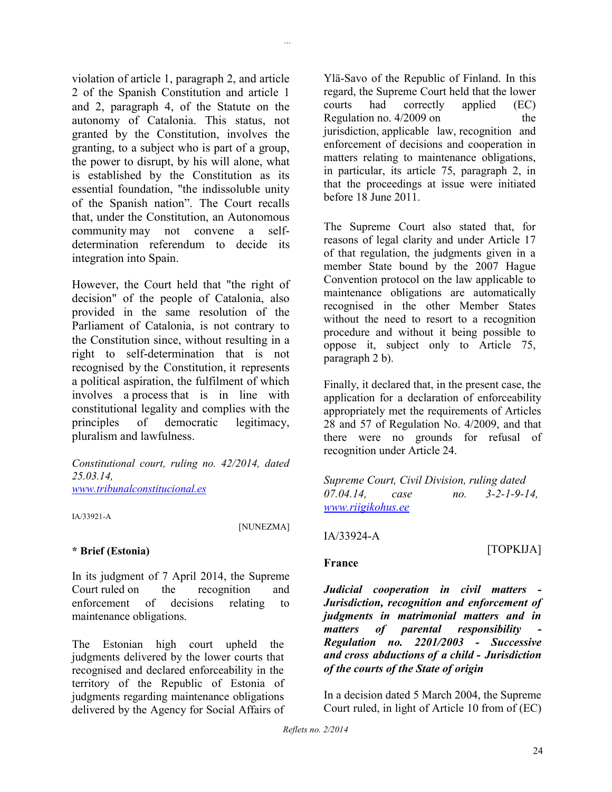violation of article 1, paragraph 2, and article 2 of the Spanish Constitution and article 1 and 2, paragraph 4, of the Statute on the autonomy of Catalonia. This status, not granted by the Constitution, involves the granting, to a subject who is part of a group, the power to disrupt, by his will alone, what is established by the Constitution as its essential foundation, "the indissoluble unity of the Spanish nation". The Court recalls that, under the Constitution, an Autonomous community may not convene a selfdetermination referendum to decide its integration into Spain.

However, the Court held that "the right of decision" of the people of Catalonia, also provided in the same resolution of the Parliament of Catalonia, is not contrary to the Constitution since, without resulting in a right to self-determination that is not recognised by the Constitution, it represents a political aspiration, the fulfilment of which involves a process that is in line with constitutional legality and complies with the principles of democratic legitimacy, pluralism and lawfulness.

*Constitutional court, ruling no. 42/2014, dated 25.03.14, [www.tribunalconstitucional.es](http://www.tribunalconstitucional.es/)*

IA/33921-A

[NUNEZMA]

*...*

### **\* Brief (Estonia)**

In its judgment of 7 April 2014, the Supreme Court ruled on the recognition and enforcement of decisions relating to maintenance obligations.

The Estonian high court upheld the judgments delivered by the lower courts that recognised and declared enforceability in the territory of the Republic of Estonia of judgments regarding maintenance obligations delivered by the Agency for Social Affairs of

Ylä-Savo of the Republic of Finland. In this regard, the Supreme Court held that the lower courts had correctly applied (EC) Regulation no.  $4/2009$  on the jurisdiction, applicable law, recognition and enforcement of decisions and cooperation in matters relating to maintenance obligations, in particular, its article 75, paragraph 2, in that the proceedings at issue were initiated before 18 June 2011.

The Supreme Court also stated that, for reasons of legal clarity and under Article 17 of that regulation, the judgments given in a member State bound by the 2007 Hague Convention protocol on the law applicable to maintenance obligations are automatically recognised in the other Member States without the need to resort to a recognition procedure and without it being possible to oppose it, subject only to Article 75, paragraph 2 b).

Finally, it declared that, in the present case, the application for a declaration of enforceability appropriately met the requirements of Articles 28 and 57 of Regulation No. 4/2009, and that there were no grounds for refusal of recognition under Article 24.

*Supreme Court, Civil Division, ruling dated 07.04.14, case no. 3-2-1-9-14, [www.riigikohus.ee](http://www.riigikohus.ee/)*

### IA/33924-A

[TOPKIJA]

### **France**

*Judicial cooperation in civil matters - Jurisdiction, recognition and enforcement of judgments in matrimonial matters and in matters of parental responsibility - Regulation no. 2201/2003 - Successive and cross abductions of a child - Jurisdiction of the courts of the State of origin*

In a decision dated 5 March 2004, the Supreme Court ruled, in light of Article 10 from of (EC)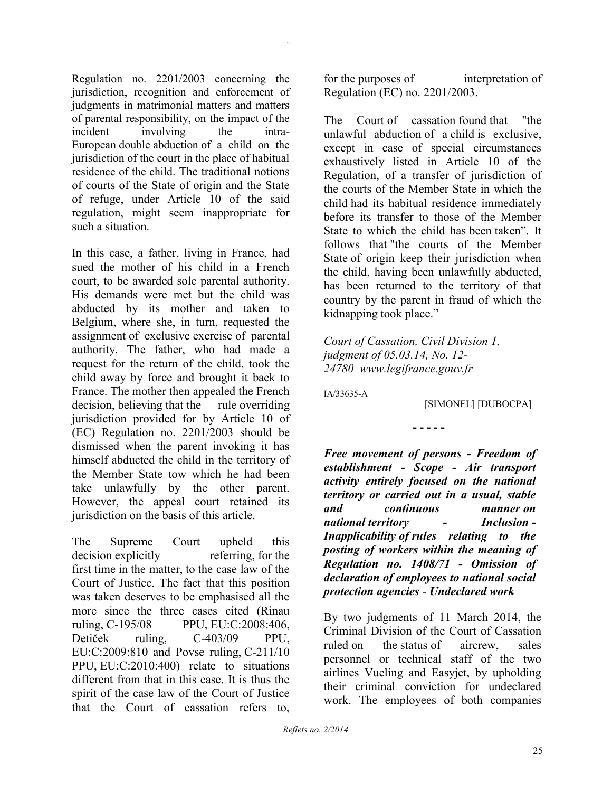Regulation no. 2201/2003 concerning the jurisdiction, recognition and enforcement of judgments in matrimonial matters and matters of parental responsibility, on the impact of the incident involving the intra-European double abduction of a child on the jurisdiction of the court in the place of habitual residence of the child. The traditional notions of courts of the State of origin and the State of refuge, under Article 10 of the said regulation, might seem inappropriate for such a situation.

*...*

In this case, a father, living in France, had sued the mother of his child in a French court, to be awarded sole parental authority. His demands were met but the child was abducted by its mother and taken to Belgium, where she, in turn, requested the assignment of exclusive exercise of parental authority. The father, who had made a request for the return of the child, took the child away by force and brought it back to France. The mother then appealed the French decision, believing that the rule overriding jurisdiction provided for by Article 10 of (EC) Regulation no. 2201/2003 should be dismissed when the parent invoking it has himself abducted the child in the territory of the Member State tow which he had been take unlawfully by the other parent. However, the appeal court retained its jurisdiction on the basis of this article.

The Supreme Court upheld this decision explicitly referring, for the first time in the matter, to the case law of the Court of Justice. The fact that this position was taken deserves to be emphasised all the more since the three cases cited (Rinau ruling, C-195/08 PPU, EU:C:2008:406, Detiček ruling, C-403/09 PPU, EU:C:2009:810 and Povse ruling, C-211/10 PPU, EU:C:2010:400) relate to situations different from that in this case. It is thus the spirit of the case law of the Court of Justice that the Court of cassation refers to,

for the purposes of interpretation of Regulation (EC) no. 2201/2003.

The Court of cassation found that "the unlawful abduction of a child is exclusive, except in case of special circumstances exhaustively listed in Article 10 of the Regulation, of a transfer of jurisdiction of the courts of the Member State in which the child had its habitual residence immediately before its transfer to those of the Member State to which the child has been taken". It follows that "the courts of the Member State of origin keep their jurisdiction when the child, having been unlawfully abducted, has been returned to the territory of that country by the parent in fraud of which the kidnapping took place."

*Court of Cassation, Civil Division 1, judgment of 05.03.14, No. 12- 24780 www.legifrance.gouv.fr*

IA/33635-A

[SIMONFL] [DUBOCPA]

**- - - - -**

*Free movement of persons - Freedom of establishment - Scope - Air transport activity entirely focused on the national territory or carried out in a usual, stable and continuous manner on national territory - Inclusion - Inapplicability of rules relating to the posting of workers within the meaning of Regulation no. 1408/71 - Omission of declaration of employees to national social protection agencies* - *Undeclared work*

By two judgments of 11 March 2014, the Criminal Division of the Court of Cassation ruled on the status of aircrew, sales personnel or technical staff of the two airlines Vueling and Easyjet, by upholding their criminal conviction for undeclared work. The employees of both companies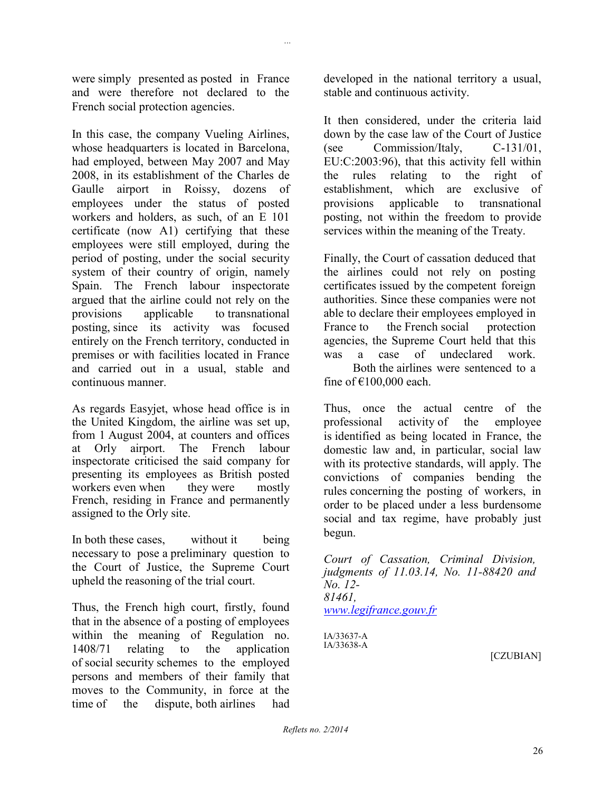were simply presented as posted in France and were therefore not declared to the French social protection agencies.

*...*

In this case, the company Vueling Airlines, whose headquarters is located in Barcelona, had employed, between May 2007 and May 2008, in its establishment of the Charles de Gaulle airport in Roissy, dozens of employees under the status of posted workers and holders, as such, of an E 101 certificate (now A1) certifying that these employees were still employed, during the period of posting, under the social security system of their country of origin, namely Spain. The French labour inspectorate argued that the airline could not rely on the provisions applicable to transnational posting, since its activity was focused entirely on the French territory, conducted in premises or with facilities located in France and carried out in a usual, stable and continuous manner.

As regards Easyjet, whose head office is in the United Kingdom, the airline was set up, from 1 August 2004, at counters and offices at Orly airport. The French labour inspectorate criticised the said company for presenting its employees as British posted workers even when they were mostly French, residing in France and permanently assigned to the Orly site.

In both these cases, without it being necessary to pose a preliminary question to the Court of Justice, the Supreme Court upheld the reasoning of the trial court.

Thus, the French high court, firstly, found that in the absence of a posting of employees within the meaning of Regulation no. 1408/71 relating to the application of social security schemes to the employed persons and members of their family that moves to the Community, in force at the time of the dispute, both airlines had developed in the national territory a usual, stable and continuous activity.

It then considered, under the criteria laid down by the case law of the Court of Justice (see Commission/Italy, C-131/01, EU:C:2003:96), that this activity fell within the rules relating to the right of establishment, which are exclusive of provisions applicable to transnational posting, not within the freedom to provide services within the meaning of the Treaty.

Finally, the Court of cassation deduced that the airlines could not rely on posting certificates issued by the competent foreign authorities. Since these companies were not able to declare their employees employed in France to the French social protection agencies, the Supreme Court held that this was a case of undeclared work.

Both the airlines were sentenced to a fine of  $£100,000$  each.

Thus, once the actual centre of the professional activity of the employee is identified as being located in France, the domestic law and, in particular, social law with its protective standards, will apply. The convictions of companies bending the rules concerning the posting of workers, in order to be placed under a less burdensome social and tax regime, have probably just begun.

*Court of Cassation, Criminal Division, judgments of 11.03.14, No. 11-88420 and No. 12- 81461, [www.legifrance.gouv.fr](http://www.legifrance.gouv.fr/)*

IA/33637-A IA/33638-A

[CZUBIAN]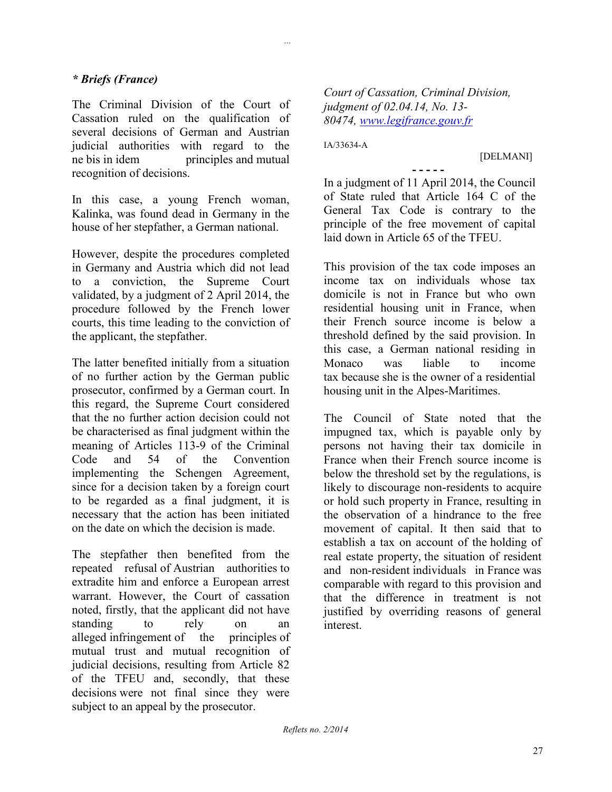### *\* Briefs (France)*

The Criminal Division of the Court of Cassation ruled on the qualification of several decisions of German and Austrian judicial authorities with regard to the ne bis in idem principles and mutual recognition of decisions.

In this case, a young French woman, Kalinka, was found dead in Germany in the house of her stepfather, a German national.

However, despite the procedures completed in Germany and Austria which did not lead to a conviction, the Supreme Court validated, by a judgment of 2 April 2014, the procedure followed by the French lower courts, this time leading to the conviction of the applicant, the stepfather.

The latter benefited initially from a situation of no further action by the German public prosecutor, confirmed by a German court. In this regard, the Supreme Court considered that the no further action decision could not be characterised as final judgment within the meaning of Articles 113-9 of the Criminal Code and 54 of the Convention implementing the Schengen Agreement, since for a decision taken by a foreign court to be regarded as a final judgment, it is necessary that the action has been initiated on the date on which the decision is made.

The stepfather then benefited from the repeated refusal of Austrian authorities to extradite him and enforce a European arrest warrant. However, the Court of cassation noted, firstly, that the applicant did not have standing to rely on an alleged infringement of the principles of mutual trust and mutual recognition of judicial decisions, resulting from Article 82 of the TFEU and, secondly, that these decisions were not final since they were subject to an appeal by the prosecutor.

*Court of Cassation, Criminal Division, judgment of 02.04.14, No. 13- 80474, [www.legifrance.gouv.fr](http://www.legifrance.gouv.fr/)*

IA/33634-A

*...*

[DELMANI]

**- - - - -**

In a judgment of 11 April 2014, the Council of State ruled that Article 164 C of the General Tax Code is contrary to the principle of the free movement of capital laid down in Article 65 of the TFEU.

This provision of the tax code imposes an income tax on individuals whose tax domicile is not in France but who own residential housing unit in France, when their French source income is below a threshold defined by the said provision. In this case, a German national residing in Monaco was liable to income tax because she is the owner of a residential housing unit in the Alpes-Maritimes.

The Council of State noted that the impugned tax, which is payable only by persons not having their tax domicile in France when their French source income is below the threshold set by the regulations, is likely to discourage non-residents to acquire or hold such property in France, resulting in the observation of a hindrance to the free movement of capital. It then said that to establish a tax on account of the holding of real estate property, the situation of resident and non-resident individuals in France was comparable with regard to this provision and that the difference in treatment is not justified by overriding reasons of general interest.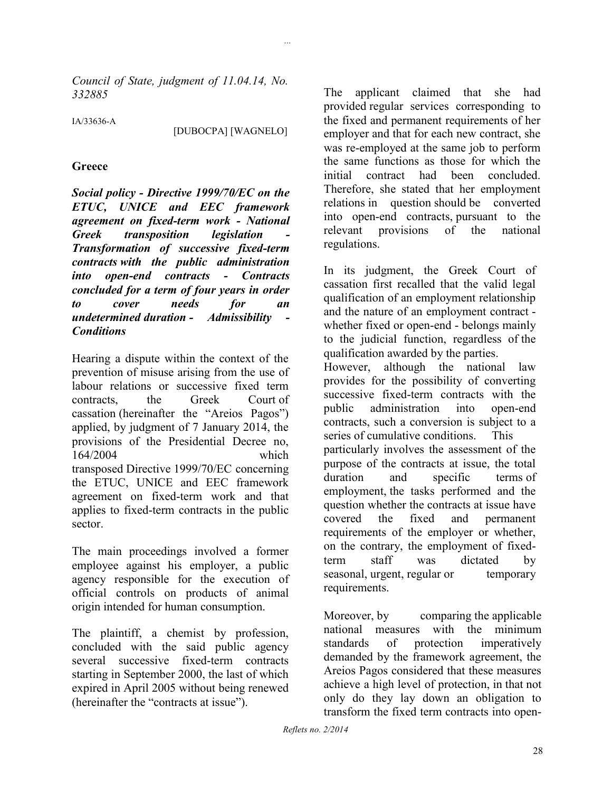*Council of State, judgment of 11.04.14, No. 332885*

IA/33636-A

[DUBOCPA] [WAGNELO]

*...*

#### **Greece**

*Social policy - Directive 1999/70/EC on the ETUC, UNICE and EEC framework agreement on fixed-term work - National*   $Greek$  *transposition legislation Transformation of successive fixed-term contracts with the public administration into open-end contracts - Contracts concluded for a term of four years in order to cover needs for an undetermined duration - Admissibility - Conditions*

Hearing a dispute within the context of the prevention of misuse arising from the use of labour relations or successive fixed term contracts, the Greek Court of cassation (hereinafter the "Areios Pagos") applied, by judgment of 7 January 2014, the provisions of the Presidential Decree no, 164/2004 which transposed Directive 1999/70/EC concerning the ETUC, UNICE and EEC framework agreement on fixed-term work and that applies to fixed-term contracts in the public sector.

The main proceedings involved a former employee against his employer, a public agency responsible for the execution of official controls on products of animal origin intended for human consumption.

The plaintiff, a chemist by profession, concluded with the said public agency several successive fixed-term contracts starting in September 2000, the last of which expired in April 2005 without being renewed (hereinafter the "contracts at issue").

The applicant claimed that she had provided regular services corresponding to the fixed and permanent requirements of her employer and that for each new contract, she was re-employed at the same job to perform the same functions as those for which the initial contract had been concluded. Therefore, she stated that her employment relations in question should be converted into open-end contracts, pursuant to the relevant provisions of the national regulations.

In its judgment, the Greek Court of cassation first recalled that the valid legal qualification of an employment relationship and the nature of an employment contract whether fixed or open-end - belongs mainly to the judicial function, regardless of the qualification awarded by the parties. However, although the national law provides for the possibility of converting successive fixed-term contracts with the public administration into open-end contracts, such a conversion is subject to a series of cumulative conditions. This particularly involves the assessment of the purpose of the contracts at issue, the total duration and specific terms of employment, the tasks performed and the question whether the contracts at issue have covered the fixed and permanent requirements of the employer or whether, on the contrary, the employment of fixedterm staff was dictated by seasonal, urgent, regular or temporary requirements.

Moreover, by comparing the applicable national measures with the minimum standards of protection imperatively demanded by the framework agreement, the Areios Pagos considered that these measures achieve a high level of protection, in that not only do they lay down an obligation to transform the fixed term contracts into open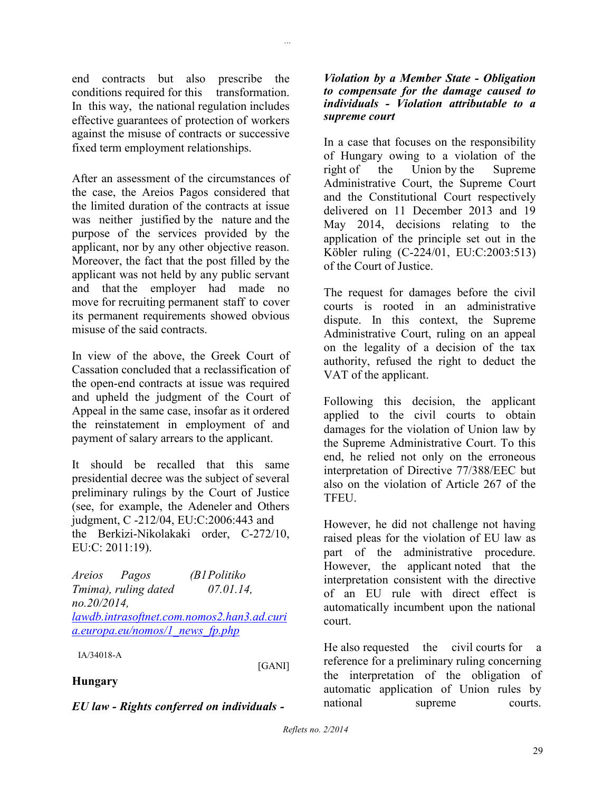end contracts but also prescribe the conditions required for this transformation. In this way, the national regulation includes effective guarantees of protection of workers against the misuse of contracts or successive fixed term employment relationships.

*...*

After an assessment of the circumstances of the case, the Areios Pagos considered that the limited duration of the contracts at issue was neither justified by the nature and the purpose of the services provided by the applicant, nor by any other objective reason. Moreover, the fact that the post filled by the applicant was not held by any public servant and that the employer had made no move for recruiting permanent staff to cover its permanent requirements showed obvious misuse of the said contracts.

In view of the above, the Greek Court of Cassation concluded that a reclassification of the open-end contracts at issue was required and upheld the judgment of the Court of Appeal in the same case, insofar as it ordered the reinstatement in employment of and payment of salary arrears to the applicant.

It should be recalled that this same presidential decree was the subject of several preliminary rulings by the Court of Justice (see, for example, the Adeneler and Others judgment, C -212/04, EU:C:2006:443 and the Berkizi-Nikolakaki order, C-272/10, EU:C: 2011:19).

*Areios Pagos (B1Politiko Tmima), ruling dated 07.01.14, no.20/2014, [lawdb.intrasoftnet.com.nomos2.han3.ad.curi](http://lawdb.intrasoftnet.com.nomos2.han3.ad.curia.europa.eu/nomos/1_news_fp.php) [a.europa.eu/nomos/1\\_news\\_fp.php](http://lawdb.intrasoftnet.com.nomos2.han3.ad.curia.europa.eu/nomos/1_news_fp.php)*

IA/34018-A

[GANI]

### **Hungary**

*EU law - Rights conferred on individuals -*

### *Violation by a Member State - Obligation to compensate for the damage caused to individuals - Violation attributable to a supreme court*

In a case that focuses on the responsibility of Hungary owing to a violation of the right of the Union by the Supreme Administrative Court, the Supreme Court and the Constitutional Court respectively delivered on 11 December 2013 and 19 May 2014, decisions relating to the application of the principle set out in the Köbler ruling (C-224/01, EU:C:2003:513) of the Court of Justice.

The request for damages before the civil courts is rooted in an administrative dispute. In this context, the Supreme Administrative Court, ruling on an appeal on the legality of a decision of the tax authority, refused the right to deduct the VAT of the applicant.

Following this decision, the applicant applied to the civil courts to obtain damages for the violation of Union law by the Supreme Administrative Court. To this end, he relied not only on the erroneous interpretation of Directive 77/388/EEC but also on the violation of Article 267 of the **TFEU** 

However, he did not challenge not having raised pleas for the violation of EU law as part of the administrative procedure. However, the applicant noted that the interpretation consistent with the directive of an EU rule with direct effect is automatically incumbent upon the national court.

He also requested the civil courts for a reference for a preliminary ruling concerning the interpretation of the obligation of automatic application of Union rules by national supreme courts.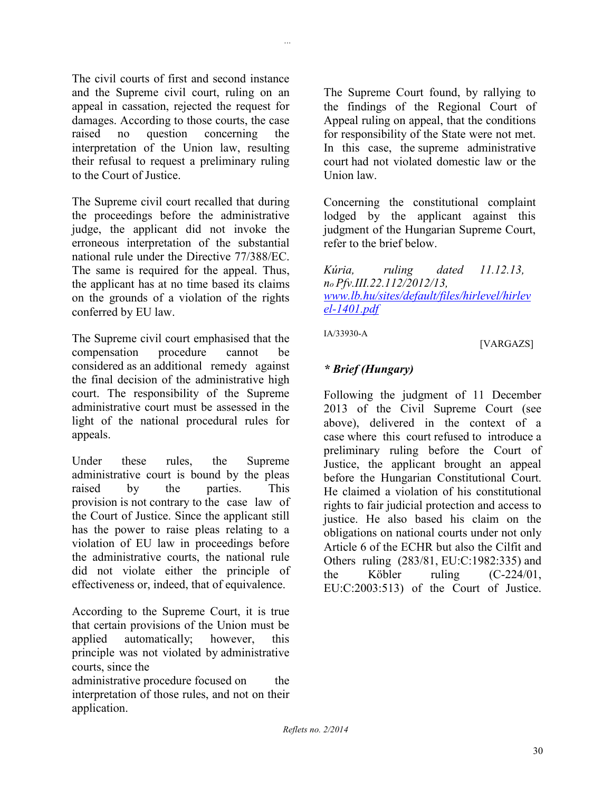The civil courts of first and second instance and the Supreme civil court, ruling on an appeal in cassation, rejected the request for damages. According to those courts, the case raised no question concerning the interpretation of the Union law, resulting their refusal to request a preliminary ruling to the Court of Justice.

The Supreme civil court recalled that during the proceedings before the administrative judge, the applicant did not invoke the erroneous interpretation of the substantial national rule under the Directive 77/388/EC. The same is required for the appeal. Thus, the applicant has at no time based its claims on the grounds of a violation of the rights conferred by EU law.

The Supreme civil court emphasised that the compensation procedure cannot be considered as an additional remedy against the final decision of the administrative high court. The responsibility of the Supreme administrative court must be assessed in the light of the national procedural rules for appeals.

Under these rules, the Supreme administrative court is bound by the pleas raised by the parties. This provision is not contrary to the case law of the Court of Justice. Since the applicant still has the power to raise pleas relating to a violation of EU law in proceedings before the administrative courts, the national rule did not violate either the principle of effectiveness or, indeed, that of equivalence.

According to the Supreme Court, it is true that certain provisions of the Union must be applied automatically; however, this principle was not violated by administrative courts, since the

administrative procedure focused on the interpretation of those rules, and not on their application.

The Supreme Court found, by rallying to the findings of the Regional Court of Appeal ruling on appeal, that the conditions for responsibility of the State were not met. In this case, the supreme administrative court had not violated domestic law or the Union law.

Concerning the constitutional complaint lodged by the applicant against this judgment of the Hungarian Supreme Court, refer to the brief below.

*Kúria, ruling dated 11.12.13, no Pfv.III.22.112/2012/13, [www.lb.hu/sites/default/files/hirlevel/hirlev](http://www.lb.hu/sites/default/files/hirlevel/hirlevel-1401.pdf) [el-1401.pdf](http://www.lb.hu/sites/default/files/hirlevel/hirlevel-1401.pdf)*

IA/33930-A

*...*

[VARGAZS]

### *\* Brief (Hungary)*

Following the judgment of 11 December 2013 of the Civil Supreme Court (see above), delivered in the context of a case where this court refused to introduce a preliminary ruling before the Court of Justice, the applicant brought an appeal before the Hungarian Constitutional Court. He claimed a violation of his constitutional rights to fair judicial protection and access to justice. He also based his claim on the obligations on national courts under not only Article 6 of the ECHR but also the Cilfit and Others ruling (283/81, EU:C:1982:335) and the Köbler ruling (C-224/01, EU:C:2003:513) of the Court of Justice.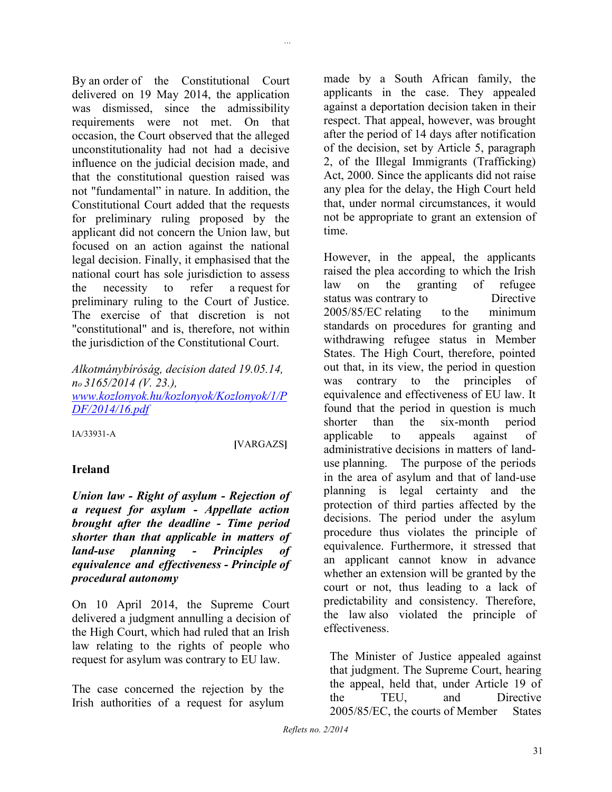By an order of the Constitutional Court delivered on 19 May 2014, the application was dismissed, since the admissibility requirements were not met. On that occasion, the Court observed that the alleged unconstitutionality had not had a decisive influence on the judicial decision made, and that the constitutional question raised was not "fundamental" in nature. In addition, the Constitutional Court added that the requests for preliminary ruling proposed by the applicant did not concern the Union law, but focused on an action against the national legal decision. Finally, it emphasised that the national court has sole jurisdiction to assess the necessity to refer a request for preliminary ruling to the Court of Justice. The exercise of that discretion is not "constitutional" and is, therefore, not within the jurisdiction of the Constitutional Court.

*Alkotmánybíróság, decision dated 19.05.14, no 3165/2014 (V. 23.), [www.kozlonyok.hu/kozlonyok/Kozlonyok/1/P](http://www.kozlonyok.hu/kozlonyok/Kozlonyok/1/PDF/2014/16.pdf) [DF/2014/16.pdf](http://www.kozlonyok.hu/kozlonyok/Kozlonyok/1/PDF/2014/16.pdf)*

IA/33931-A

**[**VARGAZS**]**

*...*

### **Ireland**

*Union law - Right of asylum - Rejection of a request for asylum - Appellate action brought after the deadline - Time period shorter than that applicable in matters of land-use planning - Principles of equivalence and effectiveness - Principle of procedural autonomy*

On 10 April 2014, the Supreme Court delivered a judgment annulling a decision of the High Court, which had ruled that an Irish law relating to the rights of people who request for asylum was contrary to EU law.

The case concerned the rejection by the Irish authorities of a request for asylum

made by a South African family, the applicants in the case. They appealed against a deportation decision taken in their respect. That appeal, however, was brought after the period of 14 days after notification of the decision, set by Article 5, paragraph 2, of the Illegal Immigrants (Trafficking) Act, 2000. Since the applicants did not raise any plea for the delay, the High Court held that, under normal circumstances, it would not be appropriate to grant an extension of time.

However, in the appeal, the applicants raised the plea according to which the Irish law on the granting of refugee status was contrary to Directive 2005/85/EC relating to the minimum standards on procedures for granting and withdrawing refugee status in Member States. The High Court, therefore, pointed out that, in its view, the period in question was contrary to the principles of equivalence and effectiveness of EU law. It found that the period in question is much shorter than the six-month period applicable to appeals against of administrative decisions in matters of landuse planning. The purpose of the periods in the area of asylum and that of land-use planning is legal certainty and the protection of third parties affected by the decisions. The period under the asylum procedure thus violates the principle of equivalence. Furthermore, it stressed that an applicant cannot know in advance whether an extension will be granted by the court or not, thus leading to a lack of predictability and consistency. Therefore, the law also violated the principle of effectiveness.

The Minister of Justice appealed against that judgment. The Supreme Court, hearing the appeal, held that, under Article 19 of the TEU, and Directive 2005/85/EC, the courts of Member States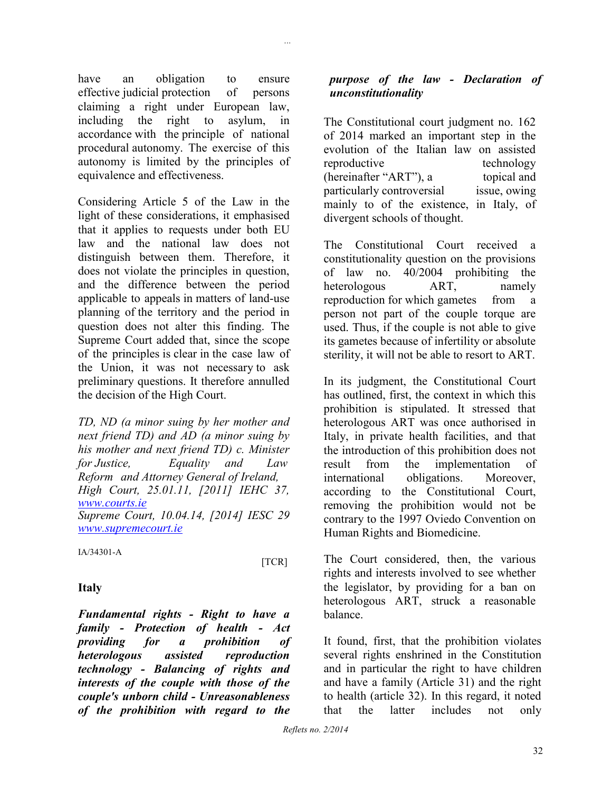have an obligation to ensure effective judicial protection of persons claiming a right under European law, including the right to asylum, in accordance with the principle of national procedural autonomy. The exercise of this autonomy is limited by the principles of equivalence and effectiveness.

*...*

Considering Article 5 of the Law in the light of these considerations, it emphasised that it applies to requests under both EU law and the national law does not distinguish between them. Therefore, it does not violate the principles in question, and the difference between the period applicable to appeals in matters of land-use planning of the territory and the period in question does not alter this finding. The Supreme Court added that, since the scope of the principles is clear in the case law of the Union, it was not necessary to ask preliminary questions. It therefore annulled the decision of the High Court.

*TD, ND (a minor suing by her mother and next friend TD) and AD (a minor suing by his mother and next friend TD) c. Minister for Justice, Equality and Law Reform and Attorney General of Ireland, High Court, 25.01.11, [2011] IEHC 37, [www.courts.ie](http://www.courts.ie/) Supreme Court, 10.04.14, [2014] IESC 29 [www.supremecourt.ie](http://www.supremecourt.ie/)*

IA/34301-A

[TCR]

### **Italy**

*Fundamental rights - Right to have a family - Protection of health - Act providing for a prohibition of heterologous assisted reproduction technology - Balancing of rights and interests of the couple with those of the couple's unborn child - Unreasonableness of the prohibition with regard to the* 

### *purpose of the law - Declaration of unconstitutionality*

The Constitutional court judgment no. 162 of 2014 marked an important step in the evolution of the Italian law on assisted reproductive technology (hereinafter "ART"), a topical and particularly controversial issue, owing mainly to of the existence, in Italy, of divergent schools of thought.

The Constitutional Court received a constitutionality question on the provisions of law no. 40/2004 prohibiting the heterologous ART, namely reproduction for which gametes from a person not part of the couple torque are used. Thus, if the couple is not able to give its gametes because of infertility or absolute sterility, it will not be able to resort to ART.

In its judgment, the Constitutional Court has outlined, first, the context in which this prohibition is stipulated. It stressed that heterologous ART was once authorised in Italy, in private health facilities, and that the introduction of this prohibition does not result from the implementation of international obligations. Moreover, according to the Constitutional Court, removing the prohibition would not be contrary to the 1997 Oviedo Convention on Human Rights and Biomedicine.

The Court considered, then, the various rights and interests involved to see whether the legislator, by providing for a ban on heterologous ART, struck a reasonable balance.

It found, first, that the prohibition violates several rights enshrined in the Constitution and in particular the right to have children and have a family (Article 31) and the right to health (article 32). In this regard, it noted that the latter includes not only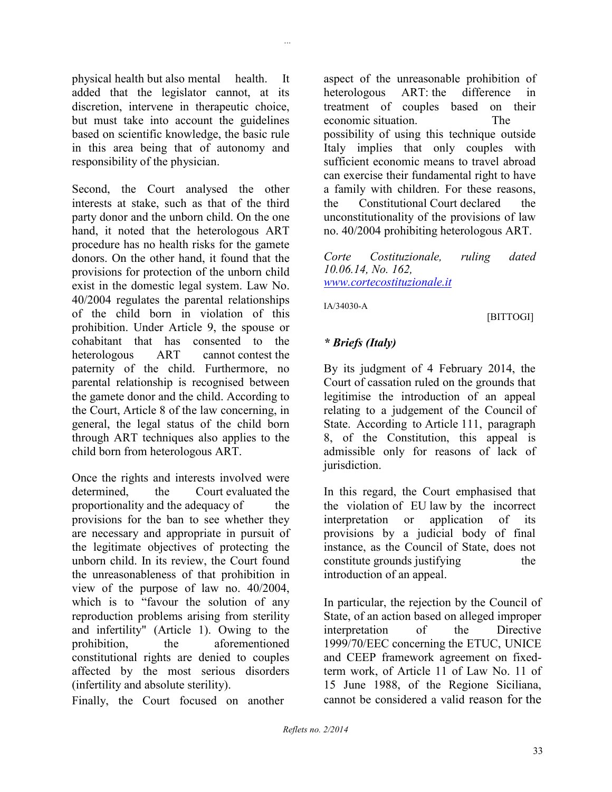physical health but also mental health. It added that the legislator cannot, at its discretion, intervene in therapeutic choice, but must take into account the guidelines based on scientific knowledge, the basic rule in this area being that of autonomy and responsibility of the physician.

Second, the Court analysed the other interests at stake, such as that of the third party donor and the unborn child. On the one hand, it noted that the heterologous ART procedure has no health risks for the gamete donors. On the other hand, it found that the provisions for protection of the unborn child exist in the domestic legal system. Law No. 40/2004 regulates the parental relationships of the child born in violation of this prohibition. Under Article 9, the spouse or cohabitant that has consented to the heterologous ART cannot contest the paternity of the child. Furthermore, no parental relationship is recognised between the gamete donor and the child. According to the Court, Article 8 of the law concerning, in general, the legal status of the child born through ART techniques also applies to the child born from heterologous ART.

Once the rights and interests involved were determined the Court evaluated the proportionality and the adequacy of the provisions for the ban to see whether they are necessary and appropriate in pursuit of the legitimate objectives of protecting the unborn child. In its review, the Court found the unreasonableness of that prohibition in view of the purpose of law no. 40/2004, which is to "favour the solution of any reproduction problems arising from sterility and infertility" (Article 1). Owing to the prohibition, the aforementioned constitutional rights are denied to couples affected by the most serious disorders (infertility and absolute sterility).

Finally, the Court focused on another

aspect of the unreasonable prohibition of heterologous ART: the difference in treatment of couples based on their economic situation. The possibility of using this technique outside Italy implies that only couples with sufficient economic means to travel abroad can exercise their fundamental right to have a family with children. For these reasons, the Constitutional Court declared the unconstitutionality of the provisions of law no. 40/2004 prohibiting heterologous ART.

*Corte Costituzionale, ruling dated 10.06.14, No. 162, [www.cortecostituzionale.it](http://www.cortecostituzionale.it/)*

IA/34030-A

[BITTOGI]

### *\* Briefs (Italy)*

By its judgment of 4 February 2014, the Court of cassation ruled on the grounds that legitimise the introduction of an appeal relating to a judgement of the Council of State. According to Article 111, paragraph 8, of the Constitution, this appeal is admissible only for reasons of lack of jurisdiction.

In this regard, the Court emphasised that the violation of EU law by the incorrect interpretation or application of its provisions by a judicial body of final instance, as the Council of State, does not constitute grounds justifying the introduction of an appeal.

In particular, the rejection by the Council of State, of an action based on alleged improper interpretation of the Directive 1999/70/EEC concerning the ETUC, UNICE and CEEP framework agreement on fixedterm work, of Article 11 of Law No. 11 of 15 June 1988, of the Regione Siciliana, cannot be considered a valid reason for the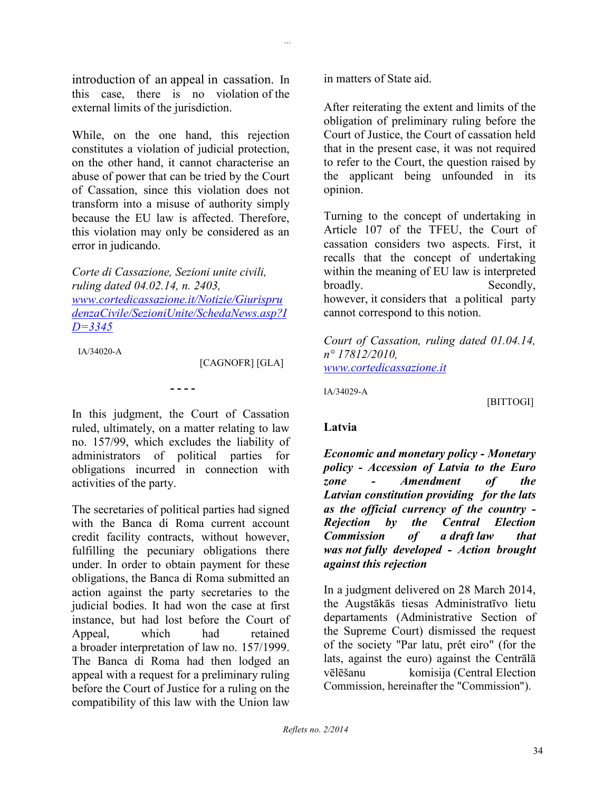introduction of an appeal in cassation. In this case, there is no violation of the external limits of the jurisdiction.

While, on the one hand, this rejection constitutes a violation of judicial protection, on the other hand, it cannot characterise an abuse of power that can be tried by the Court of Cassation, since this violation does not transform into a misuse of authority simply because the EU law is affected. Therefore, this violation may only be considered as an error in judicando.

*Corte di Cassazione, Sezioni unite civili, ruling dated 04.02.14, n. 2403, [www.cortedicassazione.it/Notizie/Giurispru](http://www.cortedicassazione.it/Notizie/GiurisprudenzaCivile/SezioniUnite/SchedaNews.asp?ID=3345) [denzaCivile/SezioniUnite/SchedaNews.asp?I](http://www.cortedicassazione.it/Notizie/GiurisprudenzaCivile/SezioniUnite/SchedaNews.asp?ID=3345) [D=3345](http://www.cortedicassazione.it/Notizie/GiurisprudenzaCivile/SezioniUnite/SchedaNews.asp?ID=3345)*

IA/34020-A

[CAGNOFR] [GLA]

In this judgment, the Court of Cassation ruled, ultimately, on a matter relating to law no. 157/99, which excludes the liability of administrators of political parties for obligations incurred in connection with activities of the party.

**- - - -**

The secretaries of political parties had signed with the Banca di Roma current account credit facility contracts, without however, fulfilling the pecuniary obligations there under. In order to obtain payment for these obligations, the Banca di Roma submitted an action against the party secretaries to the judicial bodies. It had won the case at first instance, but had lost before the Court of Appeal, which had retained a broader interpretation of law no. 157/1999. The Banca di Roma had then lodged an appeal with a request for a preliminary ruling before the Court of Justice for a ruling on the compatibility of this law with the Union law

in matters of State aid.

*...*

After reiterating the extent and limits of the obligation of preliminary ruling before the Court of Justice, the Court of cassation held that in the present case, it was not required to refer to the Court, the question raised by the applicant being unfounded in its opinion.

Turning to the concept of undertaking in Article 107 of the TFEU, the Court of cassation considers two aspects. First, it recalls that the concept of undertaking within the meaning of EU law is interpreted broadly. Secondly, however, it considers that a political party cannot correspond to this notion.

*Court of Cassation, ruling dated 01.04.14, n° 17812/2010, [www.cortedicassazione.it](http://www.cortedicassazione.it/)*

IA/34029-A

[BITTOGI]

### **Latvia**

*Economic and monetary policy - Monetary policy - Accession of Latvia to the Euro zone - Amendment of the Latvian constitution providing for the lats as the official currency of the country - Rejection by the Central Election Commission of a draft law that was not fully developed - Action brought against this rejection*

In a judgment delivered on 28 March 2014, the Augstākās tiesas Administratīvo lietu departaments (Administrative Section of the Supreme Court) dismissed the request of the society "Par latu, prêt eiro" (for the lats, against the euro) against the Centrālā vēlēšanu komisija (Central Election Commission, hereinafter the "Commission").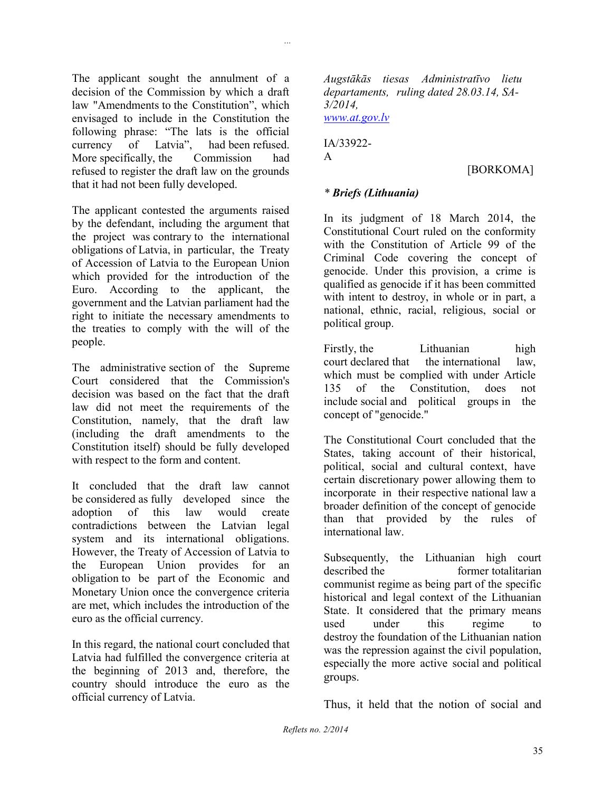The applicant sought the annulment of a decision of the Commission by which a draft law "Amendments to the Constitution", which envisaged to include in the Constitution the following phrase: "The lats is the official currency of Latvia", had been refused. More specifically, the Commission had refused to register the draft law on the grounds that it had not been fully developed.

The applicant contested the arguments raised by the defendant, including the argument that the project was contrary to the international obligations of Latvia, in particular, the Treaty of Accession of Latvia to the European Union which provided for the introduction of the Euro. According to the applicant, the government and the Latvian parliament had the right to initiate the necessary amendments to the treaties to comply with the will of the people.

The administrative section of the Supreme Court considered that the Commission's decision was based on the fact that the draft law did not meet the requirements of the Constitution, namely, that the draft law (including the draft amendments to the Constitution itself) should be fully developed with respect to the form and content.

It concluded that the draft law cannot be considered as fully developed since the adoption of this law would create contradictions between the Latvian legal system and its international obligations. However, the Treaty of Accession of Latvia to the European Union provides for an obligation to be part of the Economic and Monetary Union once the convergence criteria are met, which includes the introduction of the euro as the official currency.

In this regard, the national court concluded that Latvia had fulfilled the convergence criteria at the beginning of 2013 and, therefore, the country should introduce the euro as the official currency of Latvia.

*Augstākās tiesas Administratīvo lietu departaments, ruling dated 28.03.14, SA-3/2014, [www.at.gov.lv](http://www.at.gov.lv/)*

IA/33922- A

*...*

[BORKOMA]

### *\* Briefs (Lithuania)*

In its judgment of 18 March 2014, the Constitutional Court ruled on the conformity with the Constitution of Article 99 of the Criminal Code covering the concept of genocide. Under this provision, a crime is qualified as genocide if it has been committed with intent to destroy, in whole or in part, a national, ethnic, racial, religious, social or political group.

Firstly, the Lithuanian high court declared that the international law, which must be complied with under Article 135 of the Constitution, does not include social and political groups in the concept of "genocide."

The Constitutional Court concluded that the States, taking account of their historical, political, social and cultural context, have certain discretionary power allowing them to incorporate in their respective national law a broader definition of the concept of genocide than that provided by the rules of international law.

Subsequently, the Lithuanian high court described the former totalitarian communist regime as being part of the specific historical and legal context of the Lithuanian State. It considered that the primary means used under this regime to destroy the foundation of the Lithuanian nation was the repression against the civil population. especially the more active social and political groups.

Thus, it held that the notion of social and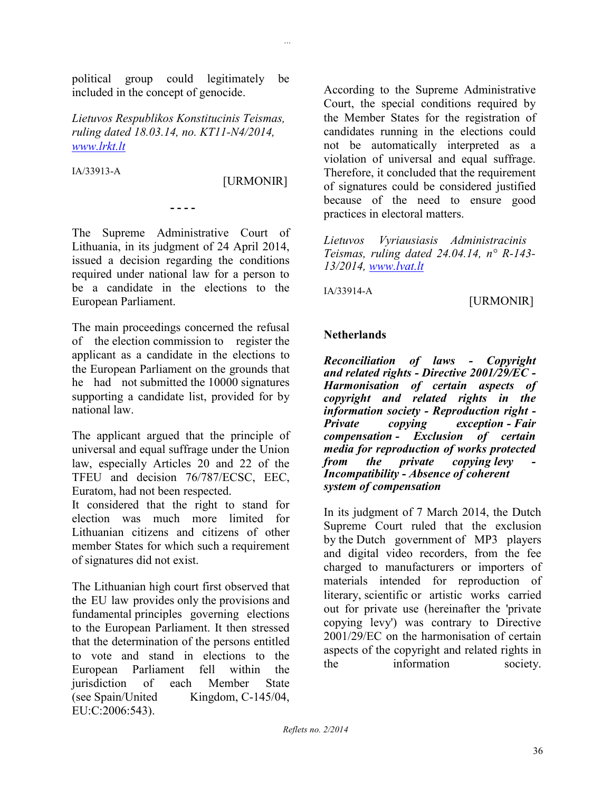political group could legitimately be included in the concept of genocide.

*Lietuvos Respublikos Konstitucinis Teismas, ruling dated 18.03.14, no. KT11-N4/2014, [www.lrkt.lt](http://www.lrkt.lt/)*

IA/33913-A

[URMONIR]

*...*

The Supreme Administrative Court of Lithuania, in its judgment of 24 April 2014, issued a decision regarding the conditions required under national law for a person to be a candidate in the elections to the European Parliament.

**- - - -**

The main proceedings concerned the refusal of the election commission to register the applicant as a candidate in the elections to the European Parliament on the grounds that he had not submitted the 10000 signatures supporting a candidate list, provided for by national law.

The applicant argued that the principle of universal and equal suffrage under the Union law, especially Articles 20 and 22 of the TFEU and decision 76/787/ECSC, EEC, Euratom, had not been respected.

It considered that the right to stand for election was much more limited for Lithuanian citizens and citizens of other member States for which such a requirement of signatures did not exist.

The Lithuanian high court first observed that the EU law provides only the provisions and fundamental principles governing elections to the European Parliament. It then stressed that the determination of the persons entitled to vote and stand in elections to the European Parliament fell within the jurisdiction of each Member State (see Spain/United Kingdom, C-145/04, EU:C:2006:543).

According to the Supreme Administrative Court, the special conditions required by the Member States for the registration of candidates running in the elections could not be automatically interpreted as a violation of universal and equal suffrage. Therefore, it concluded that the requirement of signatures could be considered justified because of the need to ensure good practices in electoral matters.

*Lietuvos Vyriausiasis Administracinis Teismas, ruling dated 24.04.14, n° R-143- 13/2014, [www.lvat.lt](http://www.lvat.lt/)*

IA/33914-A

[URMONIR]

### **Netherlands**

*Reconciliation of laws - Copyright and related rights - Directive 2001/29/EC - Harmonisation of certain aspects of copyright and related rights in the information society - Reproduction right - Private copying exception - Fair compensation - Exclusion of certain media for reproduction of works protected from the private copying levy Incompatibility - Absence of coherent system of compensation*

In its judgment of 7 March 2014, the Dutch Supreme Court ruled that the exclusion by the Dutch government of MP3 players and digital video recorders, from the fee charged to manufacturers or importers of materials intended for reproduction of literary, scientific or artistic works carried out for private use (hereinafter the 'private copying levy') was contrary to Directive 2001/29/EC on the harmonisation of certain aspects of the copyright and related rights in the information society.

*Reflets no. 2/2014*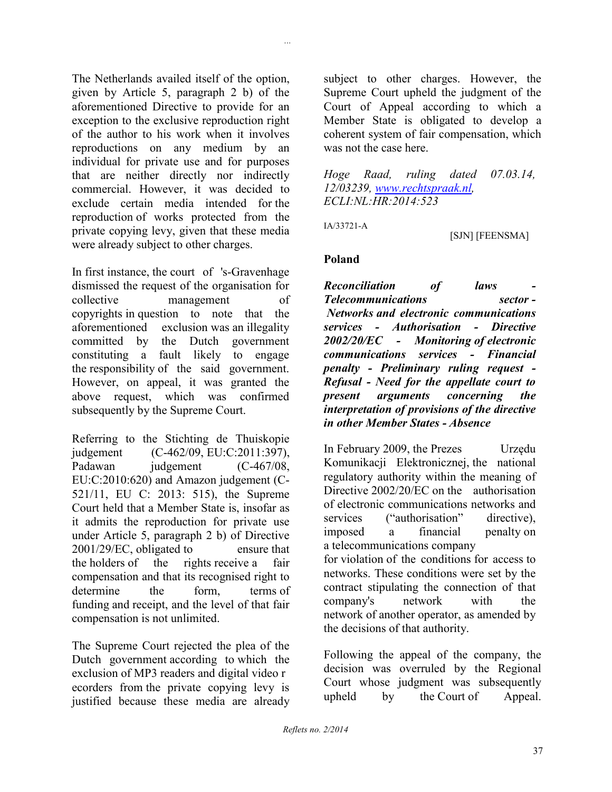The Netherlands availed itself of the option, given by Article 5, paragraph 2 b) of the aforementioned Directive to provide for an exception to the exclusive reproduction right of the author to his work when it involves reproductions on any medium by an individual for private use and for purposes that are neither directly nor indirectly commercial. However, it was decided to exclude certain media intended for the reproduction of works protected from the private copying levy, given that these media were already subject to other charges.

In first instance, the court of 's-Gravenhage dismissed the request of the organisation for collective management of copyrights in question to note that the aforementioned exclusion was an illegality committed by the Dutch government constituting a fault likely to engage the responsibility of the said government. However, on appeal, it was granted the above request, which was confirmed subsequently by the Supreme Court.

Referring to the Stichting de Thuiskopie judgement (C-462/09, EU:C:2011:397), Padawan judgement (C-467/08, EU:C:2010:620) and Amazon judgement (C-521/11, EU C: 2013: 515), the Supreme Court held that a Member State is, insofar as it admits the reproduction for private use under Article 5, paragraph 2 b) of Directive 2001/29/EC, obligated to ensure that the holders of the rights receive a fair compensation and that its recognised right to determine the form terms of funding and receipt, and the level of that fair compensation is not unlimited.

The Supreme Court rejected the plea of the Dutch government according to which the exclusion of MP3 readers and digital video r ecorders from the private copying levy is justified because these media are already

subject to other charges. However, the Supreme Court upheld the judgment of the Court of Appeal according to which a Member State is obligated to develop a coherent system of fair compensation, which was not the case here.

*Hoge Raad, ruling dated 07.03.14, 12/03239, [www.rechtspraak.nl,](http://www.rechtspraak.nl/) ECLI:NL:HR:2014:523*

IA/33721-A

*...*

### [SJN] [FEENSMA]

### **Poland**

 $\emph{Reconculation}$  of laws *Telecommunications sector - Networks and electronic communications services - Authorisation - Directive 2002/20/EC - Monitoring of electronic communications services - Financial penalty - Preliminary ruling request - Refusal - Need for the appellate court to present arguments concerning the interpretation of provisions of the directive in other Member States - Absence*

In February 2009, the Prezes Urzędu Komunikacji Elektronicznej, the national regulatory authority within the meaning of Directive 2002/20/EC on the authorisation of electronic communications networks and services ("authorisation" directive), imposed a financial penalty on a telecommunications company for violation of the conditions for access to networks. These conditions were set by the contract stipulating the connection of that company's network with the network of another operator, as amended by the decisions of that authority.

Following the appeal of the company, the decision was overruled by the Regional Court whose judgment was subsequently upheld by the Court of Appeal.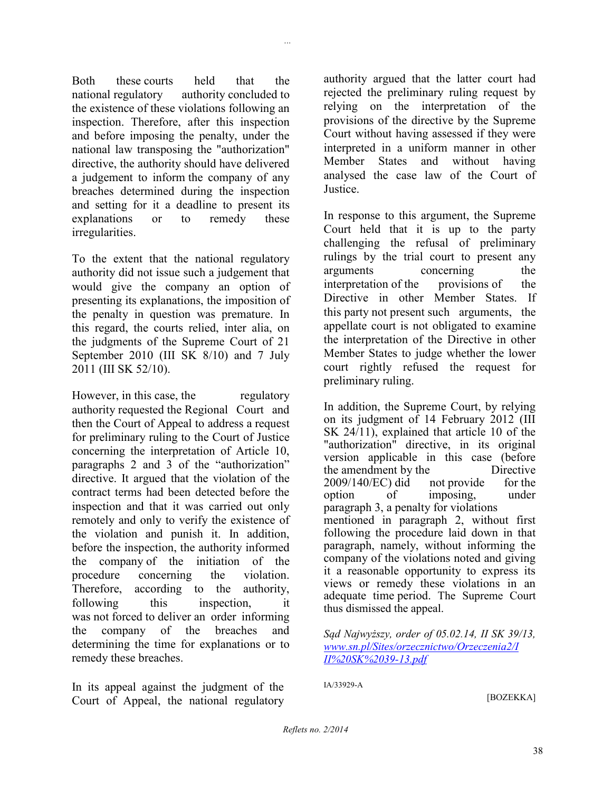Both these courts held that the national regulatory authority concluded to the existence of these violations following an inspection. Therefore, after this inspection and before imposing the penalty, under the national law transposing the "authorization" directive, the authority should have delivered a judgement to inform the company of any breaches determined during the inspection and setting for it a deadline to present its explanations or to remedy these

*...*

To the extent that the national regulatory authority did not issue such a judgement that would give the company an option of presenting its explanations, the imposition of the penalty in question was premature. In this regard, the courts relied, inter alia, on the judgments of the Supreme Court of 21 September 2010 (III SK 8/10) and 7 July 2011 (III SK 52/10).

irregularities.

However, in this case, the regulatory authority requested the Regional Court and then the Court of Appeal to address a request for preliminary ruling to the Court of Justice concerning the interpretation of Article 10, paragraphs 2 and 3 of the "authorization" directive. It argued that the violation of the contract terms had been detected before the inspection and that it was carried out only remotely and only to verify the existence of the violation and punish it. In addition, before the inspection, the authority informed the company of the initiation of the procedure concerning the violation. Therefore, according to the authority, following this inspection, it was not forced to deliver an order informing the company of the breaches and determining the time for explanations or to remedy these breaches.

In its appeal against the judgment of the Court of Appeal, the national regulatory

authority argued that the latter court had rejected the preliminary ruling request by relying on the interpretation of the provisions of the directive by the Supreme Court without having assessed if they were interpreted in a uniform manner in other Member States and without having analysed the case law of the Court of **Justice** 

In response to this argument, the Supreme Court held that it is up to the party challenging the refusal of preliminary rulings by the trial court to present any arguments concerning the interpretation of the provisions of the Directive in other Member States. If this party not present such arguments, the appellate court is not obligated to examine the interpretation of the Directive in other Member States to judge whether the lower court rightly refused the request for preliminary ruling.

In addition, the Supreme Court, by relying on its judgment of 14 February 2012 (III SK 24/11), explained that article 10 of the "authorization" directive, in its original version applicable in this case (before the amendment by the Directive 2009/140/EC) did not provide for the option of imposing, under paragraph 3, a penalty for violations mentioned in paragraph 2, without first following the procedure laid down in that paragraph, namely, without informing the company of the violations noted and giving it a reasonable opportunity to express its views or remedy these violations in an adequate time period. The Supreme Court thus dismissed the appeal.

*Sąd Najwyższy, order of 05.02.14, II SK 39/13, [www.sn.pl/Sites/orzecznictwo/Orzeczenia2/I](http://www.sn.pl/Sites/orzecznictwo/Orzeczenia2/III%20SK%2039-13.pdf) [II%20SK%2039-13.pdf](http://www.sn.pl/Sites/orzecznictwo/Orzeczenia2/III%20SK%2039-13.pdf)*

IA/33929-A

[BOZEKKA]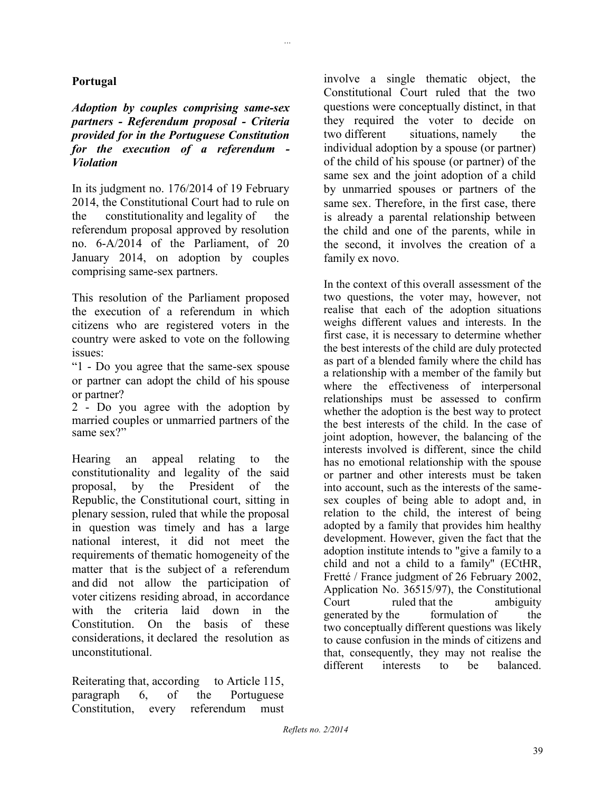### **Portugal**

*Adoption by couples comprising same-sex partners - Referendum proposal - Criteria provided for in the Portuguese Constitution for the execution of a referendum - Violation*

*...*

In its judgment no. 176/2014 of 19 February 2014, the Constitutional Court had to rule on the constitutionality and legality of the referendum proposal approved by resolution no. 6-A/2014 of the Parliament, of 20 January 2014, on adoption by couples comprising same-sex partners.

This resolution of the Parliament proposed the execution of a referendum in which citizens who are registered voters in the country were asked to vote on the following issues:

"1 - Do you agree that the same-sex spouse or partner can adopt the child of his spouse or partner?

2 - Do you agree with the adoption by married couples or unmarried partners of the same sex?"

Hearing an appeal relating to the constitutionality and legality of the said proposal, by the President of the Republic, the Constitutional court, sitting in plenary session, ruled that while the proposal in question was timely and has a large national interest, it did not meet the requirements of thematic homogeneity of the matter that is the subject of a referendum and did not allow the participation of voter citizens residing abroad, in accordance with the criteria laid down in the Constitution. On the basis of these considerations, it declared the resolution as unconstitutional.

Reiterating that, according to Article 115, paragraph 6, of the Portuguese Constitution, every referendum must involve a single thematic object, the Constitutional Court ruled that the two questions were conceptually distinct, in that they required the voter to decide on two different situations, namely the individual adoption by a spouse (or partner) of the child of his spouse (or partner) of the same sex and the joint adoption of a child by unmarried spouses or partners of the same sex. Therefore, in the first case, there is already a parental relationship between the child and one of the parents, while in the second, it involves the creation of a family ex novo.

In the context of this overall assessment of the two questions, the voter may, however, not realise that each of the adoption situations weighs different values and interests. In the first case, it is necessary to determine whether the best interests of the child are duly protected as part of a blended family where the child has a relationship with a member of the family but where the effectiveness of interpersonal relationships must be assessed to confirm whether the adoption is the best way to protect the best interests of the child. In the case of joint adoption, however, the balancing of the interests involved is different, since the child has no emotional relationship with the spouse or partner and other interests must be taken into account, such as the interests of the samesex couples of being able to adopt and, in relation to the child, the interest of being adopted by a family that provides him healthy development. However, given the fact that the adoption institute intends to "give a family to a child and not a child to a family" (ECtHR, Fretté / France judgment of 26 February 2002, Application No. 36515/97), the Constitutional Court ruled that the ambiguity generated by the formulation of the two conceptually different questions was likely to cause confusion in the minds of citizens and that, consequently, they may not realise the different interests to be balanced.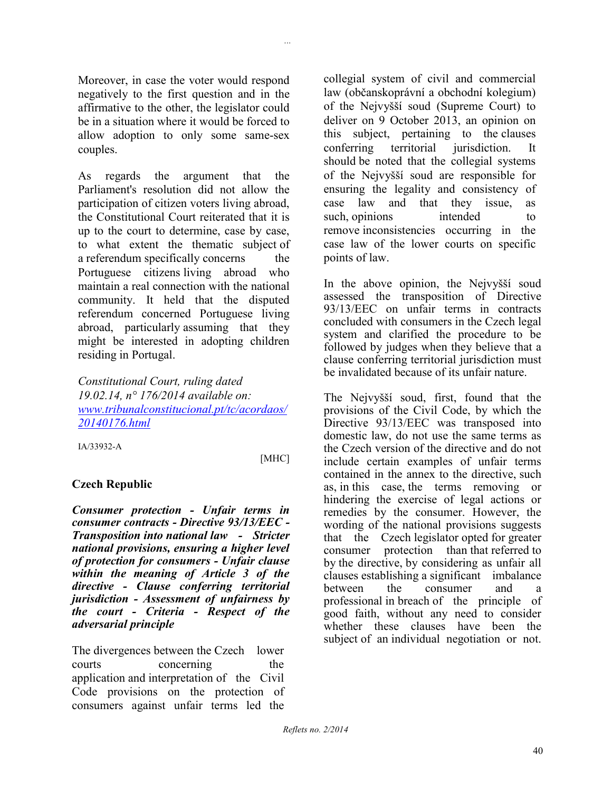Moreover, in case the voter would respond negatively to the first question and in the affirmative to the other, the legislator could be in a situation where it would be forced to allow adoption to only some same-sex couples.

As regards the argument that the Parliament's resolution did not allow the participation of citizen voters living abroad, the Constitutional Court reiterated that it is up to the court to determine, case by case, to what extent the thematic subject of a referendum specifically concerns the Portuguese citizens living abroad who maintain a real connection with the national community. It held that the disputed referendum concerned Portuguese living abroad, particularly assuming that they might be interested in adopting children residing in Portugal.

*Constitutional Court, ruling dated 19.02.14, n° 176/2014 available on: [www.tribunalconstitucional.pt/tc/acordaos/](http://www.tribunalconstitucional.pt/tc/acordaos/20140176.html) [20140176.html](http://www.tribunalconstitucional.pt/tc/acordaos/20140176.html)*

IA/33932-A

[MHC]

*...*

### **Czech Republic**

*Consumer protection - Unfair terms in consumer contracts - Directive 93/13/EEC - Transposition into national law - Stricter national provisions, ensuring a higher level of protection for consumers - Unfair clause within the meaning of Article 3 of the directive - Clause conferring territorial jurisdiction - Assessment of unfairness by the court - Criteria - Respect of the adversarial principle*

The divergences between the Czech lower courts concerning the application and interpretation of the Civil Code provisions on the protection of consumers against unfair terms led the collegial system of civil and commercial law (občanskoprávní a obchodní kolegium) of the Nejvyšší soud (Supreme Court) to deliver on 9 October 2013, an opinion on this subject, pertaining to the clauses conferring territorial jurisdiction. It should be noted that the collegial systems of the Nejvyšší soud are responsible for ensuring the legality and consistency of case law and that they issue, as such, opinions intended to remove inconsistencies occurring in the case law of the lower courts on specific points of law.

In the above opinion, the Nejvyšší soud assessed the transposition of Directive 93/13/EEC on unfair terms in contracts concluded with consumers in the Czech legal system and clarified the procedure to be followed by judges when they believe that a clause conferring territorial jurisdiction must be invalidated because of its unfair nature.

The Nejvyšší soud, first, found that the provisions of the Civil Code, by which the Directive 93/13/EEC was transposed into domestic law, do not use the same terms as the Czech version of the directive and do not include certain examples of unfair terms contained in the annex to the directive, such as, in this case, the terms removing or hindering the exercise of legal actions or remedies by the consumer. However, the wording of the national provisions suggests that the Czech legislator opted for greater consumer protection than that referred to by the directive, by considering as unfair all clauses establishing a significant imbalance between the consumer and a professional in breach of the principle of good faith, without any need to consider whether these clauses have been the subject of an individual negotiation or not.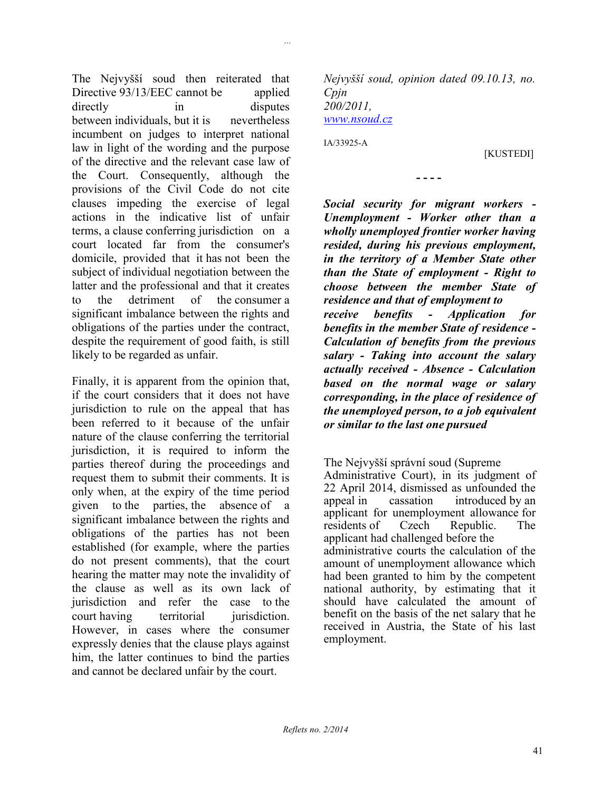The Nejvyšší soud then reiterated that Directive 93/13/EEC cannot be applied directly in disputes between individuals, but it is nevertheless incumbent on judges to interpret national law in light of the wording and the purpose of the directive and the relevant case law of the Court. Consequently, although the provisions of the Civil Code do not cite clauses impeding the exercise of legal actions in the indicative list of unfair terms, a clause conferring jurisdiction on a court located far from the consumer's domicile, provided that it has not been the subject of individual negotiation between the latter and the professional and that it creates to the detriment of the consumer a significant imbalance between the rights and obligations of the parties under the contract, despite the requirement of good faith, is still likely to be regarded as unfair.

Finally, it is apparent from the opinion that, if the court considers that it does not have jurisdiction to rule on the appeal that has been referred to it because of the unfair nature of the clause conferring the territorial jurisdiction, it is required to inform the parties thereof during the proceedings and request them to submit their comments. It is only when, at the expiry of the time period given to the parties, the absence of a significant imbalance between the rights and obligations of the parties has not been established (for example, where the parties do not present comments), that the court hearing the matter may note the invalidity of the clause as well as its own lack of jurisdiction and refer the case to the court having territorial jurisdiction. However, in cases where the consumer expressly denies that the clause plays against him, the latter continues to bind the parties and cannot be declared unfair by the court.

*Nejvyšší soud, opinion dated 09.10.13, no. Cpjn 200/2011, [www.nsoud.cz](http://www.nsoud.cz/)*

**- - - -**

IA/33925-A

*...*

[KUSTEDI]

*Social security for migrant workers - Unemployment - Worker other than a wholly unemployed frontier worker having resided, during his previous employment, in the territory of a Member State other than the State of employment - Right to choose between the member State of residence and that of employment to receive benefits - Application for benefits in the member State of residence - Calculation of benefits from the previous salary - Taking into account the salary* 

*actually received - Absence - Calculation based on the normal wage or salary corresponding, in the place of residence of the unemployed person, to a job equivalent or similar to the last one pursued*

The Nejvyšší správní soud (Supreme

Administrative Court), in its judgment of 22 April 2014, dismissed as unfounded the appeal in cassation introduced by an applicant for unemployment allowance for residents of Czech Republic. The applicant had challenged before the administrative courts the calculation of the amount of unemployment allowance which had been granted to him by the competent national authority, by estimating that it should have calculated the amount of benefit on the basis of the net salary that he received in Austria, the State of his last employment.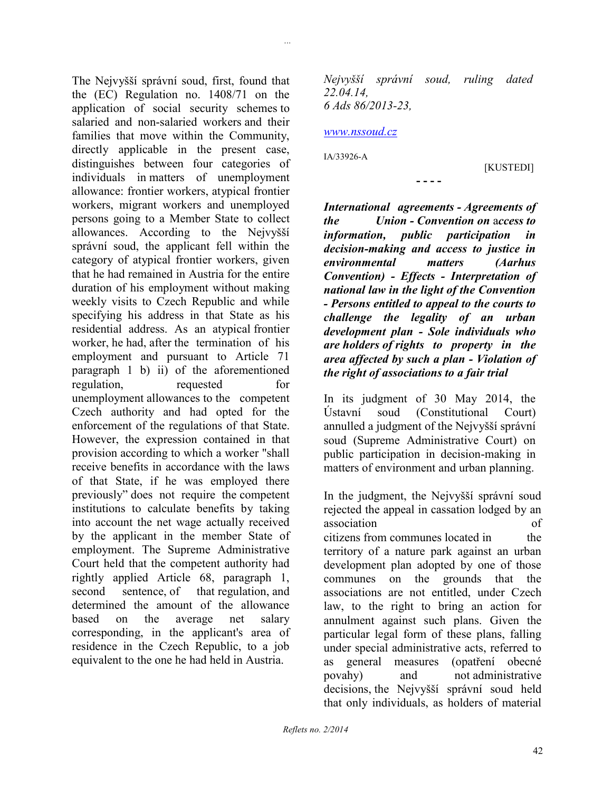The Nejvyšší správní soud, first, found that the (EC) Regulation no. 1408/71 on the application of social security schemes to salaried and non-salaried workers and their families that move within the Community, directly applicable in the present case, distinguishes between four categories of individuals in matters of unemployment allowance: frontier workers, atypical frontier workers, migrant workers and unemployed persons going to a Member State to collect allowances. According to the Nejvyšší správní soud, the applicant fell within the category of atypical frontier workers, given that he had remained in Austria for the entire duration of his employment without making weekly visits to Czech Republic and while specifying his address in that State as his residential address. As an atypical frontier worker, he had, after the termination of his employment and pursuant to Article 71 paragraph 1 b) ii) of the aforementioned regulation, requested for unemployment allowances to the competent Czech authority and had opted for the enforcement of the regulations of that State. However, the expression contained in that provision according to which a worker "shall receive benefits in accordance with the laws of that State, if he was employed there previously" does not require the competent institutions to calculate benefits by taking into account the net wage actually received by the applicant in the member State of employment. The Supreme Administrative Court held that the competent authority had rightly applied Article 68, paragraph 1, second sentence, of that regulation, and determined the amount of the allowance based on the average net salary corresponding, in the applicant's area of residence in the Czech Republic, to a job equivalent to the one he had held in Austria.

*Nejvyšší správní soud, ruling dated 22.04.14, 6 Ads 86/2013-23,*

#### *[www.nssoud.cz](http://www.nssoud.cz/)*

IA/33926-A

*...*

[KUSTEDI]

**- - - -**

*International agreements - Agreements of the Union - Convention on* a*ccess to information, public participation in decision-making and access to justice in environmental matters (Aarhus Convention) - Effects - Interpretation of national law in the light of the Convention - Persons entitled to appeal to the courts to challenge the legality of an urban development plan - Sole individuals who are holders of rights to property in the area affected by such a plan - Violation of the right of associations to a fair trial*

In its judgment of 30 May 2014, the Ústavní soud (Constitutional Court) annulled a judgment of the Nejvyšší správní soud (Supreme Administrative Court) on public participation in decision-making in matters of environment and urban planning.

In the judgment, the Nejvyšší správní soud rejected the appeal in cassation lodged by an association of citizens from communes located in the territory of a nature park against an urban development plan adopted by one of those communes on the grounds that the associations are not entitled, under Czech law, to the right to bring an action for annulment against such plans. Given the particular legal form of these plans, falling under special administrative acts, referred to as general measures (opatření obecné povahy) and not administrative decisions, the Nejvyšší správní soud held that only individuals, as holders of material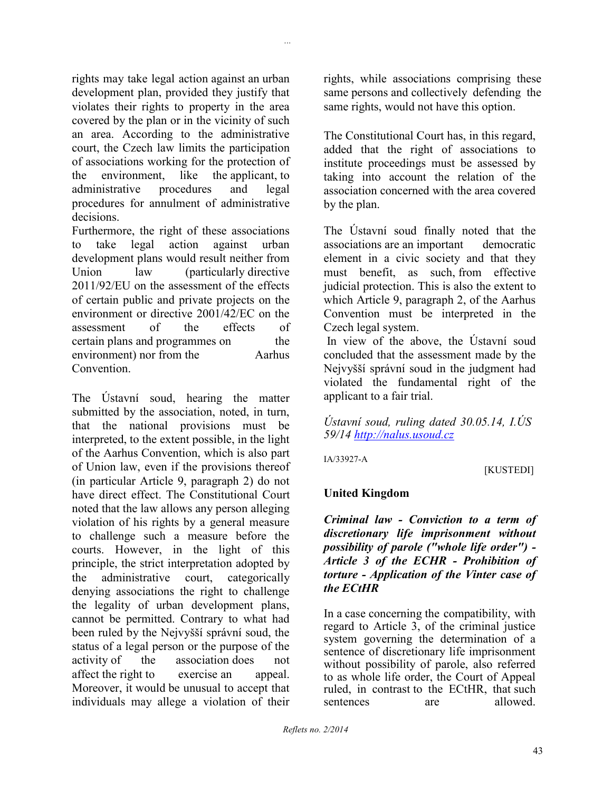rights may take legal action against an urban development plan, provided they justify that violates their rights to property in the area covered by the plan or in the vicinity of such an area. According to the administrative court, the Czech law limits the participation of associations working for the protection of the environment, like the applicant, to administrative procedures and legal procedures for annulment of administrative decisions.

*...*

Furthermore, the right of these associations to take legal action against urban development plans would result neither from Union law (particularly directive 2011/92/EU on the assessment of the effects of certain public and private projects on the environment or directive 2001/42/EC on the assessment of the effects of certain plans and programmes on the environment) nor from the Aarhus **Convention** 

The Ústavní soud, hearing the matter submitted by the association, noted, in turn, that the national provisions must be interpreted, to the extent possible, in the light of the Aarhus Convention, which is also part of Union law, even if the provisions thereof (in particular Article 9, paragraph 2) do not have direct effect. The Constitutional Court noted that the law allows any person alleging violation of his rights by a general measure to challenge such a measure before the courts. However, in the light of this principle, the strict interpretation adopted by the administrative court, categorically denying associations the right to challenge the legality of urban development plans, cannot be permitted. Contrary to what had been ruled by the Nejvyšší správní soud, the status of a legal person or the purpose of the activity of the association does not affect the right to exercise an appeal. Moreover, it would be unusual to accept that individuals may allege a violation of their

rights, while associations comprising these same persons and collectively defending the same rights, would not have this option.

The Constitutional Court has, in this regard, added that the right of associations to institute proceedings must be assessed by taking into account the relation of the association concerned with the area covered by the plan.

The Ústavní soud finally noted that the associations are an important democratic element in a civic society and that they must benefit, as such, from effective judicial protection. This is also the extent to which Article 9, paragraph 2, of the Aarhus Convention must be interpreted in the Czech legal system.

In view of the above, the Ústavní soud concluded that the assessment made by the Nejvyšší správní soud in the judgment had violated the fundamental right of the applicant to a fair trial.

*Ústavní soud, ruling dated 30.05.14, I.ÚS 59/14 [http://nalus.usoud.cz](http://nalus.usoud.cz/)*

IA/33927-A

# [KUSTEDI]

### **United Kingdom**

*Criminal law - Conviction to a term of discretionary life imprisonment without possibility of parole ("whole life order") - Article 3 of the ECHR - Prohibition of torture - Application of the Vinter case of the ECtHR*

In a case concerning the compatibility, with regard to Article 3, of the criminal justice system governing the determination of a sentence of discretionary life imprisonment without possibility of parole, also referred to as whole life order, the Court of Appeal ruled, in contrast to the ECtHR, that such sentences are allowed.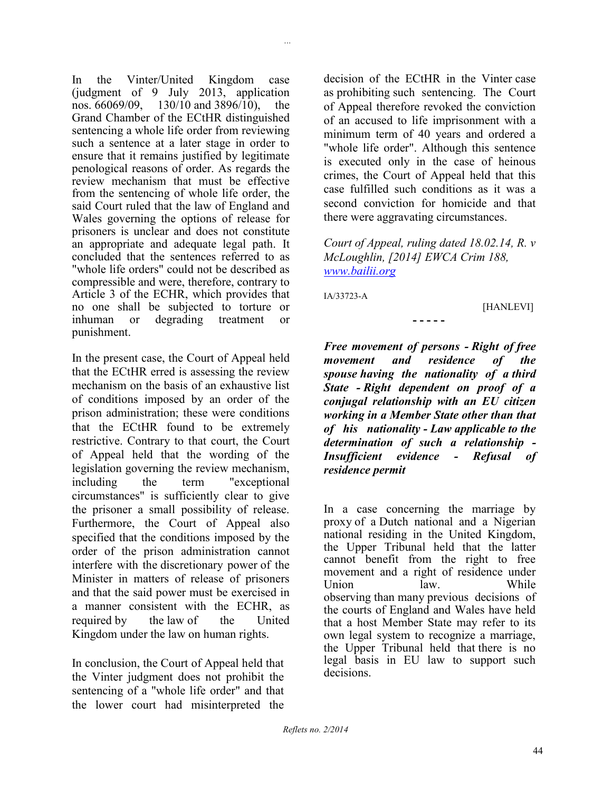In the Vinter/United Kingdom case (judgment of 9 July 2013, application nos.  $66069/09$ , 130/10 and 3896/10), the  $130/10$  and  $3896/10$ , the Grand Chamber of the ECtHR distinguished sentencing a whole life order from reviewing such a sentence at a later stage in order to ensure that it remains justified by legitimate penological reasons of order. As regards the review mechanism that must be effective from the sentencing of whole life order, the said Court ruled that the law of England and Wales governing the options of release for prisoners is unclear and does not constitute an appropriate and adequate legal path. It concluded that the sentences referred to as "whole life orders" could not be described as compressible and were, therefore, contrary to Article 3 of the ECHR, which provides that no one shall be subjected to torture or inhuman or degrading treatment or punishment.

In the present case, the Court of Appeal held that the ECtHR erred is assessing the review mechanism on the basis of an exhaustive list of conditions imposed by an order of the prison administration; these were conditions that the ECtHR found to be extremely restrictive. Contrary to that court, the Court of Appeal held that the wording of the legislation governing the review mechanism, including the term "exceptional circumstances" is sufficiently clear to give the prisoner a small possibility of release. Furthermore, the Court of Appeal also specified that the conditions imposed by the order of the prison administration cannot interfere with the discretionary power of the Minister in matters of release of prisoners and that the said power must be exercised in a manner consistent with the ECHR, as required by the law of the United Kingdom under the law on human rights.

In conclusion, the Court of Appeal held that the Vinter judgment does not prohibit the sentencing of a "whole life order" and that the lower court had misinterpreted the

decision of the ECtHR in the Vinter case as prohibiting such sentencing. The Court of Appeal therefore revoked the conviction of an accused to life imprisonment with a minimum term of 40 years and ordered a "whole life order". Although this sentence is executed only in the case of heinous crimes, the Court of Appeal held that this case fulfilled such conditions as it was a second conviction for homicide and that there were aggravating circumstances.

*Court of Appeal, ruling dated 18.02.14, R. v McLoughlin, [2014] EWCA Crim 188, [www.bailii.org](http://www.bailii.org/)*

**- - - - -**

IA/33723-A

*...*

[HANLEVI]

*Free movement of persons - Right of free movement and residence of the spouse having the nationality of a third State - Right dependent on proof of a conjugal relationship with an EU citizen working in a Member State other than that of his nationality - Law applicable to the determination of such a relationship - Insufficient evidence - Refusal of residence permit*

In a case concerning the marriage by proxy of a Dutch national and a Nigerian national residing in the United Kingdom, the Upper Tribunal held that the latter cannot benefit from the right to free movement and a right of residence under Union law. While observing than many previous decisions of the courts of England and Wales have held that a host Member State may refer to its own legal system to recognize a marriage, the Upper Tribunal held that there is no legal basis in EU law to support such decisions.

*Reflets no. 2/2014*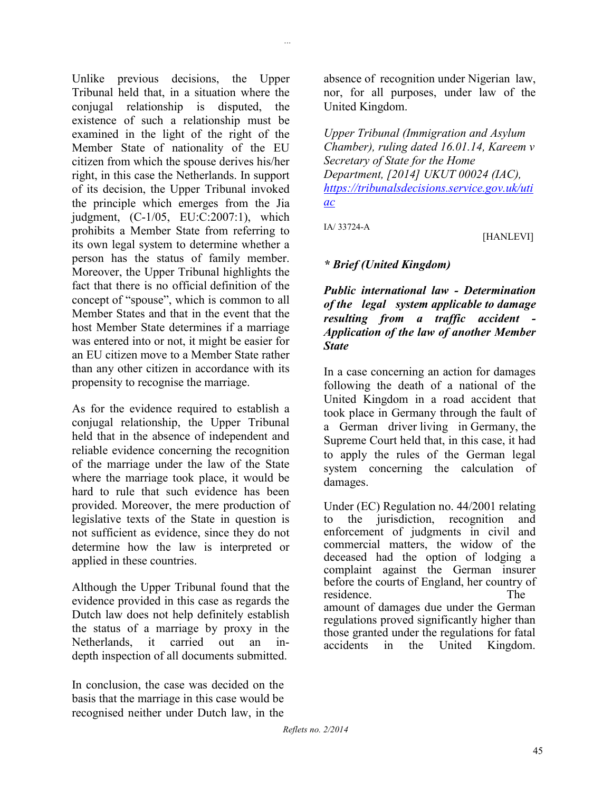Unlike previous decisions, the Upper Tribunal held that, in a situation where the conjugal relationship is disputed, the existence of such a relationship must be examined in the light of the right of the Member State of nationality of the EU citizen from which the spouse derives his/her right, in this case the Netherlands. In support of its decision, the Upper Tribunal invoked the principle which emerges from the Jia judgment, (C-1/05, EU:C:2007:1), which prohibits a Member State from referring to its own legal system to determine whether a person has the status of family member. Moreover, the Upper Tribunal highlights the fact that there is no official definition of the concept of "spouse", which is common to all Member States and that in the event that the host Member State determines if a marriage was entered into or not, it might be easier for an EU citizen move to a Member State rather than any other citizen in accordance with its propensity to recognise the marriage.

As for the evidence required to establish a conjugal relationship, the Upper Tribunal held that in the absence of independent and reliable evidence concerning the recognition of the marriage under the law of the State where the marriage took place, it would be hard to rule that such evidence has been provided. Moreover, the mere production of legislative texts of the State in question is not sufficient as evidence, since they do not determine how the law is interpreted or applied in these countries.

Although the Upper Tribunal found that the evidence provided in this case as regards the Dutch law does not help definitely establish the status of a marriage by proxy in the Netherlands, it carried out an indepth inspection of all documents submitted.

In conclusion, the case was decided on the basis that the marriage in this case would be recognised neither under Dutch law, in the

absence of recognition under Nigerian law, nor, for all purposes, under law of the United Kingdom.

*Upper Tribunal (Immigration and Asylum Chamber), ruling dated 16.01.14, Kareem v Secretary of State for the Home Department, [2014] UKUT 00024 (IAC), [https://tribunalsdecisions.service.gov.uk/uti](https://tribunalsdecisions.service.gov.uk/utiac) [ac](https://tribunalsdecisions.service.gov.uk/utiac)*

IA/ 33724-A

*...*

[HANLEVI]

### *\* Brief (United Kingdom)*

*Public international law - Determination of the legal system applicable to damage resulting from a traffic accident - Application of the law of another Member State*

In a case concerning an action for damages following the death of a national of the United Kingdom in a road accident that took place in Germany through the fault of a German driver living in Germany, the Supreme Court held that, in this case, it had to apply the rules of the German legal system concerning the calculation of damages.

Under (EC) Regulation no. 44/2001 relating to the jurisdiction, recognition and enforcement of judgments in civil and commercial matters, the widow of the deceased had the option of lodging a complaint against the German insurer before the courts of England, her country of residence. The amount of damages due under the German regulations proved significantly higher than those granted under the regulations for fatal accidents in the United Kingdom.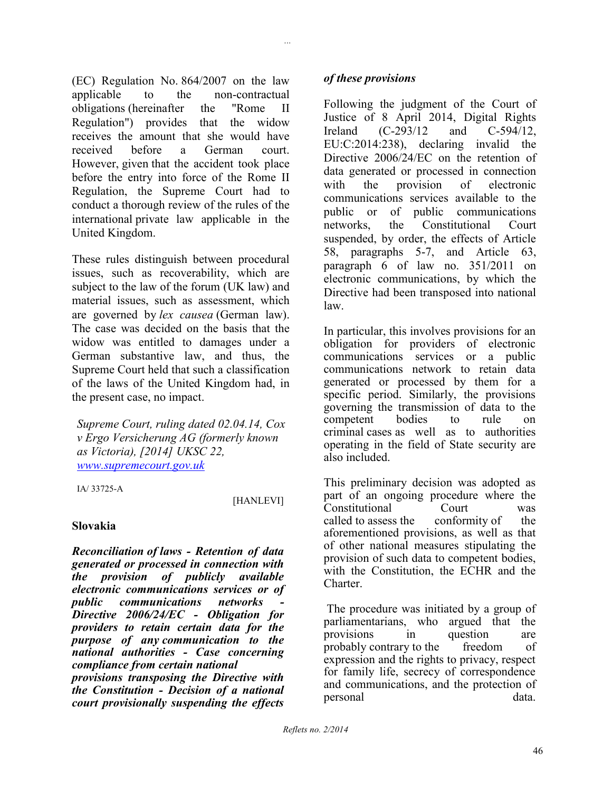(EC) Regulation No. 864/2007 on the law applicable to the non-contractual obligations (hereinafter the "Rome II Regulation") provides that the widow receives the amount that she would have received before a German court. However, given that the accident took place before the entry into force of the Rome II Regulation, the Supreme Court had to conduct a thorough review of the rules of the international private law applicable in the United Kingdom.

These rules distinguish between procedural issues, such as recoverability, which are subject to the law of the forum (UK law) and material issues, such as assessment, which are governed by *lex causea* (German law). The case was decided on the basis that the widow was entitled to damages under a German substantive law, and thus, the Supreme Court held that such a classification of the laws of the United Kingdom had, in the present case, no impact.

*Supreme Court, ruling dated 02.04.14, Cox v Ergo Versicherung AG (formerly known as Victoria), [2014] UKSC 22, [www.supremecourt.gov.uk](http://www.supremecourt.gov.uk/)*

IA/ 33725-A

### [HANLEVI]

### **Slovakia**

*Reconciliation of laws - Retention of data generated or processed in connection with the provision of publicly available electronic communications services or of public communications networks - Directive 2006/24/EC - Obligation for providers to retain certain data for the purpose of any communication to the national authorities - Case concerning compliance from certain national provisions transposing the Directive with the Constitution - Decision of a national court provisionally suspending the effects* 

*...*

Following the judgment of the Court of Justice of 8 April 2014, Digital Rights Ireland (C-293/12 and C-594/12, EU:C:2014:238), declaring invalid the Directive 2006/24/EC on the retention of data generated or processed in connection with the provision of electronic communications services available to the public or of public communications networks, the Constitutional Court suspended, by order, the effects of Article 58, paragraphs 5-7, and Article 63, paragraph 6 of law no. 351/2011 on electronic communications, by which the Directive had been transposed into national law.

In particular, this involves provisions for an obligation for providers of electronic communications services or a public communications network to retain data generated or processed by them for a specific period. Similarly, the provisions governing the transmission of data to the competent bodies to rule on criminal cases as well as to authorities operating in the field of State security are also included.

This preliminary decision was adopted as part of an ongoing procedure where the Constitutional Court was called to assess the conformity of the aforementioned provisions, as well as that of other national measures stipulating the provision of such data to competent bodies, with the Constitution, the ECHR and the Charter.

The procedure was initiated by a group of parliamentarians, who argued that the provisions in question are probably contrary to the freedom of expression and the rights to privacy, respect for family life, secrecy of correspondence and communications, and the protection of personal data.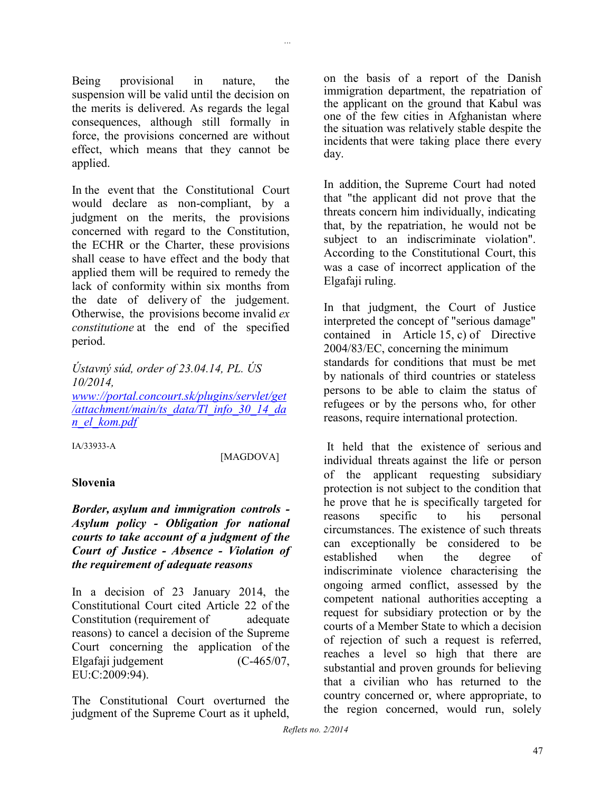Being provisional in nature, the suspension will be valid until the decision on the merits is delivered. As regards the legal consequences, although still formally in force, the provisions concerned are without effect, which means that they cannot be applied.

In the event that the Constitutional Court would declare as non-compliant, by a judgment on the merits, the provisions concerned with regard to the Constitution, the ECHR or the Charter, these provisions shall cease to have effect and the body that applied them will be required to remedy the lack of conformity within six months from the date of delivery of the judgement. Otherwise, the provisions become invalid *ex constitutione* at the end of the specified period.

*Ústavný súd, order of 23.04.14, PL. ÚS 10/2014, [www://portal.concourt.sk/plugins/servlet/get](http://portal.concourt.sk/plugins/servlet/get/attachment/main/ts_data/Tl_info_30_14_dan_el_kom.pdf)*

*[/attachment/main/ts\\_data/Tl\\_info\\_30\\_14\\_da](http://portal.concourt.sk/plugins/servlet/get/attachment/main/ts_data/Tl_info_30_14_dan_el_kom.pdf) [n\\_el\\_kom.pdf](http://portal.concourt.sk/plugins/servlet/get/attachment/main/ts_data/Tl_info_30_14_dan_el_kom.pdf)*

IA/33933-A

[MAGDOVA]

### **Slovenia**

*Border, asylum and immigration controls - Asylum policy - Obligation for national courts to take account of a judgment of the Court of Justice - Absence - Violation of the requirement of adequate reasons*

In a decision of 23 January 2014, the Constitutional Court cited Article 22 of the Constitution (requirement of adequate reasons) to cancel a decision of the Supreme Court concerning the application of the Elgafaji judgement (C-465/07, EU:C:2009:94).

The Constitutional Court overturned the judgment of the Supreme Court as it upheld,

on the basis of a report of the Danish immigration department, the repatriation of the applicant on the ground that Kabul was one of the few cities in Afghanistan where the situation was relatively stable despite the incidents that were taking place there every day.

In addition, the Supreme Court had noted that "the applicant did not prove that the threats concern him individually, indicating that, by the repatriation, he would not be subject to an indiscriminate violation". According to the Constitutional Court, this was a case of incorrect application of the Elgafaji ruling.

In that judgment, the Court of Justice interpreted the concept of "serious damage" contained in Article 15, c) of Directive 2004/83/EC, concerning the minimum standards for conditions that must be met by nationals of third countries or stateless persons to be able to claim the status of refugees or by the persons who, for other reasons, require international protection.

It held that the existence of serious and individual threats against the life or person of the applicant requesting subsidiary protection is not subject to the condition that he prove that he is specifically targeted for reasons specific to his personal circumstances. The existence of such threats can exceptionally be considered to be established when the degree of indiscriminate violence characterising the ongoing armed conflict, assessed by the competent national authorities accepting a request for subsidiary protection or by the courts of a Member State to which a decision of rejection of such a request is referred, reaches a level so high that there are substantial and proven grounds for believing that a civilian who has returned to the country concerned or, where appropriate, to the region concerned, would run, solely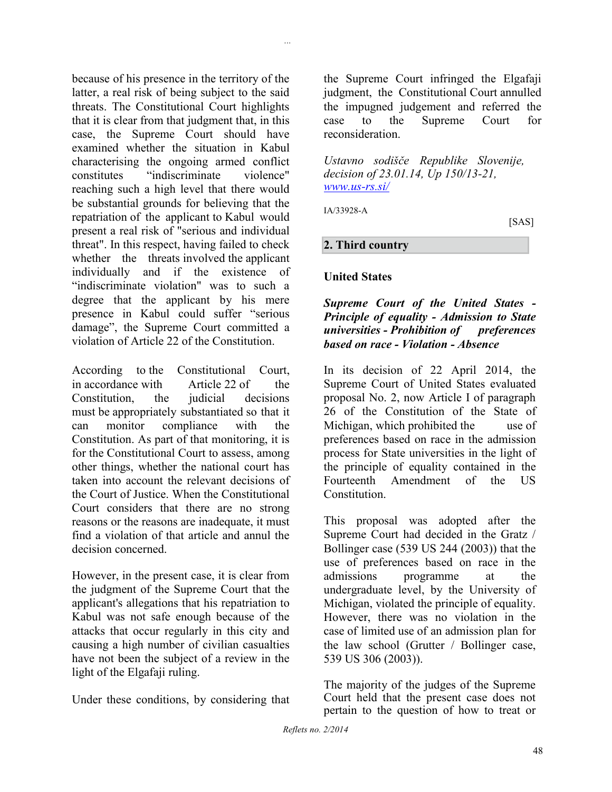because of his presence in the territory of the latter, a real risk of being subject to the said threats. The Constitutional Court highlights that it is clear from that judgment that, in this case, the Supreme Court should have examined whether the situation in Kabul characterising the ongoing armed conflict constitutes "indiscriminate violence" reaching such a high level that there would be substantial grounds for believing that the repatriation of the applicant to Kabul would present a real risk of "serious and individual threat". In this respect, having failed to check whether the threats involved the applicant individually and if the existence of "indiscriminate violation" was to such a degree that the applicant by his mere presence in Kabul could suffer "serious damage", the Supreme Court committed a violation of Article 22 of the Constitution.

According to the Constitutional Court, in accordance with Article 22 of the Constitution, the judicial decisions must be appropriately substantiated so that it can monitor compliance with the Constitution. As part of that monitoring, it is for the Constitutional Court to assess, among other things, whether the national court has taken into account the relevant decisions of the Court of Justice. When the Constitutional Court considers that there are no strong reasons or the reasons are inadequate, it must find a violation of that article and annul the decision concerned.

However, in the present case, it is clear from the judgment of the Supreme Court that the applicant's allegations that his repatriation to Kabul was not safe enough because of the attacks that occur regularly in this city and causing a high number of civilian casualties have not been the subject of a review in the light of the Elgafaji ruling.

Under these conditions, by considering that

the Supreme Court infringed the Elgafaji judgment, the Constitutional Court annulled the impugned judgement and referred the case to the Supreme Court for reconsideration.

*Ustavno sodišče Republike Slovenije, decision of 23.01.14, Up 150/13-21, [www.us-rs.si/](http://www.us-rs.si/)*

IA/33928-A

*...*

[SAS]

#### **2. Third country**

#### **United States**

### *Supreme Court of the United States - Principle of equality - Admission to State universities - Prohibition of preferences based on race - Violation - Absence*

In its decision of 22 April 2014, the Supreme Court of United States evaluated proposal No. 2, now Article I of paragraph 26 of the Constitution of the State of Michigan, which prohibited the use of preferences based on race in the admission process for State universities in the light of the principle of equality contained in the Fourteenth Amendment of the US **Constitution** 

This proposal was adopted after the Supreme Court had decided in the Gratz / Bollinger case (539 US 244 (2003)) that the use of preferences based on race in the admissions programme at the undergraduate level, by the University of Michigan, violated the principle of equality. However, there was no violation in the case of limited use of an admission plan for the law school (Grutter / Bollinger case, 539 US 306 (2003)).

The majority of the judges of the Supreme Court held that the present case does not pertain to the question of how to treat or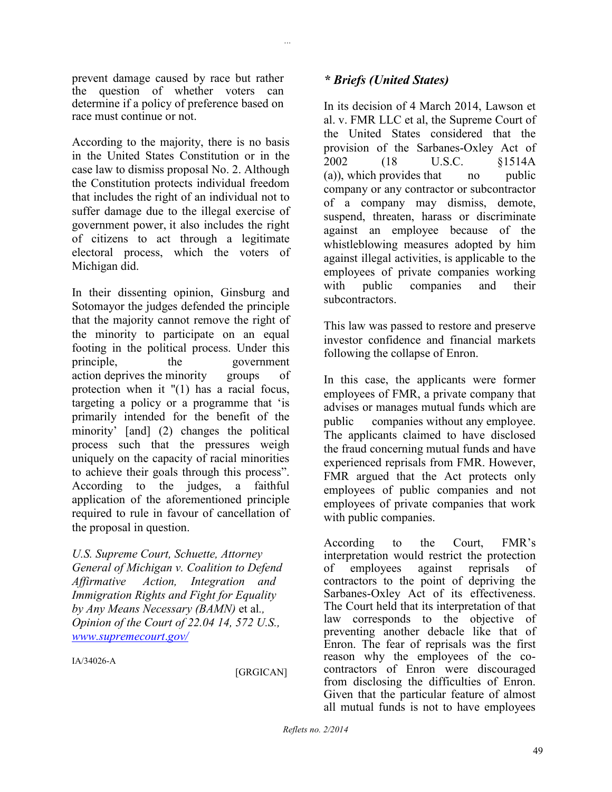prevent damage caused by race but rather the question of whether voters can determine if a policy of preference based on race must continue or not.

According to the majority, there is no basis in the United States Constitution or in the case law to dismiss proposal No. 2. Although the Constitution protects individual freedom that includes the right of an individual not to suffer damage due to the illegal exercise of government power, it also includes the right of citizens to act through a legitimate electoral process, which the voters of Michigan did.

In their dissenting opinion, Ginsburg and Sotomayor the judges defended the principle that the majority cannot remove the right of the minority to participate on an equal footing in the political process. Under this principle, the government action deprives the minority groups of protection when it "(1) has a racial focus, targeting a policy or a programme that 'is primarily intended for the benefit of the minority' [and] (2) changes the political process such that the pressures weigh uniquely on the capacity of racial minorities to achieve their goals through this process". According to the judges, a faithful application of the aforementioned principle required to rule in favour of cancellation of the proposal in question.

*U.S. Supreme Court, Schuette, Attorney General of Michigan v. Coalition to Defend Affirmative Action, Integration and Immigration Rights and Fight for Equality by Any Means Necessary (BAMN)* et al*., Opinion of the Court of 22.04 14, 572 U.S., [www.supremecourt](http://www.supremecourt.gov/)*.*gov/*

IA/34026-A

[GRGICAN]

### *\* Briefs (United States)*

*...*

In its decision of 4 March 2014, Lawson et al. v. FMR LLC et al, the Supreme Court of the United States considered that the provision of the Sarbanes-Oxley Act of 2002 (18 U.S.C. §1514A (a)), which provides that no public company or any contractor or subcontractor of a company may dismiss, demote, suspend, threaten, harass or discriminate against an employee because of the whistleblowing measures adopted by him against illegal activities, is applicable to the employees of private companies working with public companies and their subcontractors.

This law was passed to restore and preserve investor confidence and financial markets following the collapse of Enron.

In this case, the applicants were former employees of FMR, a private company that advises or manages mutual funds which are public companies without any employee. The applicants claimed to have disclosed the fraud concerning mutual funds and have experienced reprisals from FMR. However, FMR argued that the Act protects only employees of public companies and not employees of private companies that work with public companies.

According to the Court, FMR's interpretation would restrict the protection<br>of employees against reprisals of of employees against reprisals of contractors to the point of depriving the Sarbanes-Oxley Act of its effectiveness. The Court held that its interpretation of that law corresponds to the objective of preventing another debacle like that of Enron. The fear of reprisals was the first reason why the employees of the cocontractors of Enron were discouraged from disclosing the difficulties of Enron. Given that the particular feature of almost all mutual funds is not to have employees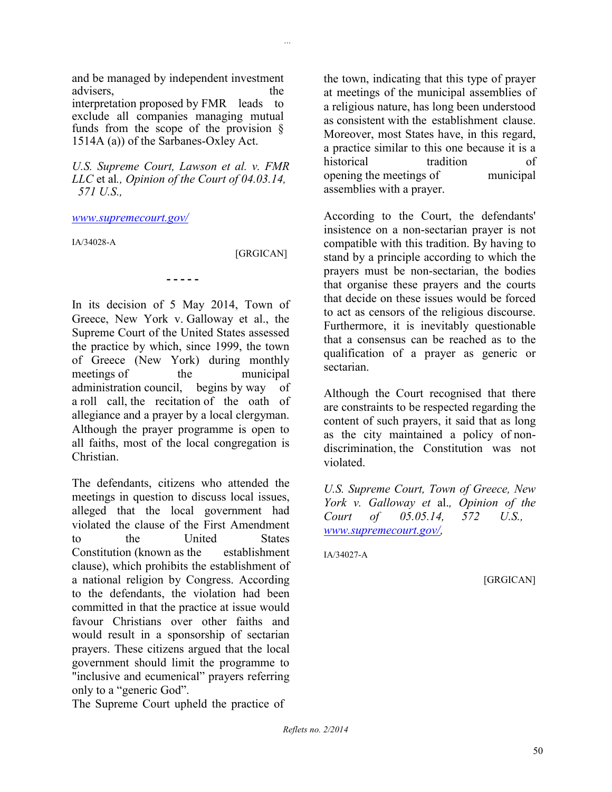*...*

and be managed by independent investment advisers, the the state of the state of the state of the state of the state of the state of the state of the state of the state of the state of the state of the state of the state of the state of the state of the state of interpretation proposed by FMR leads to exclude all companies managing mutual funds from the scope of the provision § 1514A (a)) of the Sarbanes-Oxley Act.

*U.S. Supreme Court, Lawson et al. v. FMR LLC* et al*., Opinion of the Court of 04.03.14, 571 U.S.,*

**- - - - -**

#### *[www.supremecourt.gov/](http://www.supremecourt.gov/)*

IA/34028-A

[GRGICAN]

In its decision of 5 May 2014, Town of Greece, New York v. Galloway et al., the Supreme Court of the United States assessed the practice by which, since 1999, the town of Greece (New York) during monthly meetings of the municipal administration council, begins by way of a roll call, the recitation of the oath of allegiance and a prayer by a local clergyman. Although the prayer programme is open to all faiths, most of the local congregation is **Christian** 

The defendants, citizens who attended the meetings in question to discuss local issues, alleged that the local government had violated the clause of the First Amendment to the United States Constitution (known as the establishment clause), which prohibits the establishment of a national religion by Congress. According to the defendants, the violation had been committed in that the practice at issue would favour Christians over other faiths and would result in a sponsorship of sectarian prayers. These citizens argued that the local government should limit the programme to "inclusive and ecumenical" prayers referring only to a "generic God".

The Supreme Court upheld the practice of

the town, indicating that this type of prayer at meetings of the municipal assemblies of a religious nature, has long been understood as consistent with the establishment clause. Moreover, most States have, in this regard, a practice similar to this one because it is a historical tradition of opening the meetings of municipal assemblies with a prayer.

According to the Court, the defendants' insistence on a non-sectarian prayer is not compatible with this tradition. By having to stand by a principle according to which the prayers must be non-sectarian, the bodies that organise these prayers and the courts that decide on these issues would be forced to act as censors of the religious discourse. Furthermore, it is inevitably questionable that a consensus can be reached as to the qualification of a prayer as generic or sectarian.

Although the Court recognised that there are constraints to be respected regarding the content of such prayers, it said that as long as the city maintained a policy of nondiscrimination, the Constitution was not violated.

*U.S. Supreme Court, Town of Greece, New York v. Galloway et* al.*, Opinion of the Court of 05.05.14, 572 U.S., [www.supremecourt.gov/,](http://www.supremecourt.gov/)*

IA/34027-A

[GRGICAN]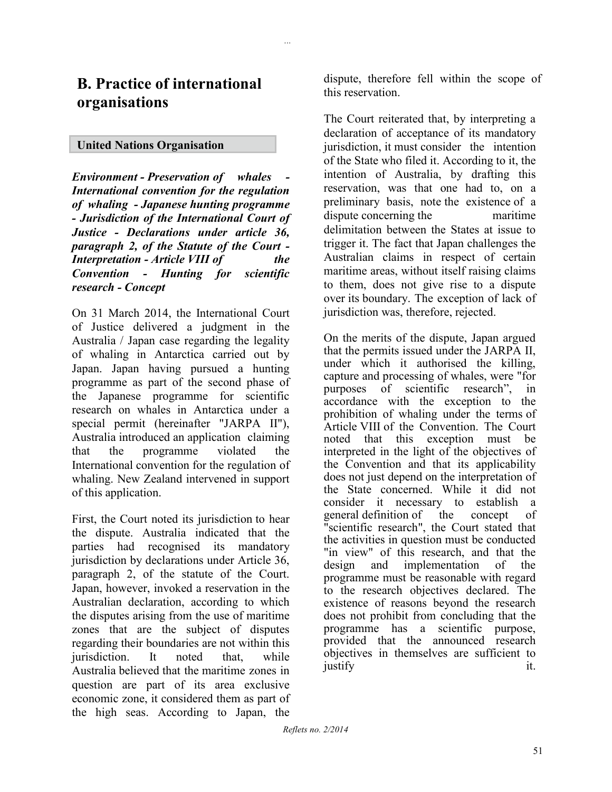*...*

### **United Nations Organisation**

*Environment - Preservation of whales - International convention for the regulation of whaling - Japanese hunting programme - Jurisdiction of the International Court of Justice - Declarations under article 36, paragraph 2, of the Statute of the Court - Interpretation - Article VIII of the Convention - Hunting for scientific research - Concept*

On 31 March 2014, the International Court of Justice delivered a judgment in the Australia / Japan case regarding the legality of whaling in Antarctica carried out by Japan. Japan having pursued a hunting programme as part of the second phase of the Japanese programme for scientific research on whales in Antarctica under a special permit (hereinafter "JARPA II"), Australia introduced an application claiming that the programme violated the International convention for the regulation of whaling. New Zealand intervened in support of this application.

First, the Court noted its jurisdiction to hear the dispute. Australia indicated that the parties had recognised its mandatory jurisdiction by declarations under Article 36, paragraph 2, of the statute of the Court. Japan, however, invoked a reservation in the Australian declaration, according to which the disputes arising from the use of maritime zones that are the subject of disputes regarding their boundaries are not within this jurisdiction. It noted that, while Australia believed that the maritime zones in question are part of its area exclusive economic zone, it considered them as part of the high seas. According to Japan, the

dispute, therefore fell within the scope of this reservation.

The Court reiterated that, by interpreting a declaration of acceptance of its mandatory jurisdiction, it must consider the intention of the State who filed it. According to it, the intention of Australia, by drafting this reservation, was that one had to, on a preliminary basis, note the existence of a dispute concerning the maritime delimitation between the States at issue to trigger it. The fact that Japan challenges the Australian claims in respect of certain maritime areas, without itself raising claims to them, does not give rise to a dispute over its boundary. The exception of lack of jurisdiction was, therefore, rejected.

On the merits of the dispute, Japan argued that the permits issued under the JARPA II, under which it authorised the killing, capture and processing of whales, were "for purposes of scientific research", in accordance with the exception to the prohibition of whaling under the terms of Article VIII of the Convention. The Court noted that this exception must be interpreted in the light of the objectives of the Convention and that its applicability does not just depend on the interpretation of the State concerned. While it did not consider it necessary to establish a general definition of the concept of "scientific research", the Court stated that the activities in question must be conducted "in view" of this research, and that the design and implementation of the programme must be reasonable with regard to the research objectives declared. The existence of reasons beyond the research does not prohibit from concluding that the programme has a scientific purpose, provided that the announced research objectives in themselves are sufficient to justify it.

*Reflets no. 2/2014*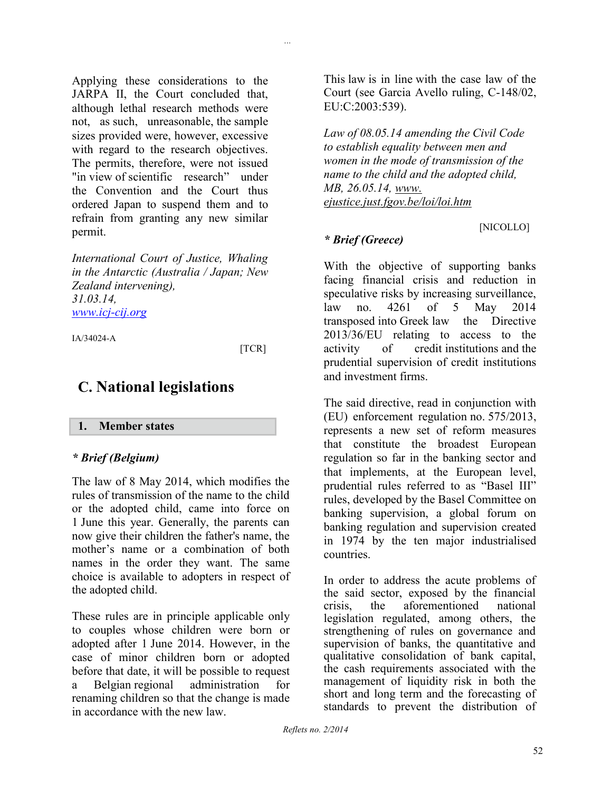Applying these considerations to the JARPA II, the Court concluded that, although lethal research methods were not, as such, unreasonable, the sample sizes provided were, however, excessive with regard to the research objectives. The permits, therefore, were not issued "in view of scientific research" under the Convention and the Court thus ordered Japan to suspend them and to refrain from granting any new similar permit.

*International Court of Justice, Whaling in the Antarctic (Australia / Japan; New Zealand intervening), 31.03.14, [www.icj-cij.org](http://www.icj-cij.org/)*

IA/34024-A

#### [TCR]

*...*

# **C. National legislations**

### **1. Member states**

### *\* Brief (Belgium)*

The law of 8 May 2014, which modifies the rules of transmission of the name to the child or the adopted child, came into force on 1 June this year. Generally, the parents can now give their children the father's name, the mother's name or a combination of both names in the order they want. The same choice is available to adopters in respect of the adopted child.

These rules are in principle applicable only to couples whose children were born or adopted after 1 June 2014. However, in the case of minor children born or adopted before that date, it will be possible to request a Belgian regional administration for renaming children so that the change is made in accordance with the new law.

This law is in line with the case law of the Court (see Garcia Avello ruling, C-148/02, EU:C:2003:539).

*Law of 08.05.14 amending the Civil Code to establish equality between men and women in the mode of transmission of the name to the child and the adopted child, MB, 26.05.14, www. ejustice.just.fgov.be/loi/loi.htm* 

[NICOLLO]

### *\* Brief (Greece)*

With the objective of supporting banks facing financial crisis and reduction in speculative risks by increasing surveillance, law no. 4261 of 5 May 2014 transposed into Greek law the Directive 2013/36/EU relating to access to the activity of credit institutions and the prudential supervision of credit institutions and investment firms.

The said directive, read in conjunction with (EU) enforcement regulation no. 575/2013, represents a new set of reform measures that constitute the broadest European regulation so far in the banking sector and that implements, at the European level, prudential rules referred to as "Basel III" rules, developed by the Basel Committee on banking supervision, a global forum on banking regulation and supervision created in 1974 by the ten major industrialised countries.

In order to address the acute problems of the said sector, exposed by the financial crisis, the aforementioned national legislation regulated, among others, the strengthening of rules on governance and supervision of banks, the quantitative and qualitative consolidation of bank capital, the cash requirements associated with the management of liquidity risk in both the short and long term and the forecasting of standards to prevent the distribution of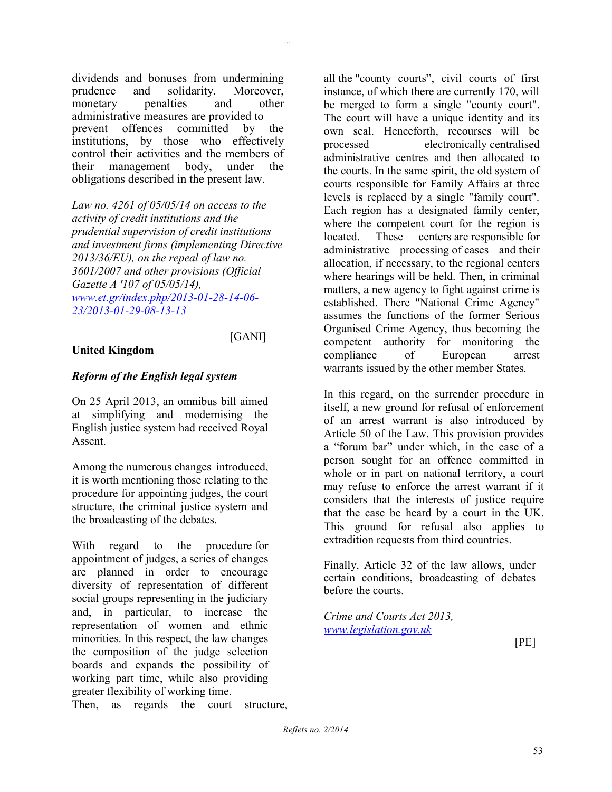dividends and bonuses from undermining prudence and solidarity. Moreover, monetary penalties and other administrative measures are provided to prevent offences committed by the institutions, by those who effectively control their activities and the members of their management body, under the obligations described in the present law.

*Law no. 4261 of 05/05/14 on access to the activity of credit institutions and the prudential supervision of credit institutions and investment firms (implementing Directive 2013/36/EU), on the repeal of law no. 3601/2007 and other provisions (Official Gazette A '107 of 05/05/14), www.et.gr/index.php/2013-01-28-14-06- [23/2013-01-29-08-13-13](http://www.et.gr/index.php/2013-01-28-14-06-23/2013-01-29-08-13-13)*

#### [GANI]

# **United Kingdom**

### *Reform of the English legal system*

On 25 April 2013, an omnibus bill aimed at simplifying and modernising the English justice system had received Royal Assent.

Among the numerous changes introduced, it is worth mentioning those relating to the procedure for appointing judges, the court structure, the criminal justice system and the broadcasting of the debates.

With regard to the procedure for appointment of judges, a series of changes are planned in order to encourage diversity of representation of different social groups representing in the judiciary and, in particular, to increase the representation of women and ethnic minorities. In this respect, the law changes the composition of the judge selection boards and expands the possibility of working part time, while also providing greater flexibility of working time.

Then, as regards the court structure,

all the "county courts", civil courts of first instance, of which there are currently 170, will be merged to form a single "county court". The court will have a unique identity and its own seal. Henceforth, recourses will be processed electronically centralised administrative centres and then allocated to the courts. In the same spirit, the old system of courts responsible for Family Affairs at three levels is replaced by a single "family court". Each region has a designated family center, where the competent court for the region is located. These centers are responsible for administrative processing of cases and their allocation, if necessary, to the regional centers where hearings will be held. Then, in criminal matters, a new agency to fight against crime is established. There "National Crime Agency" assumes the functions of the former Serious Organised Crime Agency, thus becoming the competent authority for monitoring the compliance of European arrest warrants issued by the other member States.

In this regard, on the surrender procedure in itself, a new ground for refusal of enforcement of an arrest warrant is also introduced by Article 50 of the Law. This provision provides a "forum bar" under which, in the case of a person sought for an offence committed in whole or in part on national territory, a court may refuse to enforce the arrest warrant if it considers that the interests of justice require that the case be heard by a court in the UK. This ground for refusal also applies to extradition requests from third countries.

Finally, Article 32 of the law allows, under certain conditions, broadcasting of debates before the courts.

*Crime and Courts Act 2013, [www.legislation.gov.uk](http://www.legislation.gov.uk/)*

[PE]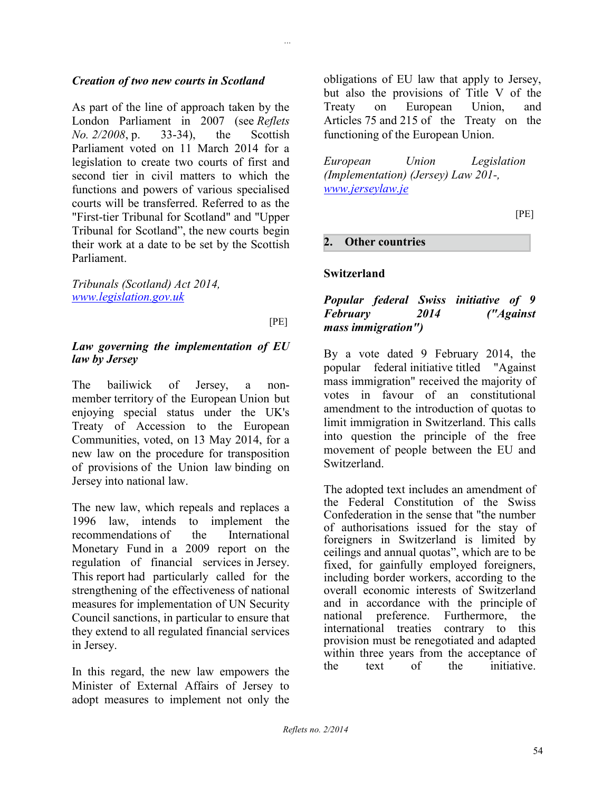### *Creation of two new courts in Scotland*

As part of the line of approach taken by the London Parliament in 2007 (see *Reflets No. 2/2008*, p. 33-34), the Scottish Parliament voted on 11 March 2014 for a legislation to create two courts of first and second tier in civil matters to which the functions and powers of various specialised courts will be transferred. Referred to as the "First-tier Tribunal for Scotland" and "Upper Tribunal for Scotland", the new courts begin their work at a date to be set by the Scottish Parliament.

*Tribunals (Scotland) Act 2014, [www.legislation.gov.uk](http://www.legislation.gov.uk/)*

[PE]

*...*

#### *Law governing the implementation of EU law by Jersey*

The bailiwick of Jersey, a nonmember territory of the European Union but enjoying special status under the UK's Treaty of Accession to the European Communities, voted, on 13 May 2014, for a new law on the procedure for transposition of provisions of the Union law binding on Jersey into national law.

The new law, which repeals and replaces a 1996 law, intends to implement the recommendations of the International Monetary Fund in a 2009 report on the regulation of financial services in Jersey. This report had particularly called for the strengthening of the effectiveness of national measures for implementation of UN Security Council sanctions, in particular to ensure that they extend to all regulated financial services in Jersey.

In this regard, the new law empowers the Minister of External Affairs of Jersey to adopt measures to implement not only the

obligations of EU law that apply to Jersey, but also the provisions of Title V of the Treaty on European Union, and Articles 75 and 215 of the Treaty on the functioning of the European Union.

*European Union Legislation (Implementation) (Jersey) Law 201-, [www.jerseylaw.je](http://www.jerseylaw.je/)*

[PE]

### **2. Other countries**

### **Switzerland**

### *Popular federal Swiss initiative of 9 February 2014 ("Against mass immigration")*

By a vote dated 9 February 2014, the popular federal initiative titled "Against mass immigration" received the majority of votes in favour of an constitutional amendment to the introduction of quotas to limit immigration in Switzerland. This calls into question the principle of the free movement of people between the EU and Switzerland.

The adopted text includes an amendment of the Federal Constitution of the Swiss Confederation in the sense that "the number of authorisations issued for the stay of foreigners in Switzerland is limited by ceilings and annual quotas", which are to be fixed, for gainfully employed foreigners, including border workers, according to the overall economic interests of Switzerland and in accordance with the principle of national preference. Furthermore, the international treaties contrary to this provision must be renegotiated and adapted within three years from the acceptance of the text of the initiative.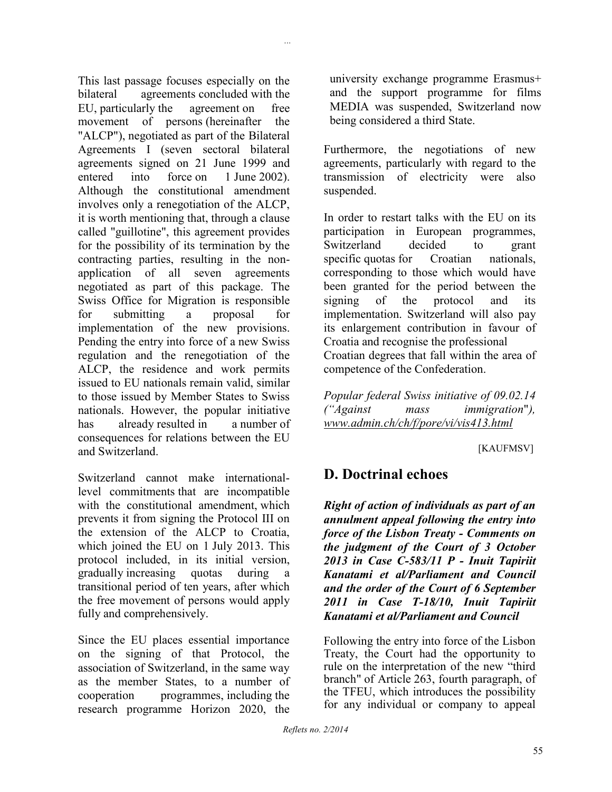This last passage focuses especially on the bilateral agreements concluded with the EU, particularly the agreement on free movement of persons (hereinafter the "ALCP"), negotiated as part of the Bilateral Agreements I (seven sectoral bilateral agreements signed on 21 June 1999 and entered into force on 1 June 2002). Although the constitutional amendment involves only a renegotiation of the ALCP, it is worth mentioning that, through a clause called "guillotine", this agreement provides for the possibility of its termination by the contracting parties, resulting in the nonapplication of all seven agreements negotiated as part of this package. The Swiss Office for Migration is responsible for submitting a proposal for implementation of the new provisions. Pending the entry into force of a new Swiss regulation and the renegotiation of the ALCP, the residence and work permits issued to EU nationals remain valid, similar to those issued by Member States to Swiss nationals. However, the popular initiative has already resulted in a number of consequences for relations between the EU and Switzerland.

*...*

Switzerland cannot make internationallevel commitments that are incompatible with the constitutional amendment, which prevents it from signing the Protocol III on the extension of the ALCP to Croatia, which joined the EU on 1 July 2013. This protocol included, in its initial version, gradually increasing quotas during a transitional period of ten years, after which the free movement of persons would apply fully and comprehensively.

Since the EU places essential importance on the signing of that Protocol, the association of Switzerland, in the same way as the member States, to a number of cooperation programmes, including the research programme Horizon 2020, the

university exchange programme Erasmus+ and the support programme for films MEDIA was suspended, Switzerland now being considered a third State.

Furthermore, the negotiations of new agreements, particularly with regard to the transmission of electricity were also suspended.

In order to restart talks with the EU on its participation in European programmes, Switzerland decided to grant specific quotas for Croatian nationals, corresponding to those which would have been granted for the period between the signing of the protocol and its implementation. Switzerland will also pay its enlargement contribution in favour of Croatia and recognise the professional Croatian degrees that fall within the area of competence of the Confederation.

*Popular federal Swiss initiative of 09.02.14 ("Against mass immigration*"*), www.admin.ch/ch/f/pore/vi/vis413.html*

[KAUFMSV]

# **D. Doctrinal echoes**

*Right of action of individuals as part of an annulment appeal following the entry into force of the Lisbon Treaty - Comments on the judgment of the Court of 3 October 2013 in Case C-583/11 P - Inuit Tapiriit Kanatami et al/Parliament and Council and the order of the Court of 6 September 2011 in Case T-18/10, Inuit Tapiriit Kanatami et al/Parliament and Council*

Following the entry into force of the Lisbon Treaty, the Court had the opportunity to rule on the interpretation of the new "third branch" of Article 263, fourth paragraph, of the TFEU, which introduces the possibility for any individual or company to appeal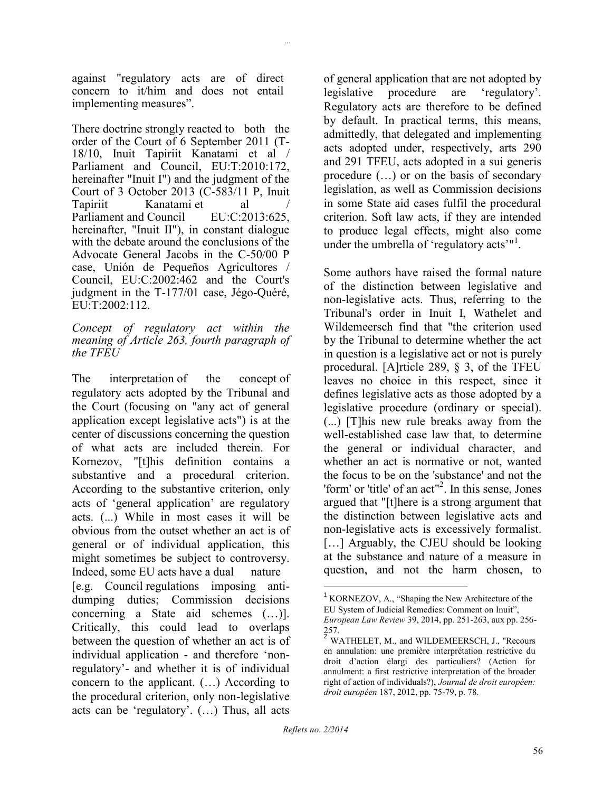against "regulatory acts are of direct concern to it/him and does not entail implementing measures".

*...*

There doctrine strongly reacted to both the order of the Court of 6 September 2011 (T-18/10, Inuit Tapiriit Kanatami et al / Parliament and Council, EU:T:2010:172, hereinafter "Inuit I") and the judgment of the Court of 3 October 2013 (C-583/11 P, Inuit Tapiriit Kanatami et al /<br>Parliament and Council EU:C:2013:625. Parliament and Council hereinafter, "Inuit II"), in constant dialogue with the debate around the conclusions of the Advocate General Jacobs in the C-50/00 P case, Unión de Pequeños Agricultores / Council, EU:C:2002:462 and the Court's judgment in the T-177/01 case, Jégo-Quéré, EU:T:2002:112.

*Concept of regulatory act within the meaning of Article 263, fourth paragraph of the TFEU*

The interpretation of the concept of regulatory acts adopted by the Tribunal and the Court (focusing on "any act of general application except legislative acts") is at the center of discussions concerning the question of what acts are included therein. For Kornezov, "[t]his definition contains a substantive and a procedural criterion. According to the substantive criterion, only acts of 'general application' are regulatory acts. (...) While in most cases it will be obvious from the outset whether an act is of general or of individual application, this might sometimes be subject to controversy. Indeed, some EU acts have a dual nature [e.g. Council regulations imposing antidumping duties; Commission decisions concerning a State aid schemes (…)]. Critically, this could lead to overlaps between the question of whether an act is of individual application - and therefore 'nonregulatory'- and whether it is of individual concern to the applicant. (…) According to the procedural criterion, only non-legislative acts can be 'regulatory'. (…) Thus, all acts

of general application that are not adopted by legislative procedure are 'regulatory'. Regulatory acts are therefore to be defined by default. In practical terms, this means, admittedly, that delegated and implementing acts adopted under, respectively, arts 290 and 291 TFEU, acts adopted in a sui generis procedure (…) or on the basis of secondary legislation, as well as Commission decisions in some State aid cases fulfil the procedural criterion. Soft law acts, if they are intended to produce legal effects, might also come under the umbrella of 'regulatory acts'<sup>"1</sup>.

Some authors have raised the formal nature of the distinction between legislative and non-legislative acts. Thus, referring to the Tribunal's order in Inuit I, Wathelet and Wildemeersch find that "the criterion used by the Tribunal to determine whether the act in question is a legislative act or not is purely procedural. [A]rticle 289, § 3, of the TFEU leaves no choice in this respect, since it defines legislative acts as those adopted by a legislative procedure (ordinary or special). (...) [T]his new rule breaks away from the well-established case law that, to determine the general or individual character, and whether an act is normative or not, wanted the focus to be on the 'substance' and not the 'form' or 'title' of an act"<sup>2</sup>. In this sense, Jones argued that "[t]here is a strong argument that the distinction between legislative acts and non-legislative acts is excessively formalist. [...] Arguably, the CJEU should be looking at the substance and nature of a measure in question, and not the harm chosen, to

 $\overline{\phantom{a}}$ 

 $1$  KORNEZOV, A., "Shaping the New Architecture of the EU System of Judicial Remedies: Comment on Inuit", *European Law Review* 39, 2014, pp. 251-263, aux pp. 256-

<sup>257.&</sup>lt;br><sup>2</sup> WATHELET, M., and WILDEMEERSCH, J., "Recours en annulation: une première interprétation restrictive du droit d'action élargi des particuliers? (Action for annulment: a first restrictive interpretation of the broader right of action of individuals?), *Journal de droit européen: droit européen* 187, 2012, pp. 75-79, p. 78.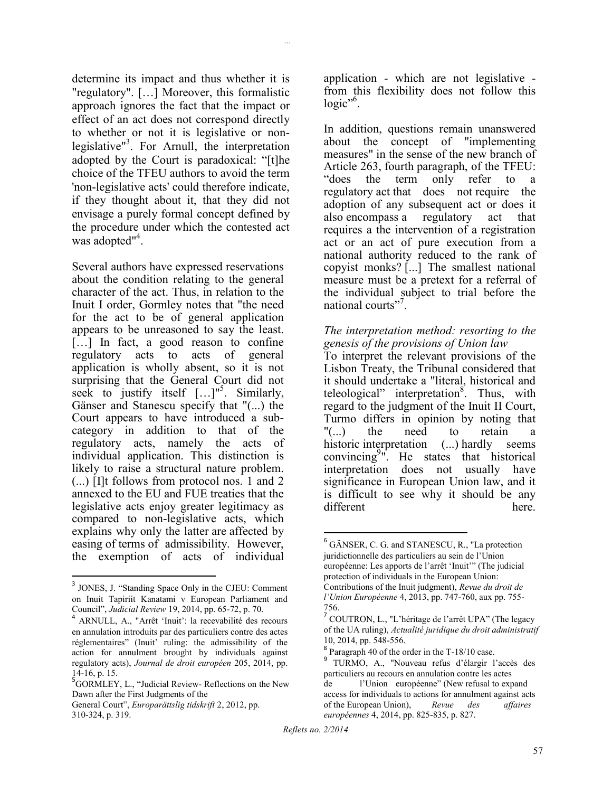determine its impact and thus whether it is "regulatory". […] Moreover, this formalistic approach ignores the fact that the impact or effect of an act does not correspond directly to whether or not it is legislative or nonlegislative"<sup>3</sup> . For Arnull, the interpretation adopted by the Court is paradoxical: "[t]he choice of the TFEU authors to avoid the term 'non-legislative acts' could therefore indicate, if they thought about it, that they did not envisage a purely formal concept defined by the procedure under which the contested act was adopted"<sup>4</sup>.

*...*

Several authors have expressed reservations about the condition relating to the general character of the act. Thus, in relation to the Inuit I order, Gormley notes that "the need for the act to be of general application appears to be unreasoned to say the least. [...] In fact, a good reason to confine regulatory acts to acts of general application is wholly absent, so it is not surprising that the General Court did not seek to justify itself  $[\dots]^{15}$ . Similarly, Gänser and Stanescu specify that "(...) the Court appears to have introduced a subcategory in addition to that of the regulatory acts, namely the acts of individual application. This distinction is likely to raise a structural nature problem. (...) [I]t follows from protocol nos. 1 and 2 annexed to the EU and FUE treaties that the legislative acts enjoy greater legitimacy as compared to non-legislative acts, which explains why only the latter are affected by easing of terms of admissibility. However, the exemption of acts of individual

 $\overline{\phantom{a}}$ 

application - which are not legislative from this flexibility does not follow this logic"<sup>6</sup>.

In addition, questions remain unanswered about the concept of "implementing measures" in the sense of the new branch of Article 263, fourth paragraph, of the TFEU: "does the term only refer to a regulatory act that does not require the adoption of any subsequent act or does it also encompass a regulatory act that requires a the intervention of a registration act or an act of pure execution from a national authority reduced to the rank of copyist monks? [...] The smallest national measure must be a pretext for a referral of the individual subject to trial before the national courts"<sup>7</sup>.

### *The interpretation method: resorting to the genesis of the provisions of Union law*

To interpret the relevant provisions of the Lisbon Treaty, the Tribunal considered that it should undertake a "literal, historical and teleological" interpretation<sup>8</sup>. Thus, with regard to the judgment of the Inuit II Court, Turmo differs in opinion by noting that "(...) the need to retain a historic interpretation (...) hardly seems convincing<sup>9</sup>". He states that historical interpretation does not usually have significance in European Union law, and it is difficult to see why it should be any different here.

<sup>&</sup>lt;sup>3</sup> JONES, J. "Standing Space Only in the CJEU: Comment on Inuit Tapiriit Kanatami v European Parliament and Council", *Judicial Review* 19, 2014, pp. 65-72, p. 70.

<sup>4</sup> ARNULL, A., "Arrêt 'Inuit': la recevabilité des recours en annulation introduits par des particuliers contre des actes réglementaires" (Inuit' ruling: the admissibility of the action for annulment brought by individuals against regulatory acts), *Journal de droit européen* 205, 2014, pp.

<sup>14-16,</sup> p. 15.<br><sup>5</sup>GORMLEY, L., "Judicial Review- Reflections on the New Dawn after the First Judgments of the

General Court", *Europarättslig tidskrift* 2, 2012, pp. 310-324, p. 319.

l <sup>6</sup> GÄNSER, C. G. and STANESCU, R., "La protection juridictionnelle des particuliers au sein de l'Union européenne: Les apports de l'arrêt 'Inuit'" (The judicial protection of individuals in the European Union: Contributions of the Inuit judgment), *Revue du droit de l'Union Européenne* 4, 2013, pp. 747-760, aux pp. 755- 756.

<sup>7</sup> COUTRON, L., "L'héritage de l'arrêt UPA" (The legacy of the UA ruling), *Actualité juridique du droit administratif*  10, 2014, pp. 548-556.

<sup>&</sup>lt;sup>8</sup> Paragraph 40 of the order in the T-18/10 case.

<sup>9</sup> TURMO, A., "Nouveau refus d'élargir l'accès des particuliers au recours en annulation contre les actes de l'Union européenne" (New refusal to expand access for individuals to actions for annulment against acts of the European Union), *Revue des affaires européennes* 4, 2014, pp. 825-835, p. 827.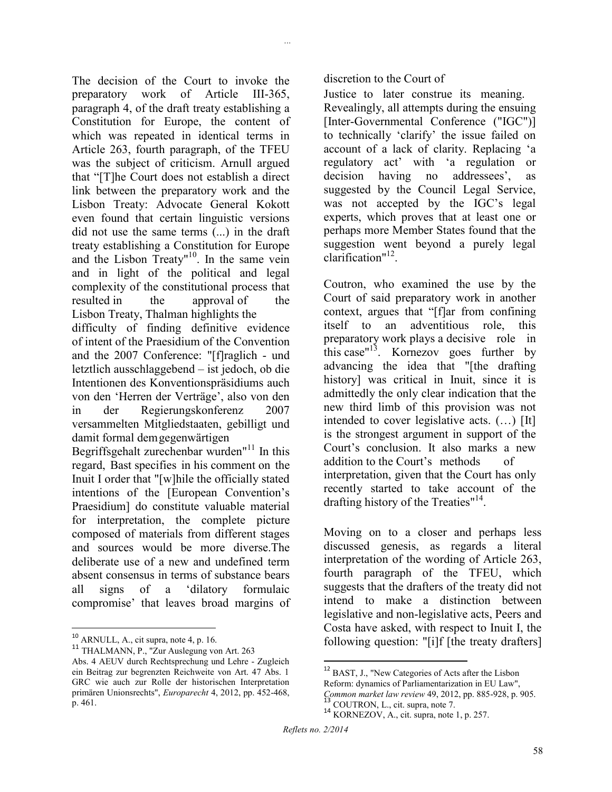The decision of the Court to invoke the preparatory work of Article III-365, paragraph 4, of the draft treaty establishing a Constitution for Europe, the content of which was repeated in identical terms in Article 263, fourth paragraph, of the TFEU was the subject of criticism. Arnull argued that "[T]he Court does not establish a direct link between the preparatory work and the Lisbon Treaty: Advocate General Kokott even found that certain linguistic versions did not use the same terms (...) in the draft treaty establishing a Constitution for Europe and the Lisbon Treaty"<sup>10</sup>. In the same vein and in light of the political and legal complexity of the constitutional process that resulted in the approval of the Lisbon Treaty, Thalman highlights the difficulty of finding definitive evidence of intent of the Praesidium of the Convention and the 2007 Conference: "[f]raglich - und letztlich ausschlaggebend – ist jedoch, ob die Intentionen des Konventionspräsidiums auch von den 'Herren der Verträge', also von den in der Regierungskonferenz 2007 versammelten Mitgliedstaaten, gebilligt und

damit formal demgegenwärtigen Begriffsgehalt zurechenbar wurden" $11$  In this regard, Bast specifies in his comment on the Inuit I order that "[w]hile the officially stated intentions of the [European Convention's Praesidium] do constitute valuable material for interpretation, the complete picture composed of materials from different stages and sources would be more diverse.The deliberate use of a new and undefined term absent consensus in terms of substance bears all signs of a 'dilatory formulaic compromise' that leaves broad margins of

 $11$  THALMANN, P., "Zur Auslegung von Art. 263

discretion to the Court of

*...*

Justice to later construe its meaning. Revealingly, all attempts during the ensuing [Inter-Governmental Conference ("IGC")] to technically 'clarify' the issue failed on account of a lack of clarity. Replacing 'a regulatory act' with 'a regulation or decision having no addressees', as suggested by the Council Legal Service, was not accepted by the IGC's legal experts, which proves that at least one or perhaps more Member States found that the suggestion went beyond a purely legal clarification"<sup>12</sup>.

Coutron, who examined the use by the Court of said preparatory work in another context, argues that "[f]ar from confining itself to an adventitious role, this preparatory work plays a decisive role in this case"<sup>13</sup>. Kornezov goes further by advancing the idea that "[the drafting history] was critical in Inuit, since it is admittedly the only clear indication that the new third limb of this provision was not intended to cover legislative acts. (…) [It] is the strongest argument in support of the Court's conclusion. It also marks a new addition to the Court's methods of interpretation, given that the Court has only recently started to take account of the drafting history of the Treaties"<sup>14</sup>.

Moving on to a closer and perhaps less discussed genesis, as regards a literal interpretation of the wording of Article 263, fourth paragraph of the TFEU, which suggests that the drafters of the treaty did not intend to make a distinction between legislative and non-legislative acts, Peers and Costa have asked, with respect to Inuit I, the following question: "[i]f [the treaty drafters]

 $\overline{\phantom{a}}$ 

 $\overline{\phantom{a}}$  $10$  ARNULL, A., cit supra, note 4, p. 16.

Abs. 4 AEUV durch Rechtsprechung und Lehre - Zugleich ein Beitrag zur begrenzten Reichweite von Art. 47 Abs. 1 GRC wie auch zur Rolle der historischen Interpretation primären Unionsrechts", *Europarecht* 4, 2012, pp. 452-468, p. 461.

<sup>12</sup> BAST, J., "New Categories of Acts after the Lisbon

Reform: dynamics of Parliamentarization in EU Law",

*Common market law review* 49, 2012, pp. 885-928, p. 905. <sup>13</sup> COUTRON, L., cit. supra, note 7.

<sup>&</sup>lt;sup>14</sup> KORNEZOV, A., cit. supra, note 1, p. 257.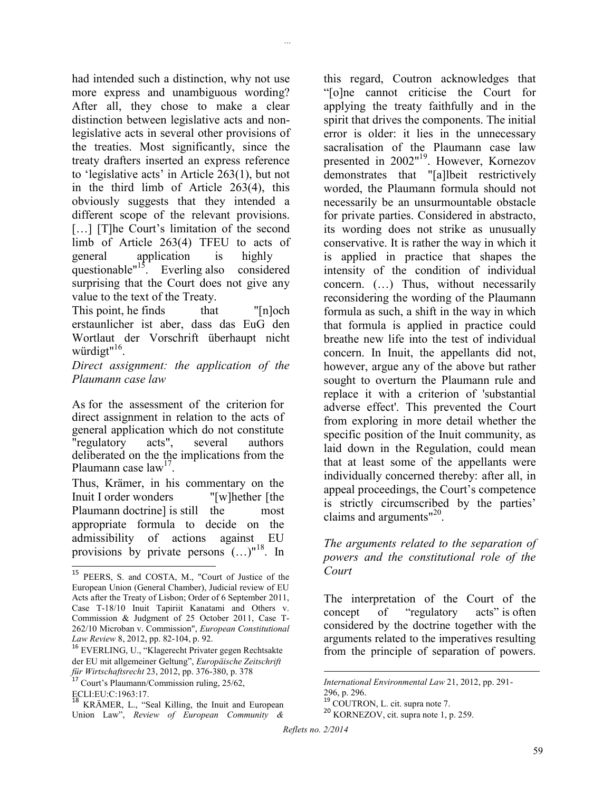had intended such a distinction, why not use more express and unambiguous wording? After all, they chose to make a clear distinction between legislative acts and nonlegislative acts in several other provisions of the treaties. Most significantly, since the treaty drafters inserted an express reference to 'legislative acts' in Article 263(1), but not in the third limb of Article 263(4), this obviously suggests that they intended a different scope of the relevant provisions. [...] [T]he Court's limitation of the second limb of Article 263(4) TFEU to acts of general application is highly questionable"<sup>15</sup>. Everling also considered surprising that the Court does not give any value to the text of the Treaty.

*...*

This point, he finds that "[n]och" erstaunlicher ist aber, dass das EuG den Wortlaut der Vorschrift überhaupt nicht würdigt"<sup>16</sup>.

*Direct assignment: the application of the Plaumann case law*

As for the assessment of the criterion for direct assignment in relation to the acts of general application which do not constitute<br>"regulatory acts", several authors "regulatory acts", several authors deliberated on the the implications from the Plaumann case law<sup>17</sup>.

Thus, Krämer, in his commentary on the Inuit I order wonders "[w]hether [the Plaumann doctrine] is still the most appropriate formula to decide on the admissibility of actions against EU provisions by private persons  $(\ldots)^{n^{18}}$ . In

this regard, Coutron acknowledges that "[o]ne cannot criticise the Court for applying the treaty faithfully and in the spirit that drives the components. The initial error is older: it lies in the unnecessary sacralisation of the Plaumann case law presented in 2002"<sup>19</sup>. However, Kornezov demonstrates that "[a]lbeit restrictively worded, the Plaumann formula should not necessarily be an unsurmountable obstacle for private parties. Considered in abstracto, its wording does not strike as unusually conservative. It is rather the way in which it is applied in practice that shapes the intensity of the condition of individual concern. (…) Thus, without necessarily reconsidering the wording of the Plaumann formula as such, a shift in the way in which that formula is applied in practice could breathe new life into the test of individual concern. In Inuit, the appellants did not, however, argue any of the above but rather sought to overturn the Plaumann rule and replace it with a criterion of 'substantial adverse effect'. This prevented the Court from exploring in more detail whether the specific position of the Inuit community, as laid down in the Regulation, could mean that at least some of the appellants were individually concerned thereby: after all, in appeal proceedings, the Court's competence is strictly circumscribed by the parties' claims and arguments"<sup>20</sup>.

### *The arguments related to the separation of powers and the constitutional role of the Court*

The interpretation of the Court of the concept of "regulatory acts" is often considered by the doctrine together with the arguments related to the imperatives resulting from the principle of separation of powers.

l

 $\overline{a}$ <sup>15</sup> PEERS, S. and COSTA, M., "Court of Justice of the European Union (General Chamber), Judicial review of EU Acts after the Treaty of Lisbon; Order of 6 September 2011, Case T-18/10 Inuit Tapiriit Kanatami and Others v. Commission & Judgment of 25 October 2011, Case T-262/10 Microban v. Commission", *European Constitutional Law Review* 8, 2012, pp. 82-104, p. 92.

<sup>16</sup> EVERLING, U., "Klagerecht Privater gegen Rechtsakte der EU mit allgemeiner Geltung", *Europäische Zeitschrift für Wirtschaftsrecht* 23, 2012, pp. 376-380, p. 378

<sup>17</sup> Court's Plaumann/Commission ruling, 25/62,

ECLI:EU:C:1963:17.

<sup>18</sup> KRÄMER, L., "Seal Killing, the Inuit and European Union Law", *Review of European Community &* 

*International Environmental Law* 21, 2012, pp. 291- 296, p. 296. <sup>19</sup> COUTRON, L. cit. supra note 7. <sup>20</sup> KORNEZOV, cit. supra note 1, p. 259.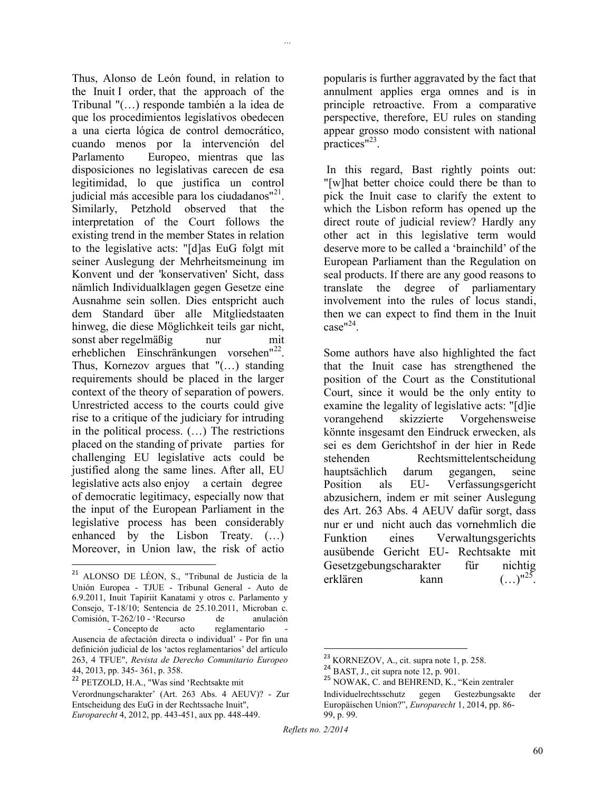Thus, Alonso de León found, in relation to the Inuit I order, that the approach of the Tribunal "(…) responde también a la idea de que los procedimientos legislativos obedecen a una cierta lógica de control democrático, cuando menos por la intervención del Parlamento Europeo, mientras que las disposiciones no legislativas carecen de esa legitimidad, lo que justifica un control judicial más accesible para los ciudadanos"<sup>21</sup>. Similarly, Petzhold observed that the interpretation of the Court follows the existing trend in the member States in relation to the legislative acts: "[d]as EuG folgt mit seiner Auslegung der Mehrheitsmeinung im Konvent und der 'konservativen' Sicht, dass nämlich Individualklagen gegen Gesetze eine Ausnahme sein sollen. Dies entspricht auch dem Standard über alle Mitgliedstaaten hinweg, die diese Möglichkeit teils gar nicht, sonst aber regelmäßig nur mit erheblichen Einschränkungen vorsehen"<sup>22</sup>. Thus, Kornezov argues that "(…) standing requirements should be placed in the larger context of the theory of separation of powers. Unrestricted access to the courts could give rise to a critique of the judiciary for intruding in the political process. (…) The restrictions placed on the standing of private parties for challenging EU legislative acts could be justified along the same lines. After all, EU legislative acts also enjoy a certain degree of democratic legitimacy, especially now that the input of the European Parliament in the legislative process has been considerably enhanced by the Lisbon Treaty. (…) Moreover, in Union law, the risk of actio

 $\overline{a}$ 

popularis is further aggravated by the fact that annulment applies erga omnes and is in principle retroactive. From a comparative perspective, therefore, EU rules on standing appear grosso modo consistent with national practices"<sup>23</sup>.

*...*

In this regard, Bast rightly points out: "[w]hat better choice could there be than to pick the Inuit case to clarify the extent to which the Lisbon reform has opened up the direct route of judicial review? Hardly any other act in this legislative term would deserve more to be called a 'brainchild' of the European Parliament than the Regulation on seal products. If there are any good reasons to translate the degree of parliamentary involvement into the rules of locus standi, then we can expect to find them in the Inuit  $case''^{24}$ .

Some authors have also highlighted the fact that the Inuit case has strengthened the position of the Court as the Constitutional Court, since it would be the only entity to examine the legality of legislative acts: "[d]ie vorangehend skizzierte Vorgehensweise könnte insgesamt den Eindruck erwecken, als sei es dem Gerichtshof in der hier in Rede stehenden Rechtsmittelentscheidung hauptsächlich darum gegangen, seine Position als EU- Verfassungsgericht abzusichern, indem er mit seiner Auslegung des Art. 263 Abs. 4 AEUV dafür sorgt, dass nur er und nicht auch das vornehmlich die Funktion eines Verwaltungsgerichts ausübende Gericht EU- Rechtsakte mit Gesetzgebungscharakter für nichtig erklären kann  $\ldots$ <sup>"25</sup>.

<sup>21</sup> ALONSO DE LÉON, S., "Tribunal de Justicia de la Unión Europea - TJUE - Tribunal General - Auto de 6.9.2011, Inuit Tapiriit Kanatami y otros c. Parlamento y Consejo, T-18/10; Sentencia de 25.10.2011, Microban c. Comisión, T-262/10 - 'Recurso de anulación - Concepto de acto reglamentario Ausencia de afectación directa o individual' - Por fin una definición judicial de los 'actos reglamentarios' del artículo 263, 4 TFUE", *Revista de Derecho Comunitario Europeo*  44, 2013, pp. 345- 361, p. 358.

<sup>22</sup> PETZOLD, H.A., "Was sind 'Rechtsakte mit

Verordnungscharakter' (Art. 263 Abs. 4 AEUV)? - Zur Entscheidung des EuG in der Rechtssache Inuit", *Europarecht* 4, 2012, pp. 443-451, aux pp. 448-449.

l  $^{23}$  KORNEZOV, A., cit. supra note 1, p. 258.

 $^{24}$  BAST, J., cit supra note 12, p. 901.

 $^{25}$  NOWAK, C. and BEHREND, K., "Kein zentraler Individuelrechtsschutz gegen Gestezbungsakte der Europäischen Union?", *Europarecht* 1, 2014, pp. 86- 99, p. 99.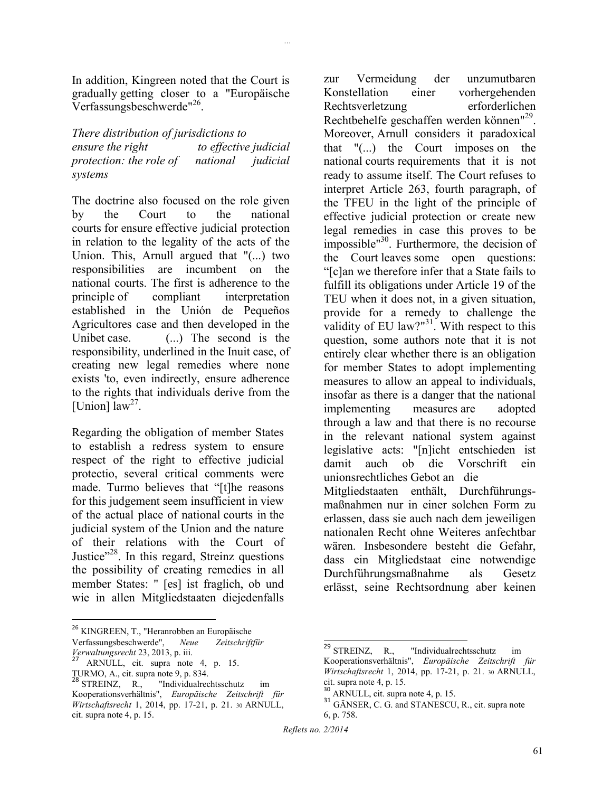In addition, Kingreen noted that the Court is gradually getting closer to a "Europäische Verfassungsbeschwerde"<sup>26</sup>.

*...*

*There distribution of jurisdictions to ensure the right* to *effective judicial protection: the role of national judicial systems*

The doctrine also focused on the role given by the Court to the national courts for ensure effective judicial protection in relation to the legality of the acts of the Union. This, Arnull argued that "(...) two responsibilities are incumbent on the national courts. The first is adherence to the principle of compliant interpretation established in the Unión de Pequeños Agricultores case and then developed in the Unibet case. (...) The second is the responsibility, underlined in the Inuit case, of creating new legal remedies where none exists 'to, even indirectly, ensure adherence to the rights that individuals derive from the [Union]  $\arccos 1$  law<sup>27</sup>.

Regarding the obligation of member States to establish a redress system to ensure respect of the right to effective judicial protectio, several critical comments were made. Turmo believes that "[t]he reasons for this judgement seem insufficient in view of the actual place of national courts in the judicial system of the Union and the nature of their relations with the Court of Justice"<sup>28</sup>. In this regard, Streinz questions the possibility of creating remedies in all member States: " [es] ist fraglich, ob und wie in allen Mitgliedstaaten diejedenfalls

 $\overline{\phantom{a}}$ 

zur Vermeidung der unzumutbaren Konstellation einer vorhergehenden Rechtsverletzung erforderlichen Rechtbehelfe geschaffen werden können"<sup>29</sup>. Moreover, Arnull considers it paradoxical that "(...) the Court imposes on the national courts requirements that it is not ready to assume itself. The Court refuses to interpret Article 263, fourth paragraph, of the TFEU in the light of the principle of effective judicial protection or create new legal remedies in case this proves to be impossible"<sup>30</sup>. Furthermore, the decision of the Court leaves some open questions: "[c]an we therefore infer that a State fails to fulfill its obligations under Article 19 of the TEU when it does not, in a given situation, provide for a remedy to challenge the validity of EU law?"<sup>31</sup>. With respect to this question, some authors note that it is not entirely clear whether there is an obligation for member States to adopt implementing measures to allow an appeal to individuals, insofar as there is a danger that the national implementing measures are adopted through a law and that there is no recourse in the relevant national system against legislative acts: "[n]icht entschieden ist damit auch ob die Vorschrift ein unionsrechtliches Gebot an die Mitgliedstaaten enthält, Durchführungsmaßnahmen nur in einer solchen Form zu erlassen, dass sie auch nach dem jeweiligen nationalen Recht ohne Weiteres anfechtbar wären. Insbesondere besteht die Gefahr, dass ein Mitgliedstaat eine notwendige Durchführungsmaßnahme als Gesetz erlässt, seine Rechtsordnung aber keinen

<sup>&</sup>lt;sup>26</sup> KINGREEN, T., "Heranrobben an Europäische Verfassungsbeschwerde", *Neue Zeitschriftfür Verwaltungsrecht* 23, 2013, p. iii.

ARNULL, cit. supra note 4, p. 15.

TURMO, A., cit. supra note 9, p. 834. <sup>28</sup> STREINZ, R., "Individualrechtsschutz im

Kooperationsverhältnis", *Europäische Zeitschrift für Wirtschaftsrecht* 1, 2014, pp. 17-21, p. 21. 30 ARNULL, cit. supra note 4, p. 15.

 $\overline{\phantom{a}}$  $^{29}$  STREINZ, R., "Individualrechtsschutz im Kooperationsverhältnis", *Europäische Zeitschrift für Wirtschaftsrecht* 1, 2014, pp. 17-21, p. 21. 30 ARNULL, cit. supra note 4, p. 15.

<sup>30</sup> ARNULL, cit. supra note 4, p. 15.

<sup>&</sup>lt;sup>31</sup> GÄNSER, C. G. and STANESCU, R., cit. supra note 6, p. 758.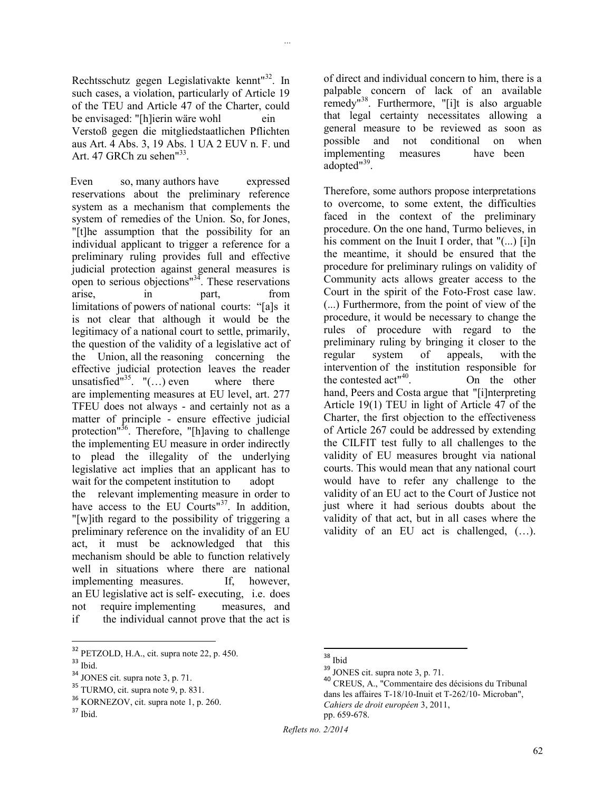*...*

Rechtsschutz gegen Legislativakte kennt"<sup>32</sup>. In such cases, a violation, particularly of Article 19 of the TEU and Article 47 of the Charter, could be envisaged: "[h]ierin wäre wohl ein Verstoß gegen die mitgliedstaatlichen Pflichten aus Art. 4 Abs. 3, 19 Abs. 1 UA 2 EUV n. F. und Art. 47 GRCh zu sehen"<sup>33</sup>.

Even so, many authors have expressed reservations about the preliminary reference system as a mechanism that complements the system of remedies of the Union. So, for Jones, "[t]he assumption that the possibility for an individual applicant to trigger a reference for a preliminary ruling provides full and effective judicial protection against general measures is open to serious objections $\mathbb{R}^{34}$ . These reservations arise, in part, from limitations of powers of national courts: "[a]s it is not clear that although it would be the legitimacy of a national court to settle, primarily, the question of the validity of a legislative act of the Union, all the reasoning concerning the effective judicial protection leaves the reader unsatisfied"<sup>35</sup>. "(...) even where there are implementing measures at EU level, art. 277 TFEU does not always - and certainly not as a matter of principle - ensure effective judicial protection"<sup>36</sup>. Therefore, "[h]aving to challenge the implementing EU measure in order indirectly to plead the illegality of the underlying legislative act implies that an applicant has to wait for the competent institution to adopt the relevant implementing measure in order to have access to the EU Courts"<sup>37</sup>. In addition, "[w]ith regard to the possibility of triggering a preliminary reference on the invalidity of an EU act, it must be acknowledged that this mechanism should be able to function relatively well in situations where there are national implementing measures. If, however, an EU legislative act is self- executing, i.e. does not require implementing measures, and if the individual cannot prove that the act is

 $\overline{a}$ 

of direct and individual concern to him, there is a palpable concern of lack of an available remedy"<sup>38</sup>. Furthermore, "[i]t is also arguable that legal certainty necessitates allowing a general measure to be reviewed as soon as possible and not conditional on when implementing measures have been adopted"<sup>39</sup>.

Therefore, some authors propose interpretations to overcome, to some extent, the difficulties faced in the context of the preliminary procedure. On the one hand, Turmo believes, in his comment on the Inuit I order, that "(...) [i]n the meantime, it should be ensured that the procedure for preliminary rulings on validity of Community acts allows greater access to the Court in the spirit of the Foto-Frost case law. (...) Furthermore, from the point of view of the procedure, it would be necessary to change the rules of procedure with regard to the preliminary ruling by bringing it closer to the regular system of appeals, with the intervention of the institution responsible for the contested act"<sup>40</sup> . On the other hand, Peers and Costa argue that "[i]nterpreting Article 19(1) TEU in light of Article 47 of the Charter, the first objection to the effectiveness of Article 267 could be addressed by extending the CILFIT test fully to all challenges to the validity of EU measures brought via national courts. This would mean that any national court would have to refer any challenge to the validity of an EU act to the Court of Justice not just where it had serious doubts about the validity of that act, but in all cases where the validity of an EU act is challenged, (…).

*Reflets no. 2/2014*

<sup>&</sup>lt;sup>32</sup> PETZOLD, H.A., cit. supra note 22, p. 450.

 $33$  Ibid.

<sup>34</sup> JONES cit. supra note 3, p. 71.

<sup>35</sup> TURMO, cit. supra note 9, p. 831.

<sup>36</sup> KORNEZOV, cit. supra note 1, p. 260.

<sup>37</sup> Ibid.

 $\overline{\phantom{a}}$ <sup>38</sup> Ibid

<sup>39</sup> JONES cit. supra note 3, p. 71.

<sup>40</sup> CREUS, A., "Commentaire des décisions du Tribunal dans les affaires T-18/10-Inuit et T-262/10- Microban", *Cahiers de droit européen* 3, 2011, pp. 659-678.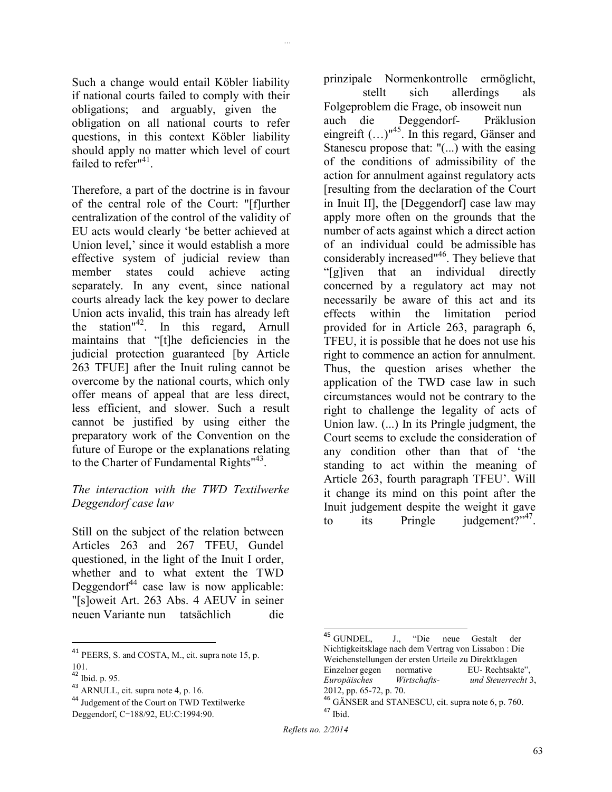Such a change would entail Köbler liability if national courts failed to comply with their obligations; and arguably, given the obligation on all national courts to refer questions, in this context Köbler liability should apply no matter which level of court failed to refer<sup>"41</sup>.

*...*

Therefore, a part of the doctrine is in favour of the central role of the Court: "[f]urther centralization of the control of the validity of EU acts would clearly 'be better achieved at Union level,' since it would establish a more effective system of judicial review than member states could achieve acting separately. In any event, since national courts already lack the key power to declare Union acts invalid, this train has already left the station"<sup>42</sup>. In this regard, Arnull maintains that "[t]he deficiencies in the judicial protection guaranteed [by Article 263 TFUE] after the Inuit ruling cannot be overcome by the national courts, which only offer means of appeal that are less direct, less efficient, and slower. Such a result cannot be justified by using either the preparatory work of the Convention on the future of Europe or the explanations relating to the Charter of Fundamental Rights<sup>"43</sup>.

### *The interaction with the TWD Textilwerke Deggendorf case law*

Still on the subject of the relation between Articles 263 and 267 TFEU, Gundel questioned, in the light of the Inuit I order, whether and to what extent the TWD Deggendorf $44$  case law is now applicable: "[s]oweit Art. 263 Abs. 4 AEUV in seiner neuen Variante nun tatsächlich die

l

prinzipale Normenkontrolle ermöglicht,

stellt sich allerdings als Folgeproblem die Frage, ob insoweit nun auch die Deggendorf- Präklusion eingreift  $(...)$ <sup> $45$ </sup>. In this regard, Gänser and Stanescu propose that: "(...) with the easing of the conditions of admissibility of the action for annulment against regulatory acts [resulting from the declaration of the Court in Inuit II], the [Deggendorf] case law may apply more often on the grounds that the number of acts against which a direct action of an individual could be admissible has considerably increased"<sup>46</sup>. They believe that "[g]iven that an individual directly concerned by a regulatory act may not necessarily be aware of this act and its effects within the limitation period provided for in Article 263, paragraph 6, TFEU, it is possible that he does not use his right to commence an action for annulment. Thus, the question arises whether the application of the TWD case law in such circumstances would not be contrary to the right to challenge the legality of acts of Union law. (...) In its Pringle judgment, the Court seems to exclude the consideration of any condition other than that of 'the standing to act within the meaning of Article 263, fourth paragraph TFEU'. Will it change its mind on this point after the Inuit judgement despite the weight it gave to its Pringle judgement?" $47$ .

 $\overline{a}$ 

<sup>&</sup>lt;sup>41</sup> PEERS, S. and COSTA, M., cit. supra note 15, p. 101.

<sup>42</sup> Ibid. p. 95.

<sup>43</sup> ARNULL, cit. supra note 4, p. 16.

<sup>44</sup> Judgement of the Court on TWD Textilwerke

Deggendorf, C-188/92, EU:C:1994:90.

<sup>&</sup>lt;sup>45</sup> GUNDEL, J., "Die neue Gestalt der Nichtigkeitsklage nach dem Vertrag von Lissabon : Die Weichenstellungen der ersten Urteile zu Direktklagen Einzelner gegen normative EU- Rechtsakte", *Europäisches Wirtschafts- und Steuerrecht* 3, 2012, pp. 65-72, p. 70.

<sup>46</sup> GÄNSER and STANESCU, cit. supra note 6, p. 760. <sup>47</sup> Ibid.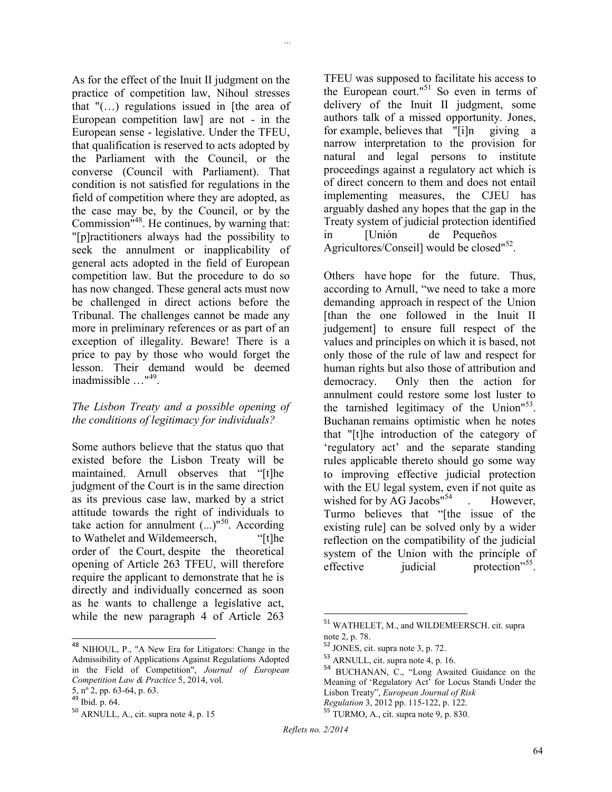As for the effect of the Inuit II judgment on the practice of competition law, Nihoul stresses that  $\sqrt[n]{\ldots}$  regulations issued in [the area of European competition law] are not - in the European sense - legislative. Under the TFEU, that qualification is reserved to acts adopted by the Parliament with the Council, or the converse (Council with Parliament). That condition is not satisfied for regulations in the field of competition where they are adopted, as the case may be, by the Council, or by the Commission"<sup>48</sup>. He continues, by warning that: "[p]ractitioners always had the possibility to seek the annulment or inapplicability of general acts adopted in the field of European competition law. But the procedure to do so has now changed. These general acts must now be challenged in direct actions before the Tribunal. The challenges cannot be made any more in preliminary references or as part of an exception of illegality. Beware! There is a price to pay by those who would forget the lesson. Their demand would be deemed inadmissible …"<sup>49</sup> .

*...*

#### *The Lisbon Treaty and a possible opening of the conditions of legitimacy for individuals?*

Some authors believe that the status quo that existed before the Lisbon Treaty will be maintained. Arnull observes that "[t]he judgment of the Court is in the same direction as its previous case law, marked by a strict attitude towards the right of individuals to take action for annulment  $(...)$ <sup>50</sup>. According to Wathelet and Wildemeersch, "[t]he order of the Court, despite the theoretical opening of Article 263 TFEU, will therefore require the applicant to demonstrate that he is directly and individually concerned as soon as he wants to challenge a legislative act, while the new paragraph 4 of Article 263

 $\overline{\phantom{a}}$ 

TFEU was supposed to facilitate his access to the European court."<sup>51</sup> So even in terms of delivery of the Inuit II judgment, some authors talk of a missed opportunity. Jones, for example, believes that "[i]n giving a narrow interpretation to the provision for natural and legal persons to institute proceedings against a regulatory act which is of direct concern to them and does not entail implementing measures, the CJEU has arguably dashed any hopes that the gap in the Treaty system of judicial protection identified in [Unión de Pequeños Agricultores/Conseil] would be closed"<sup>52</sup>.

Others have hope for the future. Thus, according to Arnull, "we need to take a more demanding approach in respect of the Union [than the one followed in the Inuit II judgement] to ensure full respect of the values and principles on which it is based, not only those of the rule of law and respect for human rights but also those of attribution and democracy. Only then the action for annulment could restore some lost luster to the tarnished legitimacy of the Union<sup>153</sup>. Buchanan remains optimistic when he notes that "[t]he introduction of the category of 'regulatory act' and the separate standing rules applicable thereto should go some way to improving effective judicial protection with the EU legal system, even if not quite as wished for by  $AG$  Jacobs<sup> $154$ </sup> . However, Turmo believes that "[the issue of the existing rule] can be solved only by a wider reflection on the compatibility of the judicial system of the Union with the principle of effective judicial protection"<sup>55</sup>.

 $\overline{\phantom{a}}$ 

<sup>&</sup>lt;sup>48</sup> NIHOUL, P., "A New Era for Litigators: Change in the Admissibility of Applications Against Regulations Adopted in the Field of Competition", *Journal of European Competition Law & Practice* 5, 2014, vol.

<sup>5,</sup> nº 2, pp. 63-64, p. 63.

 $49$  Ibid. p. 64.

<sup>50</sup> ARNULL, A., cit. supra note 4, p. 15

<sup>51</sup> WATHELET, M., and WILDEMEERSCH. cit. supra note 2, p. 78.

<sup>52</sup> JONES, cit. supra note 3, p. 72.

 $^{53}$  ARNULL, cit. supra note 4, p. 16.

<sup>54</sup> BUCHANAN, C., "Long Awaited Guidance on the Meaning of 'Regulatory Act' for Locus Standi Under the Lisbon Treaty", *European Journal of Risk Regulation* 3, 2012 pp. 115-122, p. 122.

 $55$  TURMO, A., cit. supra note 9, p. 830.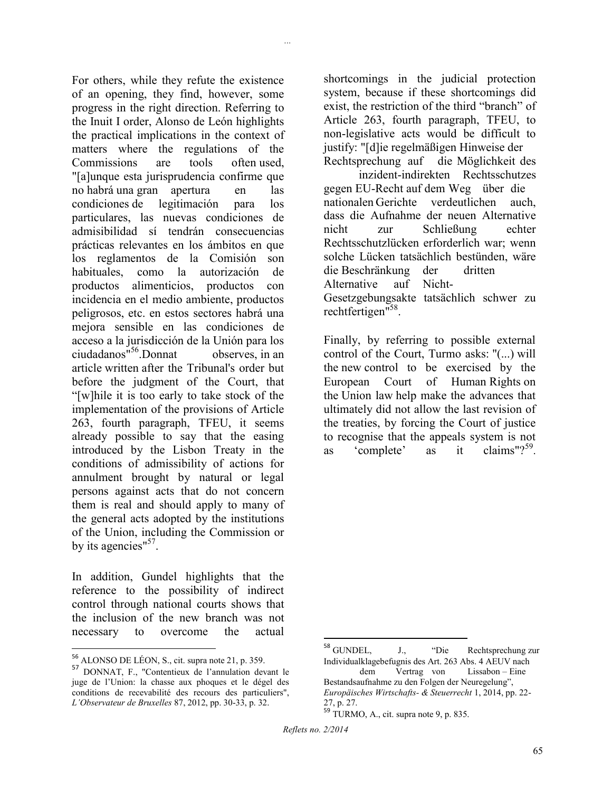For others, while they refute the existence of an opening, they find, however, some progress in the right direction. Referring to the Inuit I order, Alonso de León highlights the practical implications in the context of matters where the regulations of the Commissions are tools often used, "[a]unque esta jurisprudencia confirme que no habrá una gran apertura en las condiciones de legitimación para los particulares, las nuevas condiciones de admisibilidad sí tendrán consecuencias prácticas relevantes en los ámbitos en que los reglamentos de la Comisión son habituales, como la autorización de productos alimenticios, productos con incidencia en el medio ambiente, productos peligrosos, etc. en estos sectores habrá una mejora sensible en las condiciones de acceso a la jurisdicción de la Unión para los ciudadanos<sup>"56</sup>.Donnat observes, in an article written after the Tribunal's order but before the judgment of the Court, that "[w]hile it is too early to take stock of the implementation of the provisions of Article 263, fourth paragraph, TFEU, it seems already possible to say that the easing introduced by the Lisbon Treaty in the conditions of admissibility of actions for annulment brought by natural or legal persons against acts that do not concern them is real and should apply to many of the general acts adopted by the institutions of the Union, including the Commission or by its agencies"<sup>57</sup>.

*...*

In addition, Gundel highlights that the reference to the possibility of indirect control through national courts shows that the inclusion of the new branch was not necessary to overcome the actual

l

shortcomings in the judicial protection system, because if these shortcomings did exist, the restriction of the third "branch" of Article 263, fourth paragraph, TFEU, to non-legislative acts would be difficult to justify: "[d]ie regelmäßigen Hinweise der Rechtsprechung auf die Möglichkeit des

inzident-indirekten Rechtsschutzes gegen EU-Recht auf dem Weg über die nationalen Gerichte verdeutlichen auch, dass die Aufnahme der neuen Alternative nicht zur Schließung echter Rechtsschutzlücken erforderlich war; wenn solche Lücken tatsächlich bestünden, wäre die Beschränkung der dritten Alternative auf Nicht-Gesetzgebungsakte tatsächlich schwer zu rechtfertigen"<sup>58</sup>.

Finally, by referring to possible external control of the Court, Turmo asks: "(...) will the new control to be exercised by the European Court of Human Rights on the Union law help make the advances that ultimately did not allow the last revision of the treaties, by forcing the Court of justice to recognise that the appeals system is not as 'complete' as it claims" $?$ <sup>59</sup>.

 $56$  ALONSO DE LÉON, S., cit. supra note 21, p. 359.

<sup>57</sup> DONNAT, F., "Contentieux de l'annulation devant le juge de l'Union: la chasse aux phoques et le dégel des conditions de recevabilité des recours des particuliers", *L'Observateur de Bruxelles* 87, 2012, pp. 30-33, p. 32.

 $^{\rm 58}$  GUNDEL, J., "Die Rechtsprechung zur Individualklagebefugnis des Art. 263 Abs. 4 AEUV nach Vertrag von Bestandsaufnahme zu den Folgen der Neuregelung",

*Europäisches Wirtschafts- & Steuerrecht* 1, 2014, pp. 22- 27, p. 27.

<sup>59</sup> TURMO, A., cit. supra note 9, p. 835.